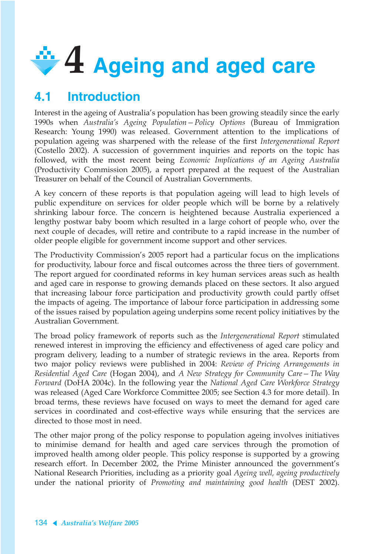# **4 Ageing and aged care**

# **4.1 Introduction**

Interest in the ageing of Australia's population has been growing steadily since the early 1990s when *Australia's Ageing Population—Policy Options* (Bureau of Immigration Research: Young 1990) was released. Government attention to the implications of population ageing was sharpened with the release of the first *Intergenerational Report* (Costello 2002). A succession of government inquiries and reports on the topic has followed, with the most recent being *Economic Implications of an Ageing Australia* (Productivity Commission 2005), a report prepared at the request of the Australian Treasurer on behalf of the Council of Australian Governments.

A key concern of these reports is that population ageing will lead to high levels of public expenditure on services for older people which will be borne by a relatively shrinking labour force. The concern is heightened because Australia experienced a lengthy postwar baby boom which resulted in a large cohort of people who, over the next couple of decades, will retire and contribute to a rapid increase in the number of older people eligible for government income support and other services.

The Productivity Commission's 2005 report had a particular focus on the implications for productivity, labour force and fiscal outcomes across the three tiers of government. The report argued for coordinated reforms in key human services areas such as health and aged care in response to growing demands placed on these sectors. It also argued that increasing labour force participation and productivity growth could partly offset the impacts of ageing. The importance of labour force participation in addressing some of the issues raised by population ageing underpins some recent policy initiatives by the Australian Government.

The broad policy framework of reports such as the *Intergenerational Report* stimulated renewed interest in improving the efficiency and effectiveness of aged care policy and program delivery, leading to a number of strategic reviews in the area. Reports from two major policy reviews were published in 2004: *Review of Pricing Arrangements in Residential Aged Care* (Hogan 2004), and *A New Strategy for Community Care—The Way Forward* (DoHA 2004c). In the following year the *National Aged Care Workforce Strategy* was released (Aged Care Workforce Committee 2005; see Section 4.3 for more detail). In broad terms, these reviews have focused on ways to meet the demand for aged care services in coordinated and cost-effective ways while ensuring that the services are directed to those most in need.

The other major prong of the policy response to population ageing involves initiatives to minimise demand for health and aged care services through the promotion of improved health among older people. This policy response is supported by a growing research effort. In December 2002, the Prime Minister announced the government's National Research Priorities, including as a priority goal *Ageing well, ageing productively* under the national priority of *Promoting and maintaining good health* (DEST 2002).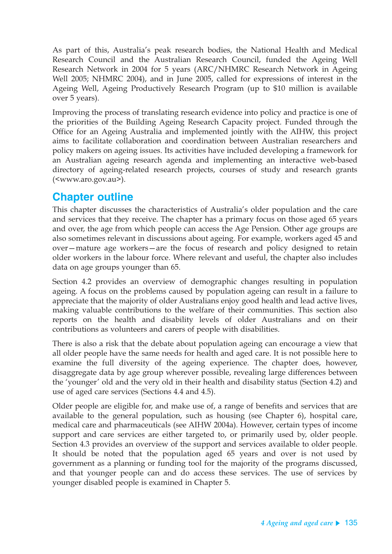As part of this, Australia's peak research bodies, the National Health and Medical Research Council and the Australian Research Council, funded the Ageing Well Research Network in 2004 for 5 years (ARC/NHMRC Research Network in Ageing Well 2005; NHMRC 2004), and in June 2005, called for expressions of interest in the Ageing Well, Ageing Productively Research Program (up to \$10 million is available over 5 years).

Improving the process of translating research evidence into policy and practice is one of the priorities of the Building Ageing Research Capacity project. Funded through the Office for an Ageing Australia and implemented jointly with the AIHW, this project aims to facilitate collaboration and coordination between Australian researchers and policy makers on ageing issues. Its activities have included developing a framework for an Australian ageing research agenda and implementing an interactive web-based directory of ageing-related research projects, courses of study and research grants (<www.aro.gov.au>).

# **Chapter outline**

This chapter discusses the characteristics of Australia's older population and the care and services that they receive. The chapter has a primary focus on those aged 65 years and over, the age from which people can access the Age Pension. Other age groups are also sometimes relevant in discussions about ageing. For example, workers aged 45 and over—mature age workers—are the focus of research and policy designed to retain older workers in the labour force. Where relevant and useful, the chapter also includes data on age groups younger than 65.

Section 4.2 provides an overview of demographic changes resulting in population ageing. A focus on the problems caused by population ageing can result in a failure to appreciate that the majority of older Australians enjoy good health and lead active lives, making valuable contributions to the welfare of their communities. This section also reports on the health and disability levels of older Australians and on their contributions as volunteers and carers of people with disabilities.

There is also a risk that the debate about population ageing can encourage a view that all older people have the same needs for health and aged care. It is not possible here to examine the full diversity of the ageing experience. The chapter does, however, disaggregate data by age group wherever possible, revealing large differences between the 'younger' old and the very old in their health and disability status (Section 4.2) and use of aged care services (Sections 4.4 and 4.5).

Older people are eligible for, and make use of, a range of benefits and services that are available to the general population, such as housing (see Chapter 6), hospital care, medical care and pharmaceuticals (see AIHW 2004a). However, certain types of income support and care services are either targeted to, or primarily used by, older people. Section 4.3 provides an overview of the support and services available to older people. It should be noted that the population aged 65 years and over is not used by government as a planning or funding tool for the majority of the programs discussed, and that younger people can and do access these services. The use of services by younger disabled people is examined in Chapter 5.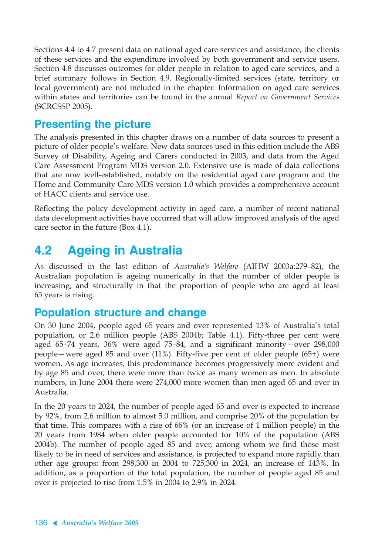Sections 4.4 to 4.7 present data on national aged care services and assistance, the clients of these services and the expenditure involved by both government and service users. Section 4.8 discusses outcomes for older people in relation to aged care services, and a brief summary follows in Section 4.9. Regionally-limited services (state, territory or local government) are not included in the chapter. Information on aged care services within states and territories can be found in the annual *Report on Government Services* (SCRCSSP 2005).

# **Presenting the picture**

The analysis presented in this chapter draws on a number of data sources to present a picture of older people's welfare. New data sources used in this edition include the ABS Survey of Disability, Ageing and Carers conducted in 2003, and data from the Aged Care Assessment Program MDS version 2.0. Extensive use is made of data collections that are now well-established, notably on the residential aged care program and the Home and Community Care MDS version 1.0 which provides a comprehensive account of HACC clients and service use.

Reflecting the policy development activity in aged care, a number of recent national data development activities have occurred that will allow improved analysis of the aged care sector in the future (Box 4.1).

# **4.2 Ageing in Australia**

As discussed in the last edition of *Australia's Welfare* (AIHW 2003a:279–82), the Australian population is ageing numerically in that the number of older people is increasing, and structurally in that the proportion of people who are aged at least 65 years is rising.

# **Population structure and change**

On 30 June 2004, people aged 65 years and over represented 13% of Australia's total population, or 2.6 million people (ABS 2004b; Table 4.1). Fifty-three per cent were aged 65–74 years, 36% were aged 75–84, and a significant minority—over 298,000 people—were aged 85 and over (11%). Fifty-five per cent of older people (65+) were women. As age increases, this predominance becomes progressively more evident and by age 85 and over, there were more than twice as many women as men. In absolute numbers, in June 2004 there were 274,000 more women than men aged 65 and over in Australia.

In the 20 years to 2024, the number of people aged 65 and over is expected to increase by 92%, from 2.6 million to almost 5.0 million, and comprise 20% of the population by that time. This compares with a rise of 66% (or an increase of 1 million people) in the 20 years from 1984 when older people accounted for 10% of the population (ABS 2004b). The number of people aged 85 and over, among whom we find those most likely to be in need of services and assistance, is projected to expand more rapidly than other age groups: from 298,300 in 2004 to 725,300 in 2024, an increase of 143%. In addition, as a proportion of the total population, the number of people aged 85 and over is projected to rise from 1.5% in 2004 to 2.9% in 2024.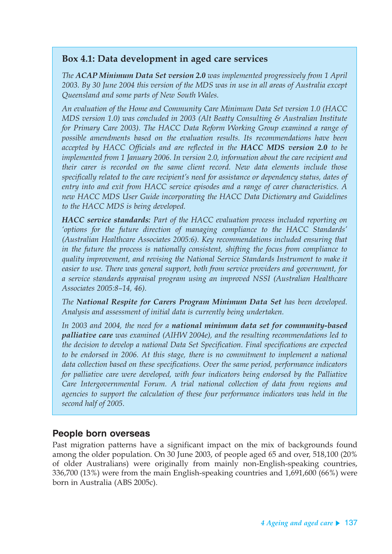### **Box 4.1: Data development in aged care services**

*The ACAP Minimum Data Set version 2.0 was implemented progressively from 1 April 2003. By 30 June 2004 this version of the MDS was in use in all areas of Australia except Queensland and some parts of New South Wales.*

*An evaluation of the Home and Community Care Minimum Data Set version 1.0 (HACC MDS version 1.0) was concluded in 2003 (Alt Beatty Consulting & Australian Institute for Primary Care 2003). The HACC Data Reform Working Group examined a range of possible amendments based on the evaluation results. Its recommendations have been accepted by HACC Officials and are reflected in the HACC MDS version 2.0 to be implemented from 1 January 2006. In version 2.0, information about the care recipient and their carer is recorded on the same client record. New data elements include those specifically related to the care recipient's need for assistance or dependency status, dates of entry into and exit from HACC service episodes and a range of carer characteristics. A new HACC MDS User Guide incorporating the HACC Data Dictionary and Guidelines to the HACC MDS is being developed.*

*HACC service standards: Part of the HACC evaluation process included reporting on 'options for the future direction of managing compliance to the HACC Standards' (Australian Healthcare Associates 2005:6). Key recommendations included ensuring that in the future the process is nationally consistent, shifting the focus from compliance to quality improvement, and revising the National Service Standards Instrument to make it easier to use. There was general support, both from service providers and government, for a service standards appraisal program using an improved NSSI (Australian Healthcare Associates 2005:8–14, 46).*

*The National Respite for Carers Program Minimum Data Set has been developed. Analysis and assessment of initial data is currently being undertaken.*

*In 2003 and 2004, the need for a national minimum data set for community-based palliative care was examined (AIHW 2004e), and the resulting recommendations led to the decision to develop a national Data Set Specification. Final specifications are expected to be endorsed in 2006. At this stage, there is no commitment to implement a national data collection based on these specifications. Over the same period, performance indicators for palliative care were developed, with four indicators being endorsed by the Palliative Care Intergovernmental Forum. A trial national collection of data from regions and agencies to support the calculation of these four performance indicators was held in the second half of 2005.*

### **People born overseas**

Past migration patterns have a significant impact on the mix of backgrounds found among the older population. On 30 June 2003, of people aged 65 and over, 518,100 (20% of older Australians) were originally from mainly non-English-speaking countries, 336,700 (13%) were from the main English-speaking countries and 1,691,600 (66%) were born in Australia (ABS 2005c).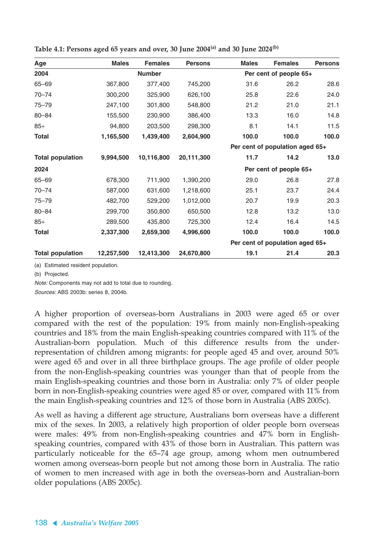| Age                     | <b>Males</b> | <b>Females</b> | <b>Persons</b> | <b>Males</b> | <b>Females</b>                  | <b>Persons</b> |
|-------------------------|--------------|----------------|----------------|--------------|---------------------------------|----------------|
| 2004                    |              | <b>Number</b>  |                |              | Per cent of people 65+          |                |
| $65 - 69$               | 367,800      | 377,400        | 745,200        | 31.6         | 26.2                            | 28.6           |
| $70 - 74$               | 300,200      | 325,900        | 626,100        | 25.8         | 22.6                            | 24.0           |
| $75 - 79$               | 247,100      | 301,800        | 548,800        | 21.2         | 21.0                            | 21.1           |
| $80 - 84$               | 155,500      | 230,900        | 386,400        | 13.3         | 16.0                            | 14.8           |
| $85+$                   | 94,800       | 203,500        | 298,300        | 8.1          | 14.1                            | 11.5           |
| <b>Total</b>            | 1,165,500    | 1,439,400      | 2,604,900      | 100.0        | 100.0                           | 100.0          |
|                         |              |                |                |              | Per cent of population aged 65+ |                |
| <b>Total population</b> | 9,994,500    | 10,116,800     | 20,111,300     | 11.7         | 14.2                            | 13.0           |
| 2024                    |              |                |                |              | Per cent of people 65+          |                |
| $65 - 69$               | 678,300      | 711,900        | 1,390,200      | 29.0         | 26.8                            | 27.8           |
| $70 - 74$               | 587,000      | 631,600        | 1,218,600      | 25.1         | 23.7                            | 24.4           |
| $75 - 79$               | 482,700      | 529,200        | 1,012,000      | 20.7         | 19.9                            | 20.3           |
| $80 - 84$               | 299,700      | 350,800        | 650,500        | 12.8         | 13.2                            | 13.0           |
| $85+$                   | 289,500      | 435,800        | 725,300        | 12.4         | 16.4                            | 14.5           |
| Total                   | 2,337,300    | 2,659,300      | 4,996,600      | 100.0        | 100.0                           | 100.0          |
|                         |              |                |                |              | Per cent of population aged 65+ |                |
| <b>Total population</b> | 12,257,500   | 12,413,300     | 24,670,800     | 19.1         | 21.4                            | 20.3           |

**Table 4.1: Persons aged 65 years and over, 30 June 2004(a) and 30 June 2024(b)**

(a) Estimated resident population.

(b) Projected.

Note: Components may not add to total due to rounding.

Sources: ABS 2003b: series 8, 2004b.

A higher proportion of overseas-born Australians in 2003 were aged 65 or over compared with the rest of the population: 19% from mainly non-English-speaking countries and 18% from the main English-speaking countries compared with 11% of the Australian-born population. Much of this difference results from the underrepresentation of children among migrants: for people aged 45 and over, around 50% were aged 65 and over in all three birthplace groups. The age profile of older people from the non-English-speaking countries was younger than that of people from the main English-speaking countries and those born in Australia: only 7% of older people born in non-English-speaking countries were aged 85 or over, compared with 11% from the main English-speaking countries and 12% of those born in Australia (ABS 2005c).

As well as having a different age structure, Australians born overseas have a different mix of the sexes. In 2003, a relatively high proportion of older people born overseas were males: 49% from non-English-speaking countries and 47% born in Englishspeaking countries, compared with 43% of those born in Australian. This pattern was particularly noticeable for the 65–74 age group, among whom men outnumbered women among overseas-born people but not among those born in Australia. The ratio of women to men increased with age in both the overseas-born and Australian-born older populations (ABS 2005c).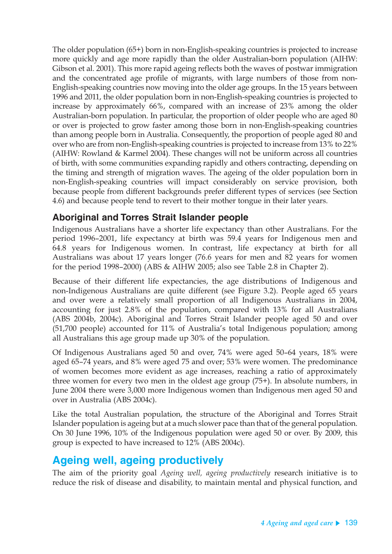The older population (65+) born in non-English-speaking countries is projected to increase more quickly and age more rapidly than the older Australian-born population (AIHW: Gibson et al. 2001). This more rapid ageing reflects both the waves of postwar immigration and the concentrated age profile of migrants, with large numbers of those from non-English-speaking countries now moving into the older age groups. In the 15 years between 1996 and 2011, the older population born in non-English-speaking countries is projected to increase by approximately 66%, compared with an increase of 23% among the older Australian-born population. In particular, the proportion of older people who are aged 80 or over is projected to grow faster among those born in non-English-speaking countries than among people born in Australia. Consequently, the proportion of people aged 80 and over who are from non-English-speaking countries is projected to increase from 13% to 22% (AIHW: Rowland & Karmel 2004). These changes will not be uniform across all countries of birth, with some communities expanding rapidly and others contracting, depending on the timing and strength of migration waves. The ageing of the older population born in non-English-speaking countries will impact considerably on service provision, both because people from different backgrounds prefer different types of services (see Section 4.6) and because people tend to revert to their mother tongue in their later years.

### **Aboriginal and Torres Strait Islander people**

Indigenous Australians have a shorter life expectancy than other Australians. For the period 1996–2001, life expectancy at birth was 59.4 years for Indigenous men and 64.8 years for Indigenous women. In contrast, life expectancy at birth for all Australians was about 17 years longer (76.6 years for men and 82 years for women for the period 1998–2000) (ABS & AIHW 2005; also see Table 2.8 in Chapter 2).

Because of their different life expectancies, the age distributions of Indigenous and non-Indigenous Australians are quite different (see Figure 3.2). People aged 65 years and over were a relatively small proportion of all Indigenous Australians in 2004, accounting for just 2.8% of the population, compared with 13% for all Australians (ABS 2004b, 2004c). Aboriginal and Torres Strait Islander people aged 50 and over (51,700 people) accounted for 11% of Australia's total Indigenous population; among all Australians this age group made up 30% of the population.

Of Indigenous Australians aged 50 and over, 74% were aged 50–64 years, 18% were aged 65–74 years, and 8% were aged 75 and over; 53% were women. The predominance of women becomes more evident as age increases, reaching a ratio of approximately three women for every two men in the oldest age group (75+). In absolute numbers, in June 2004 there were 3,000 more Indigenous women than Indigenous men aged 50 and over in Australia (ABS 2004c).

Like the total Australian population, the structure of the Aboriginal and Torres Strait Islander population is ageing but at a much slower pace than that of the general population. On 30 June 1996, 10% of the Indigenous population were aged 50 or over. By 2009, this group is expected to have increased to 12% (ABS 2004c).

# **Ageing well, ageing productively**

The aim of the priority goal *Ageing well, ageing productively* research initiative is to reduce the risk of disease and disability, to maintain mental and physical function, and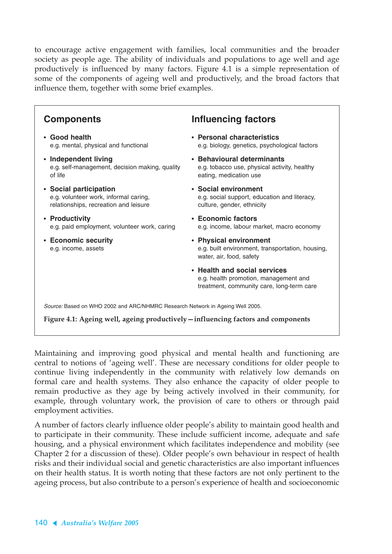to encourage active engagement with families, local communities and the broader society as people age. The ability of individuals and populations to age well and age productively is influenced by many factors. Figure 4.1 is a simple representation of some of the components of ageing well and productively, and the broad factors that influence them, together with some brief examples.

#### Source: Based on WHO 2002 and ARC/NHMRC Research Network in Ageing Well 2005. **Figure 4.1: Ageing well, ageing productively—influencing factors and components Components** • **Good health** e.g. mental, physical and functional • **Independent living** e.g. self-management, decision making, quality of life • **Social participation** e.g. volunteer work, informal caring, relationships, recreation and leisure • **Productivity** e.g. paid employment, volunteer work, caring • **Economic security** e.g. income, assets **Influencing factors** • **Personal characteristics** e.g. biology, genetics, psychological factors • **Behavioural determinants** e.g. tobacco use, physical activity, healthy eating, medication use • **Social environment** e.g. social support, education and literacy, culture, gender, ethnicity • **Economic factors** e.g. income, labour market, macro economy • **Physical environment** e.g. built environment, transportation, housing, water, air, food, safety • **Health and social services** e.g. health promotion, management and treatment, community care, long-term care

Maintaining and improving good physical and mental health and functioning are central to notions of 'ageing well'. These are necessary conditions for older people to continue living independently in the community with relatively low demands on formal care and health systems. They also enhance the capacity of older people to remain productive as they age by being actively involved in their community, for example, through voluntary work, the provision of care to others or through paid employment activities.

A number of factors clearly influence older people's ability to maintain good health and to participate in their community. These include sufficient income, adequate and safe housing, and a physical environment which facilitates independence and mobility (see Chapter 2 for a discussion of these). Older people's own behaviour in respect of health risks and their individual social and genetic characteristics are also important influences on their health status. It is worth noting that these factors are not only pertinent to the ageing process, but also contribute to a person's experience of health and socioeconomic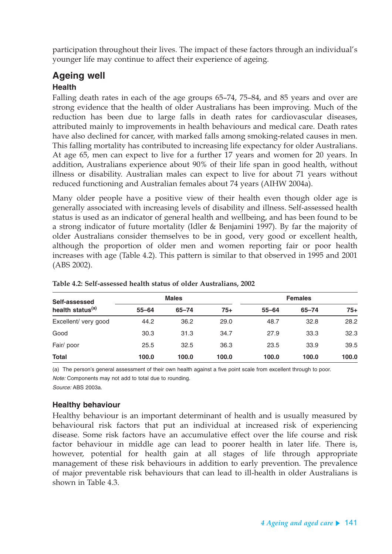participation throughout their lives. The impact of these factors through an individual's younger life may continue to affect their experience of ageing.

### **Ageing well**

### **Health**

Falling death rates in each of the age groups 65–74, 75–84, and 85 years and over are strong evidence that the health of older Australians has been improving. Much of the reduction has been due to large falls in death rates for cardiovascular diseases, attributed mainly to improvements in health behaviours and medical care. Death rates have also declined for cancer, with marked falls among smoking-related causes in men. This falling mortality has contributed to increasing life expectancy for older Australians. At age 65, men can expect to live for a further 17 years and women for 20 years. In addition, Australians experience about 90% of their life span in good health, without illness or disability. Australian males can expect to live for about 71 years without reduced functioning and Australian females about 74 years (AIHW 2004a).

Many older people have a positive view of their health even though older age is generally associated with increasing levels of disability and illness. Self-assessed health status is used as an indicator of general health and wellbeing, and has been found to be a strong indicator of future mortality (Idler & Benjamini 1997). By far the majority of older Australians consider themselves to be in good, very good or excellent health, although the proportion of older men and women reporting fair or poor health increases with age (Table 4.2). This pattern is similar to that observed in 1995 and 2001 (ABS 2002).

| Self-assessed<br>health status <sup>(a)</sup> | <b>Males</b> |           |       | <b>Females</b> |           |       |  |
|-----------------------------------------------|--------------|-----------|-------|----------------|-----------|-------|--|
|                                               | $55 - 64$    | $65 - 74$ | $75+$ | $55 - 64$      | $65 - 74$ | $75+$ |  |
| Excellent/ very good                          | 44.2         | 36.2      | 29.0  | 48.7           | 32.8      | 28.2  |  |
| Good                                          | 30.3         | 31.3      | 34.7  | 27.9           | 33.3      | 32.3  |  |
| Fair/ poor                                    | 25.5         | 32.5      | 36.3  | 23.5           | 33.9      | 39.5  |  |
| <b>Total</b>                                  | 100.0        | 100.0     | 100.0 | 100.0          | 100.0     | 100.0 |  |

**Table 4.2: Self-assessed health status of older Australians, 2002**

(a) The person's general assessment of their own health against a five point scale from excellent through to poor. Note: Components may not add to total due to rounding.

Source: ABS 2003a.

### **Healthy behaviour**

Healthy behaviour is an important determinant of health and is usually measured by behavioural risk factors that put an individual at increased risk of experiencing disease. Some risk factors have an accumulative effect over the life course and risk factor behaviour in middle age can lead to poorer health in later life. There is, however, potential for health gain at all stages of life through appropriate management of these risk behaviours in addition to early prevention. The prevalence of major preventable risk behaviours that can lead to ill-health in older Australians is shown in Table 4.3.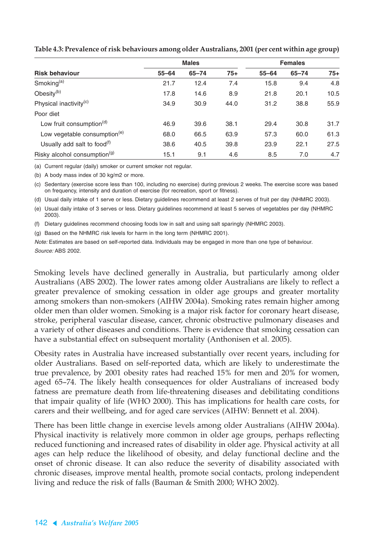|                                          |           | <b>Males</b> |       | <b>Females</b> |           |       |
|------------------------------------------|-----------|--------------|-------|----------------|-----------|-------|
| <b>Risk behaviour</b>                    | $55 - 64$ | $65 - 74$    | $75+$ | $55 - 64$      | $65 - 74$ | $75+$ |
| Smoking $(a)$                            | 21.7      | 12.4         | 7.4   | 15.8           | 9.4       | 4.8   |
| Obesity <sup>(b)</sup>                   | 17.8      | 14.6         | 8.9   | 21.8           | 20.1      | 10.5  |
| Physical inactivity <sup>(c)</sup>       | 34.9      | 30.9         | 44.0  | 31.2           | 38.8      | 55.9  |
| Poor diet                                |           |              |       |                |           |       |
| Low fruit consumption <sup>(d)</sup>     | 46.9      | 39.6         | 38.1  | 29.4           | 30.8      | 31.7  |
| Low vegetable consumption <sup>(e)</sup> | 68.0      | 66.5         | 63.9  | 57.3           | 60.0      | 61.3  |
| Usually add salt to food $(f)$           | 38.6      | 40.5         | 39.8  | 23.9           | 22.1      | 27.5  |
| Risky alcohol consumption <sup>(g)</sup> | 15.1      | 9.1          | 4.6   | 8.5            | 7.0       | 4.7   |

**Table 4.3: Prevalence of risk behaviours among older Australians, 2001 (per cent within age group)**

(a) Current regular (daily) smoker or current smoker not regular.

(b) A body mass index of 30 kg/m2 or more.

(c) Sedentary (exercise score less than 100, including no exercise) during previous 2 weeks. The exercise score was based on frequency, intensity and duration of exercise (for recreation, sport or fitness).

(d) Usual daily intake of 1 serve or less. Dietary guidelines recommend at least 2 serves of fruit per day (NHMRC 2003).

(e) Usual daily intake of 3 serves or less. Dietary guidelines recommend at least 5 serves of vegetables per day (NHMRC 2003).

(f) Dietary guidelines recommend choosing foods low in salt and using salt sparingly (NHMRC 2003).

(g) Based on the NHMRC risk levels for harm in the long term (NHMRC 2001).

Note: Estimates are based on self-reported data. Individuals may be engaged in more than one type of behaviour. Source: ABS 2002.

Smoking levels have declined generally in Australia, but particularly among older Australians (ABS 2002). The lower rates among older Australians are likely to reflect a greater prevalence of smoking cessation in older age groups and greater mortality among smokers than non-smokers (AIHW 2004a). Smoking rates remain higher among older men than older women. Smoking is a major risk factor for coronary heart disease, stroke, peripheral vascular disease, cancer, chronic obstructive pulmonary diseases and a variety of other diseases and conditions. There is evidence that smoking cessation can have a substantial effect on subsequent mortality (Anthonisen et al. 2005).

Obesity rates in Australia have increased substantially over recent years, including for older Australians. Based on self-reported data, which are likely to underestimate the true prevalence, by 2001 obesity rates had reached 15% for men and 20% for women, aged 65–74. The likely health consequences for older Australians of increased body fatness are premature death from life-threatening diseases and debilitating conditions that impair quality of life (WHO 2000). This has implications for health care costs, for carers and their wellbeing, and for aged care services (AIHW: Bennett et al. 2004).

There has been little change in exercise levels among older Australians (AIHW 2004a). Physical inactivity is relatively more common in older age groups, perhaps reflecting reduced functioning and increased rates of disability in older age. Physical activity at all ages can help reduce the likelihood of obesity, and delay functional decline and the onset of chronic disease. It can also reduce the severity of disability associated with chronic diseases, improve mental health, promote social contacts, prolong independent living and reduce the risk of falls (Bauman & Smith 2000; WHO 2002).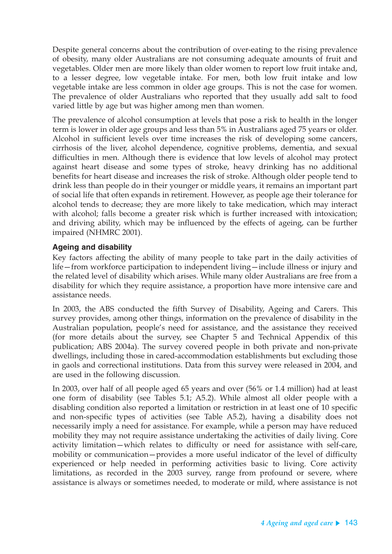Despite general concerns about the contribution of over-eating to the rising prevalence of obesity, many older Australians are not consuming adequate amounts of fruit and vegetables. Older men are more likely than older women to report low fruit intake and, to a lesser degree, low vegetable intake. For men, both low fruit intake and low vegetable intake are less common in older age groups. This is not the case for women. The prevalence of older Australians who reported that they usually add salt to food varied little by age but was higher among men than women.

The prevalence of alcohol consumption at levels that pose a risk to health in the longer term is lower in older age groups and less than 5% in Australians aged 75 years or older. Alcohol in sufficient levels over time increases the risk of developing some cancers, cirrhosis of the liver, alcohol dependence, cognitive problems, dementia, and sexual difficulties in men. Although there is evidence that low levels of alcohol may protect against heart disease and some types of stroke, heavy drinking has no additional benefits for heart disease and increases the risk of stroke. Although older people tend to drink less than people do in their younger or middle years, it remains an important part of social life that often expands in retirement. However, as people age their tolerance for alcohol tends to decrease; they are more likely to take medication, which may interact with alcohol; falls become a greater risk which is further increased with intoxication; and driving ability, which may be influenced by the effects of ageing, can be further impaired (NHMRC 2001).

### **Ageing and disability**

Key factors affecting the ability of many people to take part in the daily activities of life—from workforce participation to independent living—include illness or injury and the related level of disability which arises. While many older Australians are free from a disability for which they require assistance, a proportion have more intensive care and assistance needs.

In 2003, the ABS conducted the fifth Survey of Disability, Ageing and Carers. This survey provides, among other things, information on the prevalence of disability in the Australian population, people's need for assistance, and the assistance they received (for more details about the survey, see Chapter 5 and Technical Appendix of this publication; ABS 2004a). The survey covered people in both private and non-private dwellings, including those in cared-accommodation establishments but excluding those in gaols and correctional institutions. Data from this survey were released in 2004, and are used in the following discussion.

In 2003, over half of all people aged 65 years and over (56% or 1.4 million) had at least one form of disability (see Tables 5.1; A5.2). While almost all older people with a disabling condition also reported a limitation or restriction in at least one of 10 specific and non-specific types of activities (see Table A5.2), having a disability does not necessarily imply a need for assistance. For example, while a person may have reduced mobility they may not require assistance undertaking the activities of daily living. Core activity limitation—which relates to difficulty or need for assistance with self-care, mobility or communication—provides a more useful indicator of the level of difficulty experienced or help needed in performing activities basic to living. Core activity limitations, as recorded in the 2003 survey, range from profound or severe, where assistance is always or sometimes needed, to moderate or mild, where assistance is not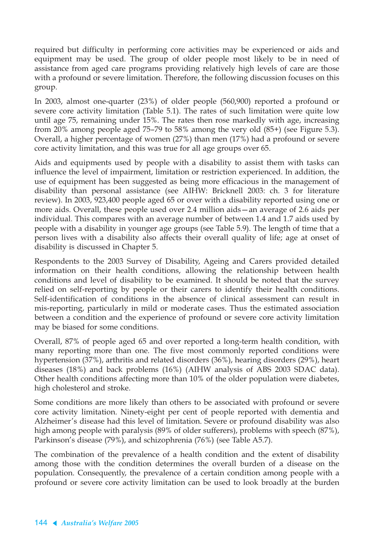required but difficulty in performing core activities may be experienced or aids and equipment may be used. The group of older people most likely to be in need of assistance from aged care programs providing relatively high levels of care are those with a profound or severe limitation. Therefore, the following discussion focuses on this group.

In 2003, almost one-quarter (23%) of older people (560,900) reported a profound or severe core activity limitation (Table 5.1). The rates of such limitation were quite low until age 75, remaining under 15%. The rates then rose markedly with age, increasing from 20% among people aged 75–79 to 58% among the very old (85+) (see Figure 5.3). Overall, a higher percentage of women (27%) than men (17%) had a profound or severe core activity limitation, and this was true for all age groups over 65.

Aids and equipments used by people with a disability to assist them with tasks can influence the level of impairment, limitation or restriction experienced. In addition, the use of equipment has been suggested as being more efficacious in the management of disability than personal assistance (see AIHW: Bricknell 2003: ch. 3 for literature review). In 2003, 923,400 people aged 65 or over with a disability reported using one or more aids. Overall, these people used over 2.4 million aids—an average of 2.6 aids per individual. This compares with an average number of between 1.4 and 1.7 aids used by people with a disability in younger age groups (see Table 5.9). The length of time that a person lives with a disability also affects their overall quality of life; age at onset of disability is discussed in Chapter 5.

Respondents to the 2003 Survey of Disability, Ageing and Carers provided detailed information on their health conditions, allowing the relationship between health conditions and level of disability to be examined. It should be noted that the survey relied on self-reporting by people or their carers to identify their health conditions. Self-identification of conditions in the absence of clinical assessment can result in mis-reporting, particularly in mild or moderate cases. Thus the estimated association between a condition and the experience of profound or severe core activity limitation may be biased for some conditions.

Overall, 87% of people aged 65 and over reported a long-term health condition, with many reporting more than one. The five most commonly reported conditions were hypertension (37%), arthritis and related disorders (36%), hearing disorders (29%), heart diseases (18%) and back problems (16%) (AIHW analysis of ABS 2003 SDAC data). Other health conditions affecting more than 10% of the older population were diabetes, high cholesterol and stroke.

Some conditions are more likely than others to be associated with profound or severe core activity limitation. Ninety-eight per cent of people reported with dementia and Alzheimer's disease had this level of limitation. Severe or profound disability was also high among people with paralysis (89% of older sufferers), problems with speech (87%), Parkinson's disease (79%), and schizophrenia (76%) (see Table A5.7).

The combination of the prevalence of a health condition and the extent of disability among those with the condition determines the overall burden of a disease on the population. Consequently, the prevalence of a certain condition among people with a profound or severe core activity limitation can be used to look broadly at the burden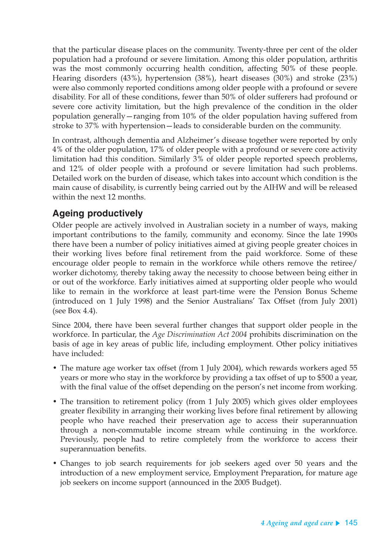that the particular disease places on the community. Twenty-three per cent of the older population had a profound or severe limitation. Among this older population, arthritis was the most commonly occurring health condition, affecting 50% of these people. Hearing disorders (43%), hypertension (38%), heart diseases (30%) and stroke (23%) were also commonly reported conditions among older people with a profound or severe disability. For all of these conditions, fewer than 50% of older sufferers had profound or severe core activity limitation, but the high prevalence of the condition in the older population generally—ranging from 10% of the older population having suffered from stroke to 37% with hypertension—leads to considerable burden on the community.

In contrast, although dementia and Alzheimer's disease together were reported by only 4% of the older population, 17% of older people with a profound or severe core activity limitation had this condition. Similarly 3% of older people reported speech problems, and 12% of older people with a profound or severe limitation had such problems. Detailed work on the burden of disease, which takes into account which condition is the main cause of disability, is currently being carried out by the AIHW and will be released within the next 12 months.

### **Ageing productively**

Older people are actively involved in Australian society in a number of ways, making important contributions to the family, community and economy. Since the late 1990s there have been a number of policy initiatives aimed at giving people greater choices in their working lives before final retirement from the paid workforce. Some of these encourage older people to remain in the workforce while others remove the retiree/ worker dichotomy, thereby taking away the necessity to choose between being either in or out of the workforce. Early initiatives aimed at supporting older people who would like to remain in the workforce at least part-time were the Pension Bonus Scheme (introduced on 1 July 1998) and the Senior Australians' Tax Offset (from July 2001) (see Box 4.4).

Since 2004, there have been several further changes that support older people in the workforce. In particular, the *Age Discrimination Act 2004* prohibits discrimination on the basis of age in key areas of public life, including employment. Other policy initiatives have included:

- The mature age worker tax offset (from 1 July 2004), which rewards workers aged 55 years or more who stay in the workforce by providing a tax offset of up to \$500 a year, with the final value of the offset depending on the person's net income from working.
- The transition to retirement policy (from 1 July 2005) which gives older employees greater flexibility in arranging their working lives before final retirement by allowing people who have reached their preservation age to access their superannuation through a non-commutable income stream while continuing in the workforce. Previously, people had to retire completely from the workforce to access their superannuation benefits.
- Changes to job search requirements for job seekers aged over 50 years and the introduction of a new employment service, Employment Preparation, for mature age job seekers on income support (announced in the 2005 Budget).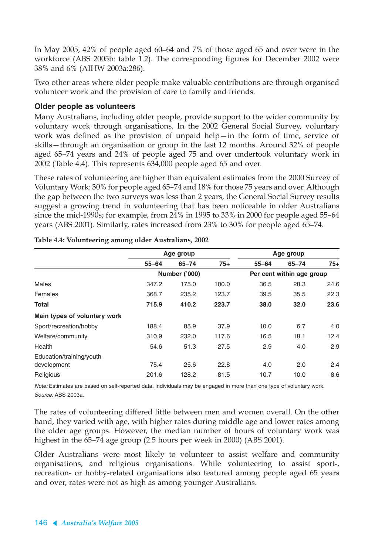In May 2005, 42% of people aged 60–64 and 7% of those aged 65 and over were in the workforce (ABS 2005b: table 1.2). The corresponding figures for December 2002 were 38% and 6% (AIHW 2003a:286).

Two other areas where older people make valuable contributions are through organised volunteer work and the provision of care to family and friends.

### **Older people as volunteers**

Many Australians, including older people, provide support to the wider community by voluntary work through organisations. In the 2002 General Social Survey, voluntary work was defined as the provision of unpaid help—in the form of time, service or skills—through an organisation or group in the last 12 months. Around 32% of people aged 65–74 years and 24% of people aged 75 and over undertook voluntary work in 2002 (Table 4.4). This represents 634,000 people aged 65 and over.

These rates of volunteering are higher than equivalent estimates from the 2000 Survey of Voluntary Work: 30% for people aged 65–74 and 18% for those 75 years and over. Although the gap between the two surveys was less than 2 years, the General Social Survey results suggest a growing trend in volunteering that has been noticeable in older Australians since the mid-1990s; for example, from 24% in 1995 to 33% in 2000 for people aged 55–64 years (ABS 2001). Similarly, rates increased from 23% to 30% for people aged 65–74.

|                              |           | Age group            |       | Age group |                           |       |  |
|------------------------------|-----------|----------------------|-------|-----------|---------------------------|-------|--|
|                              | $55 - 64$ | $65 - 74$            | $75+$ | $55 - 64$ | $65 - 74$                 | $75+$ |  |
|                              |           | <b>Number ('000)</b> |       |           | Per cent within age group |       |  |
| <b>Males</b>                 | 347.2     | 175.0                | 100.0 | 36.5      | 28.3                      | 24.6  |  |
| Females                      | 368.7     | 235.2                | 123.7 | 39.5      | 35.5                      | 22.3  |  |
| <b>Total</b>                 | 715.9     | 410.2                | 223.7 | 38.0      | 32.0                      | 23.6  |  |
| Main types of voluntary work |           |                      |       |           |                           |       |  |
| Sport/recreation/hobby       | 188.4     | 85.9                 | 37.9  | 10.0      | 6.7                       | 4.0   |  |
| Welfare/community            | 310.9     | 232.0                | 117.6 | 16.5      | 18.1                      | 12.4  |  |
| Health                       | 54.6      | 51.3                 | 27.5  | 2.9       | 4.0                       | 2.9   |  |
| Education/training/youth     |           |                      |       |           |                           |       |  |
| development                  | 75.4      | 25.6                 | 22.8  | 4.0       | 2.0                       | 2.4   |  |
| Religious                    | 201.6     | 128.2                | 81.5  | 10.7      | 10.0                      | 8.6   |  |

**Table 4.4: Volunteering among older Australians, 2002**

Note: Estimates are based on self-reported data. Individuals may be engaged in more than one type of voluntary work. Source: ABS 2003a.

The rates of volunteering differed little between men and women overall. On the other hand, they varied with age, with higher rates during middle age and lower rates among the older age groups. However, the median number of hours of voluntary work was highest in the 65–74 age group (2.5 hours per week in 2000) (ABS 2001).

Older Australians were most likely to volunteer to assist welfare and community organisations, and religious organisations. While volunteering to assist sport-, recreation- or hobby-related organisations also featured among people aged 65 years and over, rates were not as high as among younger Australians.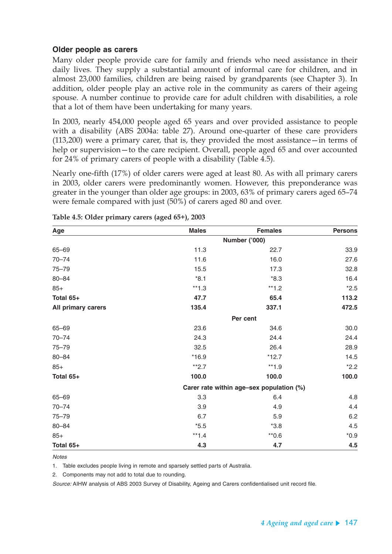#### **Older people as carers**

Many older people provide care for family and friends who need assistance in their daily lives. They supply a substantial amount of informal care for children, and in almost 23,000 families, children are being raised by grandparents (see Chapter 3). In addition, older people play an active role in the community as carers of their ageing spouse. A number continue to provide care for adult children with disabilities, a role that a lot of them have been undertaking for many years.

In 2003, nearly 454,000 people aged 65 years and over provided assistance to people with a disability (ABS 2004a: table 27). Around one-quarter of these care providers (113,200) were a primary carer, that is, they provided the most assistance—in terms of help or supervision—to the care recipient. Overall, people aged 65 and over accounted for 24% of primary carers of people with a disability (Table 4.5).

Nearly one-fifth (17%) of older carers were aged at least 80. As with all primary carers in 2003, older carers were predominantly women. However, this preponderance was greater in the younger than older age groups: in 2003, 63% of primary carers aged 65–74 were female compared with just (50%) of carers aged 80 and over.

| Age                | <b>Males</b> | <b>Females</b>                           | <b>Persons</b> |  |  |  |  |  |
|--------------------|--------------|------------------------------------------|----------------|--|--|--|--|--|
|                    |              | Number ('000)                            |                |  |  |  |  |  |
| $65 - 69$          | 11.3         | 22.7                                     | 33.9           |  |  |  |  |  |
| $70 - 74$          | 11.6         | 16.0                                     | 27.6           |  |  |  |  |  |
| $75 - 79$          | 15.5         | 17.3                                     | 32.8           |  |  |  |  |  |
| $80 - 84$          | $*8.1$       | $*8.3$                                   | 16.4           |  |  |  |  |  |
| $85+$              | $**1.3$      | $**1.2$                                  | $*2.5$         |  |  |  |  |  |
| Total 65+          | 47.7         | 65.4                                     | 113.2          |  |  |  |  |  |
| All primary carers | 135.4        | 337.1                                    | 472.5          |  |  |  |  |  |
|                    | Per cent     |                                          |                |  |  |  |  |  |
| 65-69              | 23.6         | 34.6                                     | 30.0           |  |  |  |  |  |
| $70 - 74$          | 24.3         | 24.4                                     | 24.4           |  |  |  |  |  |
| $75 - 79$          | 32.5         | 26.4                                     | 28.9           |  |  |  |  |  |
| $80 - 84$          | $*16.9$      | $*12.7$                                  | 14.5           |  |  |  |  |  |
| $85+$              | $*2.7$       | $**1.9$                                  | $*2.2$         |  |  |  |  |  |
| Total 65+          | 100.0        | 100.0                                    | 100.0          |  |  |  |  |  |
|                    |              | Carer rate within age-sex population (%) |                |  |  |  |  |  |
| 65-69              | 3.3          | 6.4                                      | 4.8            |  |  |  |  |  |
| $70 - 74$          | 3.9          | 4.9                                      | 4.4            |  |  |  |  |  |
| $75 - 79$          | 6.7          | 5.9                                      | 6.2            |  |  |  |  |  |
| $80 - 84$          | $*5.5$       | $*3.8$                                   | 4.5            |  |  |  |  |  |
| $85+$              | $**1.4$      | $*0.6$                                   | $*0.9$         |  |  |  |  |  |
| Total 65+          | 4.3          | 4.7                                      | 4.5            |  |  |  |  |  |

**Table 4.5: Older primary carers (aged 65+), 2003**

#### **Notes**

1. Table excludes people living in remote and sparsely settled parts of Australia.

2. Components may not add to total due to rounding.

Source: AIHW analysis of ABS 2003 Survey of Disability, Ageing and Carers confidentialised unit record file.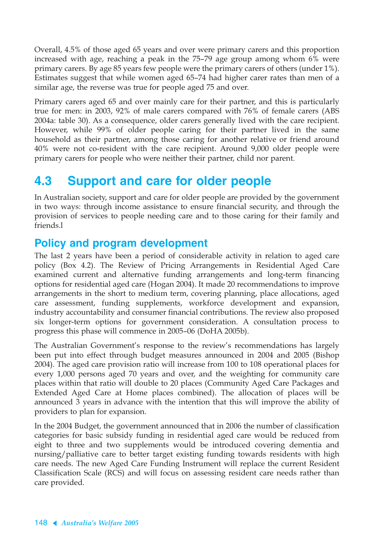Overall, 4.5% of those aged 65 years and over were primary carers and this proportion increased with age, reaching a peak in the 75–79 age group among whom 6% were primary carers. By age 85 years few people were the primary carers of others (under 1%). Estimates suggest that while women aged 65–74 had higher carer rates than men of a similar age, the reverse was true for people aged 75 and over.

Primary carers aged 65 and over mainly care for their partner, and this is particularly true for men: in 2003, 92% of male carers compared with 76% of female carers (ABS 2004a: table 30). As a consequence, older carers generally lived with the care recipient. However, while 99% of older people caring for their partner lived in the same household as their partner, among those caring for another relative or friend around 40% were not co-resident with the care recipient. Around 9,000 older people were primary carers for people who were neither their partner, child nor parent.

# **4.3 Support and care for older people**

In Australian society, support and care for older people are provided by the government in two ways: through income assistance to ensure financial security, and through the provision of services to people needing care and to those caring for their family and friends.l

# **Policy and program development**

The last 2 years have been a period of considerable activity in relation to aged care policy (Box 4.2). The Review of Pricing Arrangements in Residential Aged Care examined current and alternative funding arrangements and long-term financing options for residential aged care (Hogan 2004). It made 20 recommendations to improve arrangements in the short to medium term, covering planning, place allocations, aged care assessment, funding supplements, workforce development and expansion, industry accountability and consumer financial contributions. The review also proposed six longer-term options for government consideration. A consultation process to progress this phase will commence in 2005–06 (DoHA 2005b).

The Australian Government's response to the review's recommendations has largely been put into effect through budget measures announced in 2004 and 2005 (Bishop 2004). The aged care provision ratio will increase from 100 to 108 operational places for every 1,000 persons aged 70 years and over, and the weighting for community care places within that ratio will double to 20 places (Community Aged Care Packages and Extended Aged Care at Home places combined). The allocation of places will be announced 3 years in advance with the intention that this will improve the ability of providers to plan for expansion.

In the 2004 Budget, the government announced that in 2006 the number of classification categories for basic subsidy funding in residential aged care would be reduced from eight to three and two supplements would be introduced covering dementia and nursing/palliative care to better target existing funding towards residents with high care needs. The new Aged Care Funding Instrument will replace the current Resident Classification Scale (RCS) and will focus on assessing resident care needs rather than care provided.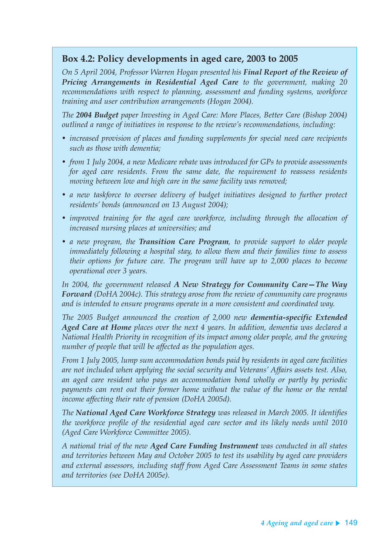### **Box 4.2: Policy developments in aged care, 2003 to 2005**

*On 5 April 2004, Professor Warren Hogan presented his Final Report of the Review of Pricing Arrangements in Residential Aged Care to the government, making 20 recommendations with respect to planning, assessment and funding systems, workforce training and user contribution arrangements (Hogan 2004).*

*The 2004 Budget paper Investing in Aged Care: More Places, Better Care (Bishop 2004) outlined a range of initiatives in response to the review's recommendations, including:*

- *increased provision of places and funding supplements for special need care recipients such as those with dementia;*
- *from 1 July 2004, a new Medicare rebate was introduced for GPs to provide assessments for aged care residents. From the same date, the requirement to reassess residents moving between low and high care in the same facility was removed;*
- *a new taskforce to oversee delivery of budget initiatives designed to further protect residents' bonds (announced on 13 August 2004);*
- *improved training for the aged care workforce, including through the allocation of increased nursing places at universities; and*
- *a new program, the Transition Care Program, to provide support to older people immediately following a hospital stay, to allow them and their families time to assess their options for future care. The program will have up to 2,000 places to become operational over 3 years.*

*In 2004, the government released A New Strategy for Community Care—The Way Forward (DoHA 2004c). This strategy arose from the review of community care programs and is intended to ensure programs operate in a more consistent and coordinated way.*

*The 2005 Budget announced the creation of 2,000 new dementia-specific Extended Aged Care at Home places over the next 4 years. In addition, dementia was declared a National Health Priority in recognition of its impact among older people, and the growing number of people that will be affected as the population ages.*

*From 1 July 2005, lump sum accommodation bonds paid by residents in aged care facilities are not included when applying the social security and Veterans' Affairs assets test. Also, an aged care resident who pays an accommodation bond wholly or partly by periodic payments can rent out their former home without the value of the home or the rental income affecting their rate of pension (DoHA 2005d).*

*The National Aged Care Workforce Strategy was released in March 2005. It identifies the workforce profile of the residential aged care sector and its likely needs until 2010 (Aged Care Workforce Committee 2005).*

*A national trial of the new Aged Care Funding Instrument was conducted in all states and territories between May and October 2005 to test its usability by aged care providers and external assessors, including staff from Aged Care Assessment Teams in some states and territories (see DoHA 2005e).*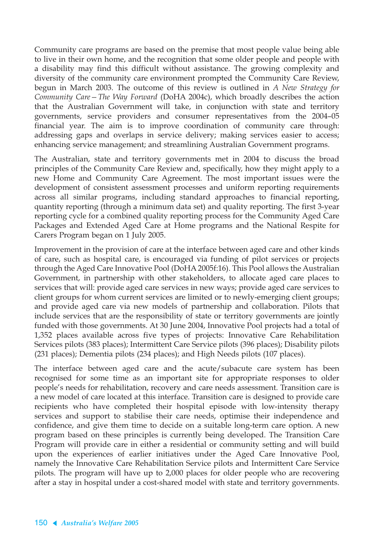Community care programs are based on the premise that most people value being able to live in their own home, and the recognition that some older people and people with a disability may find this difficult without assistance. The growing complexity and diversity of the community care environment prompted the Community Care Review, begun in March 2003. The outcome of this review is outlined in *A New Strategy for Community Care—The Way Forward* (DoHA 2004c), which broadly describes the action that the Australian Government will take, in conjunction with state and territory governments, service providers and consumer representatives from the 2004–05 financial year. The aim is to improve coordination of community care through: addressing gaps and overlaps in service delivery; making services easier to access; enhancing service management; and streamlining Australian Government programs.

The Australian, state and territory governments met in 2004 to discuss the broad principles of the Community Care Review and, specifically, how they might apply to a new Home and Community Care Agreement. The most important issues were the development of consistent assessment processes and uniform reporting requirements across all similar programs, including standard approaches to financial reporting, quantity reporting (through a minimum data set) and quality reporting. The first 3-year reporting cycle for a combined quality reporting process for the Community Aged Care Packages and Extended Aged Care at Home programs and the National Respite for Carers Program began on 1 July 2005.

Improvement in the provision of care at the interface between aged care and other kinds of care, such as hospital care, is encouraged via funding of pilot services or projects through the Aged Care Innovative Pool (DoHA 2005f:16). This Pool allows the Australian Government, in partnership with other stakeholders, to allocate aged care places to services that will: provide aged care services in new ways; provide aged care services to client groups for whom current services are limited or to newly-emerging client groups; and provide aged care via new models of partnership and collaboration. Pilots that include services that are the responsibility of state or territory governments are jointly funded with those governments. At 30 June 2004, Innovative Pool projects had a total of 1,352 places available across five types of projects: Innovative Care Rehabilitation Services pilots (383 places); Intermittent Care Service pilots (396 places); Disability pilots (231 places); Dementia pilots (234 places); and High Needs pilots (107 places).

The interface between aged care and the acute/subacute care system has been recognised for some time as an important site for appropriate responses to older people's needs for rehabilitation, recovery and care needs assessment. Transition care is a new model of care located at this interface. Transition care is designed to provide care recipients who have completed their hospital episode with low-intensity therapy services and support to stabilise their care needs, optimise their independence and confidence, and give them time to decide on a suitable long-term care option. A new program based on these principles is currently being developed. The Transition Care Program will provide care in either a residential or community setting and will build upon the experiences of earlier initiatives under the Aged Care Innovative Pool, namely the Innovative Care Rehabilitation Service pilots and Intermittent Care Service pilots. The program will have up to 2,000 places for older people who are recovering after a stay in hospital under a cost-shared model with state and territory governments.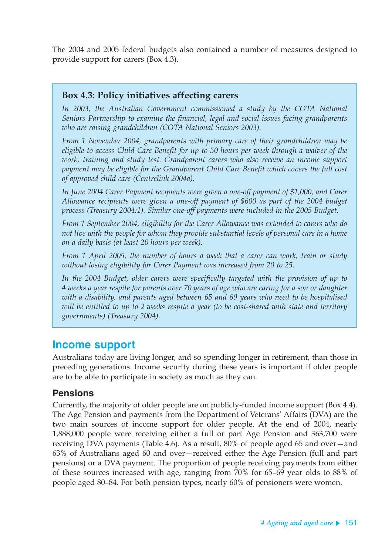The 2004 and 2005 federal budgets also contained a number of measures designed to provide support for carers (Box 4.3).

### **Box 4.3: Policy initiatives affecting carers**

*In 2003, the Australian Government commissioned a study by the COTA National Seniors Partnership to examine the financial, legal and social issues facing grandparents who are raising grandchildren (COTA National Seniors 2003).*

*From 1 November 2004, grandparents with primary care of their grandchildren may be eligible to access Child Care Benefit for up to 50 hours per week through a waiver of the work, training and study test. Grandparent carers who also receive an income support payment may be eligible for the Grandparent Child Care Benefit which covers the full cost of approved child care (Centrelink 2004a).*

*In June 2004 Carer Payment recipients were given a one-off payment of \$1,000, and Carer Allowance recipients were given a one-off payment of \$600 as part of the 2004 budget process (Treasury 2004:1). Similar one-off payments were included in the 2005 Budget.*

*From 1 September 2004, eligibility for the Carer Allowance was extended to carers who do not live with the people for whom they provide substantial levels of personal care in a home on a daily basis (at least 20 hours per week).*

*From 1 April 2005, the number of hours a week that a carer can work, train or study without losing eligibility for Carer Payment was increased from 20 to 25.*

*In the 2004 Budget, older carers were specifically targeted with the provision of up to 4 weeks a year respite for parents over 70 years of age who are caring for a son or daughter with a disability, and parents aged between 65 and 69 years who need to be hospitalised will be entitled to up to 2 weeks respite a year (to be cost-shared with state and territory governments) (Treasury 2004).*

### **Income support**

Australians today are living longer, and so spending longer in retirement, than those in preceding generations. Income security during these years is important if older people are to be able to participate in society as much as they can.

### **Pensions**

Currently, the majority of older people are on publicly-funded income support (Box 4.4). The Age Pension and payments from the Department of Veterans' Affairs (DVA) are the two main sources of income support for older people. At the end of 2004, nearly 1,888,000 people were receiving either a full or part Age Pension and 363,700 were receiving DVA payments (Table 4.6). As a result, 80% of people aged 65 and over—and 63% of Australians aged 60 and over—received either the Age Pension (full and part pensions) or a DVA payment. The proportion of people receiving payments from either of these sources increased with age, ranging from 70% for 65–69 year olds to 88% of people aged 80–84. For both pension types, nearly 60% of pensioners were women.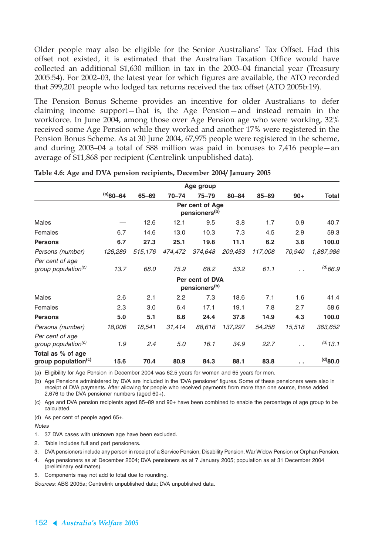Older people may also be eligible for the Senior Australians' Tax Offset. Had this offset not existed, it is estimated that the Australian Taxation Office would have collected an additional \$1,630 million in tax in the 2003–04 financial year (Treasury 2005:54). For 2002–03, the latest year for which figures are available, the ATO recorded that 599,201 people who lodged tax returns received the tax offset (ATO 2005b:19).

The Pension Bonus Scheme provides an incentive for older Australians to defer claiming income support—that is, the Age Pension—and instead remain in the workforce. In June 2004, among those over Age Pension age who were working, 32% received some Age Pension while they worked and another 17% were registered in the Pension Bonus Scheme. As at 30 June 2004, 67,975 people were registered in the scheme, and during 2003–04 a total of \$88 million was paid in bonuses to 7,416 people—an average of \$11,868 per recipient (Centrelink unpublished data).

|                                                      | Age group   |         |           |                                              |           |           |        |               |
|------------------------------------------------------|-------------|---------|-----------|----------------------------------------------|-----------|-----------|--------|---------------|
|                                                      | $(a)$ 60-64 | 65-69   | $70 - 74$ | $75 - 79$                                    | $80 - 84$ | $85 - 89$ | $90+$  | <b>Total</b>  |
|                                                      |             |         |           | Per cent of Age<br>pensioners <sup>(b)</sup> |           |           |        |               |
| Males                                                |             | 12.6    | 12.1      | 9.5                                          | 3.8       | 1.7       | 0.9    | 40.7          |
| Females                                              | 6.7         | 14.6    | 13.0      | 10.3                                         | 7.3       | 4.5       | 2.9    | 59.3          |
| <b>Persons</b>                                       | 6.7         | 27.3    | 25.1      | 19.8                                         | 11.1      | 6.2       | 3.8    | 100.0         |
| Persons (number)                                     | 126,289     | 515,176 | 474,472   | 374,648                                      | 209,453   | 117,008   | 70,940 | 1,887,986     |
| Per cent of age<br>group population <sup>(c)</sup>   | 13.7        | 68.0    | 75.9      | 68.2                                         | 53.2      | 61.1      |        | $^{(d)}66.9$  |
|                                                      |             |         |           | Per cent of DVA<br>pensioners <sup>(b)</sup> |           |           |        |               |
| Males                                                | 2.6         | 2.1     | 2.2       | 7.3                                          | 18.6      | 7.1       | 1.6    | 41.4          |
| Females                                              | 2.3         | 3.0     | 6.4       | 17.1                                         | 19.1      | 7.8       | 2.7    | 58.6          |
| <b>Persons</b>                                       | 5.0         | 5.1     | 8.6       | 24.4                                         | 37.8      | 14.9      | 4.3    | 100.0         |
| Persons (number)                                     | 18,006      | 18,541  | 31,414    | 88,618                                       | 137,297   | 54,258    | 15,518 | 363,652       |
| Per cent of age<br>group population <sup>(c)</sup>   | 1.9         | 2.4     | 5.0       | 16.1                                         | 34.9      | 22.7      | . .    | $^{(d)}$ 13.1 |
| Total as % of age<br>group population <sup>(c)</sup> | 15.6        | 70.4    | 80.9      | 84.3                                         | 88.1      | 83.8      | a a    | $0.08^{(b)}$  |

**Table 4.6: Age and DVA pension recipients, December 2004/ January 2005** 

(a) Eligibility for Age Pension in December 2004 was 62.5 years for women and 65 years for men.

(b) Age Pensions administered by DVA are included in the 'DVA pensioner' figures. Some of these pensioners were also in receipt of DVA payments. After allowing for people who received payments from more than one source, these added 2,676 to the DVA pensioner numbers (aged 60+).

(c) Age and DVA pension recipients aged 85–89 and 90+ have been combined to enable the percentage of age group to be calculated.

(d) As per cent of people aged 65+.

**Notes** 

- 1. 37 DVA cases with unknown age have been excluded.
- 2. Table includes full and part pensioners.
- 3. DVA pensioners include any person in receipt of a Service Pension, Disability Pension, War Widow Pension or Orphan Pension.
- 4. Age pensioners as at December 2004; DVA pensioners as at 7 January 2005; population as at 31 December 2004 (preliminary estimates).
- 5. Components may not add to total due to rounding.

Sources: ABS 2005a; Centrelink unpublished data; DVA unpublished data.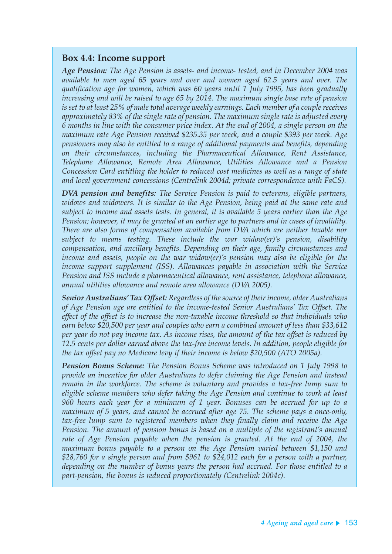### **Box 4.4: Income support**

*Age Pension: The Age Pension is assets- and income- tested, and in December 2004 was available to men aged 65 years and over and women aged 62.5 years and over. The qualification age for women, which was 60 years until 1 July 1995, has been gradually increasing and will be raised to age 65 by 2014. The maximum single base rate of pension is set to at least 25% of male total average weekly earnings. Each member of a couple receives approximately 83% of the single rate of pension. The maximum single rate is adjusted every 6 months in line with the consumer price index. At the end of 2004, a single person on the maximum rate Age Pension received \$235.35 per week, and a couple \$393 per week. Age pensioners may also be entitled to a range of additional payments and benefits, depending on their circumstances, including the Pharmaceutical Allowance, Rent Assistance, Telephone Allowance, Remote Area Allowance, Utilities Allowance and a Pension Concession Card entitling the holder to reduced cost medicines as well as a range of state and local government concessions (Centrelink 2004d; private correspondence with FaCS).*

*DVA pension and benefits: The Service Pension is paid to veterans, eligible partners, widows and widowers. It is similar to the Age Pension, being paid at the same rate and subject to income and assets tests. In general, it is available 5 years earlier than the Age Pension; however, it may be granted at an earlier age to partners and in cases of invalidity. There are also forms of compensation available from DVA which are neither taxable nor subject to means testing. These include the war widow(er)'s pension, disability compensation, and ancillary benefits. Depending on their age, family circumstances and income and assets, people on the war widow(er)'s pension may also be eligible for the income support supplement (ISS). Allowances payable in association with the Service Pension and ISS include a pharmaceutical allowance, rent assistance, telephone allowance, annual utilities allowance and remote area allowance (DVA 2005).*

*Senior Australians' Tax Offset: Regardless of the source of their income, older Australians of Age Pension age are entitled to the income-tested Senior Australians' Tax Offset. The effect of the offset is to increase the non-taxable income threshold so that individuals who earn below \$20,500 per year and couples who earn a combined amount of less than \$33,612 per year do not pay income tax. As income rises, the amount of the tax offset is reduced by 12.5 cents per dollar earned above the tax-free income levels. In addition, people eligible for the tax offset pay no Medicare levy if their income is below \$20,500 (ATO 2005a).*

*Pension Bonus Scheme: The Pension Bonus Scheme was introduced on 1 July 1998 to provide an incentive for older Australians to defer claiming the Age Pension and instead remain in the workforce. The scheme is voluntary and provides a tax-free lump sum to eligible scheme members who defer taking the Age Pension and continue to work at least 960 hours each year for a minimum of 1 year. Bonuses can be accrued for up to a maximum of 5 years, and cannot be accrued after age 75. The scheme pays a once-only, tax-free lump sum to registered members when they finally claim and receive the Age Pension. The amount of pension bonus is based on a multiple of the registrant's annual rate of Age Pension payable when the pension is granted. At the end of 2004, the maximum bonus payable to a person on the Age Pension varied between \$1,150 and \$28,760 for a single person and from \$961 to \$24,012 each for a person with a partner, depending on the number of bonus years the person had accrued. For those entitled to a part-pension, the bonus is reduced proportionately (Centrelink 2004c).*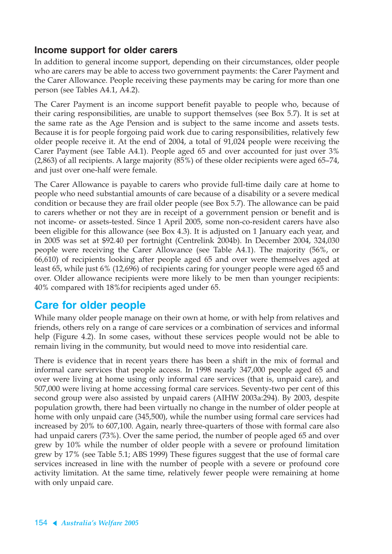### **Income support for older carers**

In addition to general income support, depending on their circumstances, older people who are carers may be able to access two government payments: the Carer Payment and the Carer Allowance. People receiving these payments may be caring for more than one person (see Tables A4.1, A4.2).

The Carer Payment is an income support benefit payable to people who, because of their caring responsibilities, are unable to support themselves (see Box 5.7). It is set at the same rate as the Age Pension and is subject to the same income and assets tests. Because it is for people forgoing paid work due to caring responsibilities, relatively few older people receive it. At the end of 2004, a total of 91,024 people were receiving the Carer Payment (see Table A4.1). People aged 65 and over accounted for just over 3% (2,863) of all recipients. A large majority (85%) of these older recipients were aged 65–74, and just over one-half were female.

The Carer Allowance is payable to carers who provide full-time daily care at home to people who need substantial amounts of care because of a disability or a severe medical condition or because they are frail older people (see Box 5.7). The allowance can be paid to carers whether or not they are in receipt of a government pension or benefit and is not income- or assets-tested. Since 1 April 2005, some non-co-resident carers have also been eligible for this allowance (see Box 4.3). It is adjusted on 1 January each year, and in 2005 was set at \$92.40 per fortnight (Centrelink 2004b). In December 2004, 324,030 people were receiving the Carer Allowance (see Table A4.1). The majority (56%, or 66,610) of recipients looking after people aged 65 and over were themselves aged at least 65, while just 6% (12,696) of recipients caring for younger people were aged 65 and over. Older allowance recipients were more likely to be men than younger recipients: 40% compared with 18%for recipients aged under 65.

# **Care for older people**

While many older people manage on their own at home, or with help from relatives and friends, others rely on a range of care services or a combination of services and informal help (Figure 4.2). In some cases, without these services people would not be able to remain living in the community, but would need to move into residential care.

There is evidence that in recent years there has been a shift in the mix of formal and informal care services that people access. In 1998 nearly 347,000 people aged 65 and over were living at home using only informal care services (that is, unpaid care), and 507,000 were living at home accessing formal care services. Seventy-two per cent of this second group were also assisted by unpaid carers (AIHW 2003a:294). By 2003, despite population growth, there had been virtually no change in the number of older people at home with only unpaid care (345,500), while the number using formal care services had increased by 20% to 607,100. Again, nearly three-quarters of those with formal care also had unpaid carers (73%). Over the same period, the number of people aged 65 and over grew by 10% while the number of older people with a severe or profound limitation grew by 17% (see Table 5.1; ABS 1999) These figures suggest that the use of formal care services increased in line with the number of people with a severe or profound core activity limitation. At the same time, relatively fewer people were remaining at home with only unpaid care.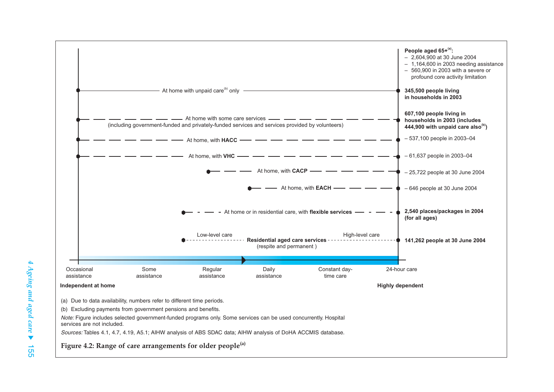

Note: Figure includes selected government-funded programs only. Some services can be used concurrently. Hospital services are not included.

Sources: Tables 4.1, 4.7, 4.19, A5.1; AIHW analysis of ABS SDAC data; AIHW analysis of DoHA ACCMIS database.

**Figure 4.2: Range of care arrangements for older people(a)**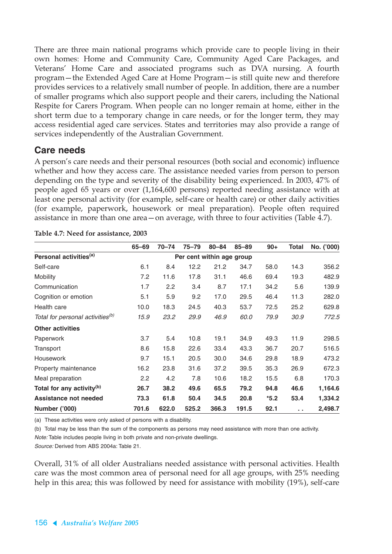There are three main national programs which provide care to people living in their own homes: Home and Community Care, Community Aged Care Packages, and Veterans' Home Care and associated programs such as DVA nursing. A fourth program—the Extended Aged Care at Home Program—is still quite new and therefore provides services to a relatively small number of people. In addition, there are a number of smaller programs which also support people and their carers, including the National Respite for Carers Program. When people can no longer remain at home, either in the short term due to a temporary change in care needs, or for the longer term, they may access residential aged care services. States and territories may also provide a range of services independently of the Australian Government.

### **Care needs**

A person's care needs and their personal resources (both social and economic) influence whether and how they access care. The assistance needed varies from person to person depending on the type and severity of the disability being experienced. In 2003, 47% of people aged 65 years or over (1,164,600 persons) reported needing assistance with at least one personal activity (for example, self-care or health care) or other daily activities (for example, paperwork, housework or meal preparation). People often required assistance in more than one area—on average, with three to four activities (Table 4.7).

|                                              | 65-69                     | $70 - 74$ | $75 - 79$ | $80 - 84$ | $85 - 89$ | $90+$  | Total         | No. ('000) |
|----------------------------------------------|---------------------------|-----------|-----------|-----------|-----------|--------|---------------|------------|
| Personal activities <sup>(a)</sup>           | Per cent within age group |           |           |           |           |        |               |            |
| Self-care                                    | 6.1                       | 8.4       | 12.2      | 21.2      | 34.7      | 58.0   | 14.3          | 356.2      |
| Mobility                                     | 7.2                       | 11.6      | 17.8      | 31.1      | 46.6      | 69.4   | 19.3          | 482.9      |
| Communication                                | 1.7                       | 2.2       | 3.4       | 8.7       | 17.1      | 34.2   | 5.6           | 139.9      |
| Cognition or emotion                         | 5.1                       | 5.9       | 9.2       | 17.0      | 29.5      | 46.4   | 11.3          | 282.0      |
| Health care                                  | 10.0                      | 18.3      | 24.5      | 40.3      | 53.7      | 72.5   | 25.2          | 629.8      |
| Total for personal activities <sup>(b)</sup> | 15.9                      | 23.2      | 29.9      | 46.9      | 60.0      | 79.9   | 30.9          | 772.5      |
| <b>Other activities</b>                      |                           |           |           |           |           |        |               |            |
| Paperwork                                    | 3.7                       | 5.4       | 10.8      | 19.1      | 34.9      | 49.3   | 11.9          | 298.5      |
| Transport                                    | 8.6                       | 15.8      | 22.6      | 33.4      | 43.3      | 36.7   | 20.7          | 516.5      |
| Housework                                    | 9.7                       | 15.1      | 20.5      | 30.0      | 34.6      | 29.8   | 18.9          | 473.2      |
| Property maintenance                         | 16.2                      | 23.8      | 31.6      | 37.2      | 39.5      | 35.3   | 26.9          | 672.3      |
| Meal preparation                             | 2.2                       | 4.2       | 7.8       | 10.6      | 18.2      | 15.5   | 6.8           | 170.3      |
| Total for any activity <sup>(b)</sup>        | 26.7                      | 38.2      | 49.6      | 65.5      | 79.2      | 94.8   | 46.6          | 1,164.6    |
| Assistance not needed                        | 73.3                      | 61.8      | 50.4      | 34.5      | 20.8      | $*5.2$ | 53.4          | 1,334.2    |
| Number ('000)                                | 701.6                     | 622.0     | 525.2     | 366.3     | 191.5     | 92.1   | $\sim$ $\sim$ | 2,498.7    |

**Table 4.7: Need for assistance, 2003**

(a) These activities were only asked of persons with a disability.

(b) Total may be less than the sum of the components as persons may need assistance with more than one activity.

Note: Table includes people living in both private and non-private dwellings.

Source: Derived from ABS 2004a: Table 21.

Overall, 31% of all older Australians needed assistance with personal activities. Health care was the most common area of personal need for all age groups, with 25% needing help in this area; this was followed by need for assistance with mobility (19%), self-care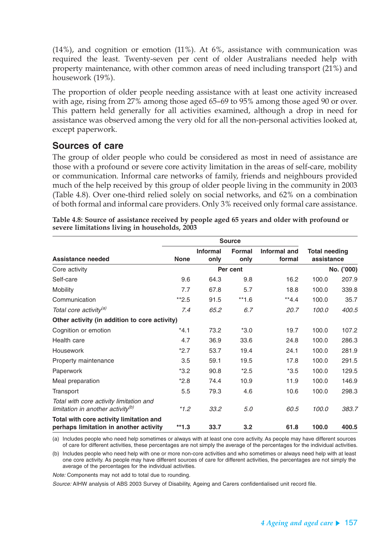$(14%)$ , and cognition or emotion  $(11%)$ . At 6%, assistance with communication was required the least. Twenty-seven per cent of older Australians needed help with property maintenance, with other common areas of need including transport (21%) and housework (19%).

The proportion of older people needing assistance with at least one activity increased with age, rising from 27% among those aged 65–69 to 95% among those aged 90 or over. This pattern held generally for all activities examined, although a drop in need for assistance was observed among the very old for all the non-personal activities looked at, except paperwork.

### **Sources of care**

The group of older people who could be considered as most in need of assistance are those with a profound or severe core activity limitation in the areas of self-care, mobility or communication. Informal care networks of family, friends and neighbours provided much of the help received by this group of older people living in the community in 2003 (Table 4.8). Over one-third relied solely on social networks, and 62% on a combination of both formal and informal care providers. Only 3% received only formal care assistance.

| Assistance needed                                                                        | <b>None</b> | <b>Informal</b><br>only | <b>Formal</b><br>only | Informal and<br>formal | <b>Total needing</b><br>assistance |            |
|------------------------------------------------------------------------------------------|-------------|-------------------------|-----------------------|------------------------|------------------------------------|------------|
| Core activity                                                                            |             |                         | Per cent              |                        |                                    | No. ('000) |
| Self-care                                                                                | 9.6         | 64.3                    | 9.8                   | 16.2                   | 100.0                              | 207.9      |
| Mobility                                                                                 | 7.7         | 67.8                    | 5.7                   | 18.8                   | 100.0                              | 339.8      |
| Communication                                                                            | $*2.5$      | 91.5                    | $**1.6$               | $*4.4$                 | 100.0                              | 35.7       |
| Total core activity <sup>(a)</sup>                                                       | 7.4         | 65.2                    | 6.7                   | 20.7                   | 100.0                              | 400.5      |
| Other activity (in addition to core activity)                                            |             |                         |                       |                        |                                    |            |
| Cognition or emotion                                                                     | $*4.1$      | 73.2                    | $*3.0$                | 19.7                   | 100.0                              | 107.2      |
| Health care                                                                              | 4.7         | 36.9                    | 33.6                  | 24.8                   | 100.0                              | 286.3      |
| Housework                                                                                | $*2.7$      | 53.7                    | 19.4                  | 24.1                   | 100.0                              | 281.9      |
| Property maintenance                                                                     | 3.5         | 59.1                    | 19.5                  | 17.8                   | 100.0                              | 291.5      |
| Paperwork                                                                                | $*3.2$      | 90.8                    | $*2.5$                | $*3.5$                 | 100.0                              | 129.5      |
| Meal preparation                                                                         | $*2.8$      | 74.4                    | 10.9                  | 11.9                   | 100.0                              | 146.9      |
| Transport                                                                                | 5.5         | 79.3                    | 4.6                   | 10.6                   | 100.0                              | 298.3      |
| Total with core activity limitation and<br>limitation in another activity <sup>(b)</sup> | $*1.2$      | 33.2                    | 5.0                   | 60.5                   | 100.0                              | 383.7      |
| Total with core activity limitation and<br>perhaps limitation in another activity        | $*1.3$      | 33.7                    | 3.2                   | 61.8                   | 100.0                              | 400.5      |

**Table 4.8: Source of assistance received by people aged 65 years and older with profound or severe limitations living in households, 2003**

(a) Includes people who need help sometimes or always with at least one core activity. As people may have different sources of care for different activities, these percentages are not simply the average of the percentages for the individual activities.

(b) Includes people who need help with one or more non-core activities and who sometimes or always need help with at least one core activity. As people may have different sources of care for different activities, the percentages are not simply the average of the percentages for the individual activities.

Note: Components may not add to total due to rounding.

Source: AIHW analysis of ABS 2003 Survey of Disability, Ageing and Carers confidentialised unit record file.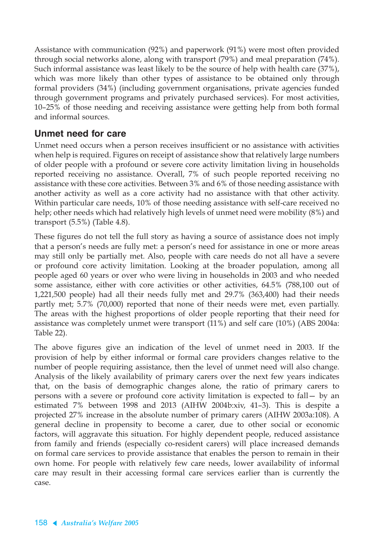Assistance with communication (92%) and paperwork (91%) were most often provided through social networks alone, along with transport (79%) and meal preparation (74%). Such informal assistance was least likely to be the source of help with health care (37%), which was more likely than other types of assistance to be obtained only through formal providers (34%) (including government organisations, private agencies funded through government programs and privately purchased services). For most activities, 10–25% of those needing and receiving assistance were getting help from both formal and informal sources.

### **Unmet need for care**

Unmet need occurs when a person receives insufficient or no assistance with activities when help is required. Figures on receipt of assistance show that relatively large numbers of older people with a profound or severe core activity limitation living in households reported receiving no assistance. Overall, 7% of such people reported receiving no assistance with these core activities. Between 3% and 6% of those needing assistance with another activity as well as a core activity had no assistance with that other activity. Within particular care needs, 10% of those needing assistance with self-care received no help; other needs which had relatively high levels of unmet need were mobility (8%) and transport (5.5%) (Table 4.8).

These figures do not tell the full story as having a source of assistance does not imply that a person's needs are fully met: a person's need for assistance in one or more areas may still only be partially met. Also, people with care needs do not all have a severe or profound core activity limitation. Looking at the broader population, among all people aged 60 years or over who were living in households in 2003 and who needed some assistance, either with core activities or other activities, 64.5% (788,100 out of 1,221,500 people) had all their needs fully met and 29.7% (363,400) had their needs partly met; 5.7% (70,000) reported that none of their needs were met, even partially. The areas with the highest proportions of older people reporting that their need for assistance was completely unmet were transport (11%) and self care (10%) (ABS 2004a: Table 22).

The above figures give an indication of the level of unmet need in 2003. If the provision of help by either informal or formal care providers changes relative to the number of people requiring assistance, then the level of unmet need will also change. Analysis of the likely availability of primary carers over the next few years indicates that, on the basis of demographic changes alone, the ratio of primary carers to persons with a severe or profound core activity limitation is expected to fall— by an estimated 7% between 1998 and 2013 (AIHW 2004b:xiv, 41–3). This is despite a projected 27% increase in the absolute number of primary carers (AIHW 2003a:108). A general decline in propensity to become a carer, due to other social or economic factors, will aggravate this situation. For highly dependent people, reduced assistance from family and friends (especially co-resident carers) will place increased demands on formal care services to provide assistance that enables the person to remain in their own home. For people with relatively few care needs, lower availability of informal care may result in their accessing formal care services earlier than is currently the case.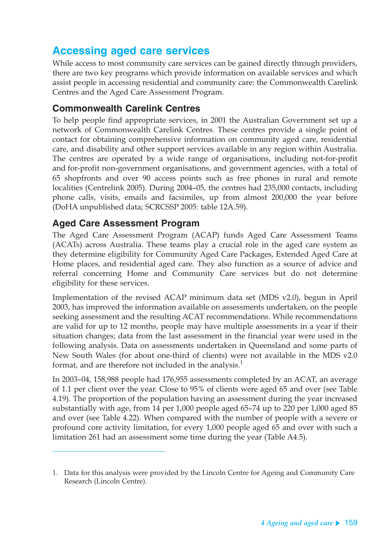# **Accessing aged care services**

While access to most community care services can be gained directly through providers, there are two key programs which provide information on available services and which assist people in accessing residential and community care: the Commonwealth Carelink Centres and the Aged Care Assessment Program.

### **Commonwealth Carelink Centres**

To help people find appropriate services, in 2001 the Australian Government set up a network of Commonwealth Carelink Centres. These centres provide a single point of contact for obtaining comprehensive information on community aged care, residential care, and disability and other support services available in any region within Australia. The centres are operated by a wide range of organisations, including not-for-profit and for-profit non-government organisations, and government agencies, with a total of 65 shopfronts and over 90 access points such as free phones in rural and remote localities (Centrelink 2005). During 2004–05, the centres had 235,000 contacts, including phone calls, visits, emails and facsimiles, up from almost 200,000 the year before (DoHA unpublished data; SCRCSSP 2005: table 12A.59).

### **Aged Care Assessment Program**

The Aged Care Assessment Program (ACAP) funds Aged Care Assessment Teams (ACATs) across Australia. These teams play a crucial role in the aged care system as they determine eligibility for Community Aged Care Packages, Extended Aged Care at Home places, and residential aged care. They also function as a source of advice and referral concerning Home and Community Care services but do not determine eligibility for these services.

Implementation of the revised ACAP minimum data set (MDS v2.0), begun in April 2003, has improved the information available on assessments undertaken, on the people seeking assessment and the resulting ACAT recommendations. While recommendations are valid for up to 12 months, people may have multiple assessments in a year if their situation changes; data from the last assessment in the financial year were used in the following analysis. Data on assessments undertaken in Queensland and some parts of New South Wales (for about one-third of clients) were not available in the MDS v2.0 format, and are therefore not included in the analysis. $<sup>1</sup>$ </sup>

In 2003–04, 158,988 people had 176,955 assessments completed by an ACAT, an average of 1.1 per client over the year. Close to 95% of clients were aged 65 and over (see Table 4.19). The proportion of the population having an assessment during the year increased substantially with age, from 14 per 1,000 people aged 65–74 up to 220 per 1,000 aged 85 and over (see Table 4.22). When compared with the number of people with a severe or profound core activity limitation, for every 1,000 people aged 65 and over with such a limitation 261 had an assessment some time during the year (Table A4.5).

<sup>1.</sup> Data for this analysis were provided by the Lincoln Centre for Ageing and Community Care Research (Lincoln Centre).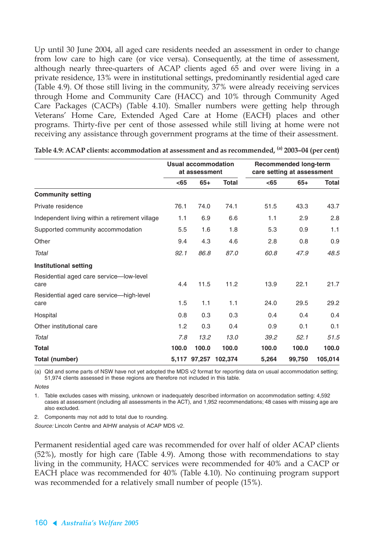Up until 30 June 2004, all aged care residents needed an assessment in order to change from low care to high care (or vice versa). Consequently, at the time of assessment, although nearly three-quarters of ACAP clients aged 65 and over were living in a private residence, 13% were in institutional settings, predominantly residential aged care (Table 4.9). Of those still living in the community, 37% were already receiving services through Home and Community Care (HACC) and 10% through Community Aged Care Packages (CACPs) (Table 4.10). Smaller numbers were getting help through Veterans' Home Care, Extended Aged Care at Home (EACH) places and other programs. Thirty-five per cent of those assessed while still living at home were not receiving any assistance through government programs at the time of their assessment.

|                                                  | Usual accommodation<br>at assessment |              |              |       | <b>Recommended long-term</b><br>care setting at assessment |              |  |
|--------------------------------------------------|--------------------------------------|--------------|--------------|-------|------------------------------------------------------------|--------------|--|
|                                                  | $<$ 65                               | $65+$        | <b>Total</b> | $65$  | $65+$                                                      | <b>Total</b> |  |
| <b>Community setting</b>                         |                                      |              |              |       |                                                            |              |  |
| Private residence                                | 76.1                                 | 74.0         | 74.1         | 51.5  | 43.3                                                       | 43.7         |  |
| Independent living within a retirement village   | 1.1                                  | 6.9          | 6.6          | 1.1   | 2.9                                                        | 2.8          |  |
| Supported community accommodation                | 5.5                                  | 1.6          | 1.8          | 5.3   | 0.9                                                        | 1.1          |  |
| Other                                            | 9.4                                  | 4.3          | 4.6          | 2.8   | 0.8                                                        | 0.9          |  |
| Total                                            | 92.1                                 | 86.8         | 87.0         | 60.8  | 47.9                                                       | 48.5         |  |
| <b>Institutional setting</b>                     |                                      |              |              |       |                                                            |              |  |
| Residential aged care service-low-level<br>care  | 4.4                                  | 11.5         | 11.2         | 13.9  | 22.1                                                       | 21.7         |  |
| Residential aged care service-high-level<br>care | 1.5                                  | 1.1          | 1.1          | 24.0  | 29.5                                                       | 29.2         |  |
| Hospital                                         | 0.8                                  | 0.3          | 0.3          | 0.4   | 0.4                                                        | 0.4          |  |
| Other institutional care                         | 1.2                                  | 0.3          | 0.4          | 0.9   | 0.1                                                        | 0.1          |  |
| Total                                            | 7.8                                  | 13.2         | 13.0         | 39.2  | 52.1                                                       | 51.5         |  |
| <b>Total</b>                                     | 100.0                                | 100.0        | 100.0        | 100.0 | 100.0                                                      | 100.0        |  |
| Total (number)                                   |                                      | 5,117 97,257 | 102.374      | 5,264 | 99,750                                                     | 105,014      |  |

|  | Table 4.9: ACAP clients: accommodation at assessment and as recommended, <sup>(a)</sup> 2003–04 (per cent) |  |  |  |
|--|------------------------------------------------------------------------------------------------------------|--|--|--|
|--|------------------------------------------------------------------------------------------------------------|--|--|--|

(a) Qld and some parts of NSW have not yet adopted the MDS v2 format for reporting data on usual accommodation setting; 51,974 clients assessed in these regions are therefore not included in this table.

**Notes** 

1. Table excludes cases with missing, unknown or inadequately described information on accommodation setting: 4,592 cases at assessment (including all assessments in the ACT), and 1,952 recommendations; 48 cases with missing age are also excluded.

2. Components may not add to total due to rounding.

Source: Lincoln Centre and AIHW analysis of ACAP MDS v2.

Permanent residential aged care was recommended for over half of older ACAP clients (52%), mostly for high care (Table 4.9). Among those with recommendations to stay living in the community, HACC services were recommended for 40% and a CACP or EACH place was recommended for 40% (Table 4.10). No continuing program support was recommended for a relatively small number of people (15%).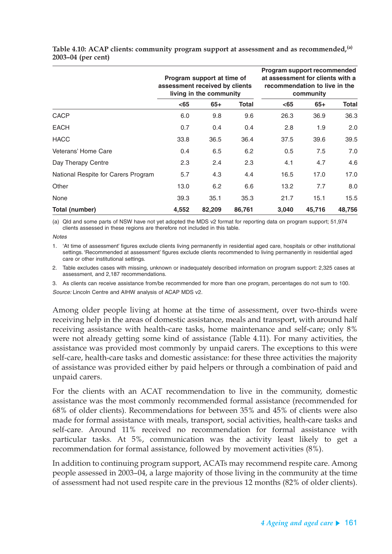|                                     | assessment received by clients | Program support at time of<br>living in the community |        | Program support recommended<br>at assessment for clients with a<br>recommendation to live in the<br>community |        |              |  |
|-------------------------------------|--------------------------------|-------------------------------------------------------|--------|---------------------------------------------------------------------------------------------------------------|--------|--------------|--|
|                                     | $65$                           | $65+$                                                 | Total  | $65$                                                                                                          | $65+$  | <b>Total</b> |  |
| <b>CACP</b>                         | 6.0                            | 9.8                                                   | 9.6    | 26.3                                                                                                          | 36.9   | 36.3         |  |
| <b>EACH</b>                         | 0.7                            | 0.4                                                   | 0.4    | 2.8                                                                                                           | 1.9    | 2.0          |  |
| <b>HACC</b>                         | 33.8                           | 36.5                                                  | 36.4   | 37.5                                                                                                          | 39.6   | 39.5         |  |
| Veterans' Home Care                 | 0.4                            | 6.5                                                   | 6.2    | 0.5                                                                                                           | 7.5    | 7.0          |  |
| Day Therapy Centre                  | 2.3                            | 2.4                                                   | 2.3    | 4.1                                                                                                           | 4.7    | 4.6          |  |
| National Respite for Carers Program | 5.7                            | 4.3                                                   | 4.4    | 16.5                                                                                                          | 17.0   | 17.0         |  |
| Other                               | 13.0                           | 6.2                                                   | 6.6    | 13.2                                                                                                          | 7.7    | 8.0          |  |
| None                                | 39.3                           | 35.1                                                  | 35.3   | 21.7                                                                                                          | 15.1   | 15.5         |  |
| Total (number)                      | 4,552                          | 82,209                                                | 86,761 | 3,040                                                                                                         | 45,716 | 48,756       |  |

**Table 4.10: ACAP clients: community program support at assessment and as recommended,(a) 2003–04 (per cent)**

(a) Qld and some parts of NSW have not yet adopted the MDS v2 format for reporting data on program support; 51,974 clients assessed in these regions are therefore not included in this table.

**Notes** 

1. 'At time of assessment' figures exclude clients living permanently in residential aged care, hospitals or other institutional settings. 'Recommended at assessment' figures exclude clients recommended to living permanently in residential aged care or other institutional settings.

2. Table excludes cases with missing, unknown or inadequately described information on program support: 2,325 cases at assessment, and 2,187 recommendations.

3. As clients can receive assistance from/be recommended for more than one program, percentages do not sum to 100. Source: Lincoln Centre and AIHW analysis of ACAP MDS v2.

Among older people living at home at the time of assessment, over two-thirds were receiving help in the areas of domestic assistance, meals and transport, with around half receiving assistance with health-care tasks, home maintenance and self-care; only 8% were not already getting some kind of assistance (Table 4.11). For many activities, the assistance was provided most commonly by unpaid carers. The exceptions to this were self-care, health-care tasks and domestic assistance: for these three activities the majority of assistance was provided either by paid helpers or through a combination of paid and unpaid carers.

For the clients with an ACAT recommendation to live in the community, domestic assistance was the most commonly recommended formal assistance (recommended for 68% of older clients). Recommendations for between 35% and 45% of clients were also made for formal assistance with meals, transport, social activities, health-care tasks and self-care. Around 11% received no recommendation for formal assistance with particular tasks. At 5%, communication was the activity least likely to get a recommendation for formal assistance, followed by movement activities (8%).

In addition to continuing program support, ACATs may recommend respite care. Among people assessed in 2003–04, a large majority of those living in the community at the time of assessment had not used respite care in the previous 12 months (82% of older clients).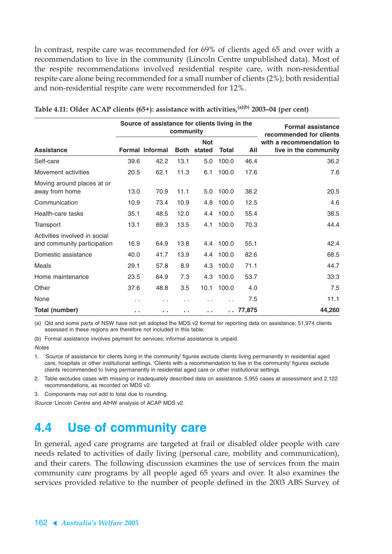In contrast, respite care was recommended for 69% of clients aged 65 and over with a recommendation to live in the community (Lincoln Centre unpublished data). Most of the respite recommendations involved residential respite care, with non-residential respite care alone being recommended for a small number of clients (2%); both residential and non-residential respite care were recommended for 12%.

|                                                              |      | Source of assistance for clients living in the | community   | <b>Formal assistance</b><br>recommended for clients |              |        |                                                   |
|--------------------------------------------------------------|------|------------------------------------------------|-------------|-----------------------------------------------------|--------------|--------|---------------------------------------------------|
| <b>Assistance</b>                                            |      | <b>Formal Informal</b>                         | <b>Both</b> | <b>Not</b><br>stated                                | <b>Total</b> | All    | with a recommendation to<br>live in the community |
| Self-care                                                    | 39.6 | 42.2                                           | 13.1        | 5.0                                                 | 100.0        | 46.4   | 36.2                                              |
| Movement activities                                          | 20.5 | 62.1                                           | 11.3        | 6.1                                                 | 100.0        | 17.6   | 7.6                                               |
| Moving around places at or<br>away from home                 | 13.0 | 70.9                                           | 11.1        | 5.0                                                 | 100.0        | 38.2   | 20.5                                              |
| Communication                                                | 10.9 | 73.4                                           | 10.9        | 4.8                                                 | 100.0        | 12.5   | 4.6                                               |
| Health-care tasks                                            | 35.1 | 48.5                                           | 12.0        | 4.4                                                 | 100.0        | 55.4   | 38.5                                              |
| Transport                                                    | 13.1 | 69.3                                           | 13.5        | 4.1                                                 | 100.0        | 70.3   | 44.4                                              |
| Activities involved in social<br>and community participation | 16.9 | 64.9                                           | 13.8        | 4.4                                                 | 100.0        | 55.1   | 42.4                                              |
| Domestic assistance                                          | 40.0 | 41.7                                           | 13.9        | 4.4                                                 | 100.0        | 82.6   | 68.5                                              |
| Meals                                                        | 29.1 | 57.8                                           | 8.9         | 4.3                                                 | 100.0        | 71.1   | 44.7                                              |
| Home maintenance                                             | 23.5 | 64.9                                           | 7.3         | 4.3                                                 | 100.0        | 53.7   | 33.3                                              |
| Other                                                        | 37.6 | 48.8                                           | 3.5         | 10.1                                                | 100.0        | 4.0    | 7.5                                               |
| None                                                         | . .  |                                                |             |                                                     |              | 7.5    | 11.1                                              |
| Total (number)                                               | a, a | . .                                            | . .         | . .                                                 |              | 77,875 | 44,260                                            |

| Table 4.11: Older ACAP clients (65+): assistance with activities, $^{(a)(b)}$ 2003–04 (per cent) |  |  |  |
|--------------------------------------------------------------------------------------------------|--|--|--|
|--------------------------------------------------------------------------------------------------|--|--|--|

(a) Qld and some parts of NSW have not yet adopted the MDS v2 format for reporting data on assistance; 51,974 clients assessed in these regions are therefore not included in this table.

(b) Formal assistance involves payment for services; informal assistance is unpaid.

**Notes** 

1. 'Source of assistance for clients living in the community' figures exclude clients living permanently in residential aged care, hospitals or other institutional settings. 'Clients with a recommendation to live in the community' figures exclude clients recommended to living permanently in residential aged care or other institutional settings.

2. Table excludes cases with missing or inadequately described data on assistance: 5,955 cases at assessment and 2,122 recommendations, as recorded on MDS v2.

3. Components may not add to total due to rounding.

Source: Lincoln Centre and AIHW analysis of ACAP MDS v2.

# **4.4 Use of community care**

In general, aged care programs are targeted at frail or disabled older people with care needs related to activities of daily living (personal care, mobility and communication), and their carers. The following discussion examines the use of services from the main community care programs by all people aged 65 years and over. It also examines the services provided relative to the number of people defined in the 2003 ABS Survey of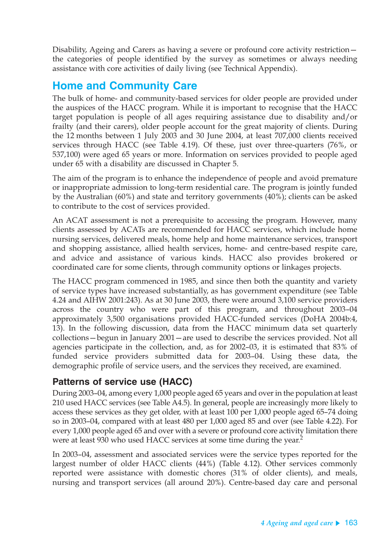Disability, Ageing and Carers as having a severe or profound core activity restriction the categories of people identified by the survey as sometimes or always needing assistance with core activities of daily living (see Technical Appendix).

# **Home and Community Care**

The bulk of home- and community-based services for older people are provided under the auspices of the HACC program. While it is important to recognise that the HACC target population is people of all ages requiring assistance due to disability and/or frailty (and their carers), older people account for the great majority of clients. During the 12 months between 1 July 2003 and 30 June 2004, at least 707,000 clients received services through HACC (see Table 4.19). Of these, just over three-quarters (76%, or 537,100) were aged 65 years or more. Information on services provided to people aged under 65 with a disability are discussed in Chapter 5.

The aim of the program is to enhance the independence of people and avoid premature or inappropriate admission to long-term residential care. The program is jointly funded by the Australian (60%) and state and territory governments (40%); clients can be asked to contribute to the cost of services provided.

An ACAT assessment is not a prerequisite to accessing the program. However, many clients assessed by ACATs are recommended for HACC services, which include home nursing services, delivered meals, home help and home maintenance services, transport and shopping assistance, allied health services, home- and centre-based respite care, and advice and assistance of various kinds. HACC also provides brokered or coordinated care for some clients, through community options or linkages projects.

The HACC program commenced in 1985, and since then both the quantity and variety of service types have increased substantially, as has government expenditure (see Table 4.24 and AIHW 2001:243). As at 30 June 2003, there were around 3,100 service providers across the country who were part of this program, and throughout 2003–04 approximately 3,500 organisations provided HACC-funded services (DoHA 2004b:4, 13). In the following discussion, data from the HACC minimum data set quarterly collections—begun in January 2001—are used to describe the services provided. Not all agencies participate in the collection, and, as for 2002–03, it is estimated that 83% of funded service providers submitted data for 2003–04. Using these data, the demographic profile of service users, and the services they received, are examined.

### **Patterns of service use (HACC)**

During 2003–04, among every 1,000 people aged 65 years and over in the population at least 210 used HACC services (see Table A4.5). In general, people are increasingly more likely to access these services as they get older, with at least 100 per 1,000 people aged 65–74 doing so in 2003–04, compared with at least 480 per 1,000 aged 85 and over (see Table 4.22). For every 1,000 people aged 65 and over with a severe or profound core activity limitation there were at least 930 who used HACC services at some time during the year.<sup>2</sup>

In 2003–04, assessment and associated services were the service types reported for the largest number of older HACC clients (44%) (Table 4.12). Other services commonly reported were assistance with domestic chores (31% of older clients), and meals, nursing and transport services (all around 20%). Centre-based day care and personal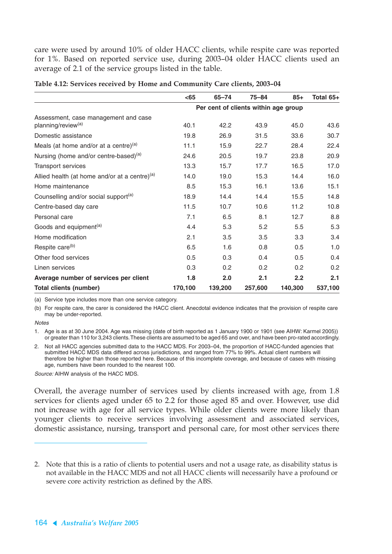care were used by around 10% of older HACC clients, while respite care was reported for 1%. Based on reported service use, during 2003–04 older HACC clients used an average of 2.1 of the service groups listed in the table.

|                                                           | $65$    | $65 - 74$                            | $75 - 84$ | $85+$   | Total 65+ |
|-----------------------------------------------------------|---------|--------------------------------------|-----------|---------|-----------|
|                                                           |         | Per cent of clients within age group |           |         |           |
| Assessment, case management and case                      |         |                                      |           |         |           |
| planning/review <sup>(a)</sup>                            | 40.1    | 42.2                                 | 43.9      | 45.0    | 43.6      |
| Domestic assistance                                       | 19.8    | 26.9                                 | 31.5      | 33.6    | 30.7      |
| Meals (at home and/or at a centre) $(a)$                  | 11.1    | 15.9                                 | 22.7      | 28.4    | 22.4      |
| Nursing (home and/or centre-based) <sup>(a)</sup>         | 24.6    | 20.5                                 | 19.7      | 23.8    | 20.9      |
| <b>Transport services</b>                                 | 13.3    | 15.7                                 | 17.7      | 16.5    | 17.0      |
| Allied health (at home and/or at a centre) <sup>(a)</sup> | 14.0    | 19.0                                 | 15.3      | 14.4    | 16.0      |
| Home maintenance                                          | 8.5     | 15.3                                 | 16.1      | 13.6    | 15.1      |
| Counselling and/or social support <sup>(a)</sup>          | 18.9    | 14.4                                 | 14.4      | 15.5    | 14.8      |
| Centre-based day care                                     | 11.5    | 10.7                                 | 10.6      | 11.2    | 10.8      |
| Personal care                                             | 7.1     | 6.5                                  | 8.1       | 12.7    | 8.8       |
| Goods and equipment <sup>(a)</sup>                        | 4.4     | 5.3                                  | 5.2       | 5.5     | 5.3       |
| Home modification                                         | 2.1     | 3.5                                  | 3.5       | 3.3     | 3.4       |
| Respite care <sup>(b)</sup>                               | 6.5     | 1.6                                  | 0.8       | 0.5     | 1.0       |
| Other food services                                       | 0.5     | 0.3                                  | 0.4       | 0.5     | 0.4       |
| Linen services                                            | 0.3     | 0.2                                  | 0.2       | 0.2     | 0.2       |
| Average number of services per client                     | 1.8     | 2.0                                  | 2.1       | 2.2     | 2.1       |
| <b>Total clients (number)</b>                             | 170,100 | 139,200                              | 257,600   | 140,300 | 537,100   |

|  |  |  | Table 4.12: Services received by Home and Community Care clients, 2003-04 |  |  |
|--|--|--|---------------------------------------------------------------------------|--|--|
|  |  |  |                                                                           |  |  |

(a) Service type includes more than one service category.

(b) For respite care, the carer is considered the HACC client. Anecdotal evidence indicates that the provision of respite care may be under-reported.

**Notes** 

1. Age is as at 30 June 2004. Age was missing (date of birth reported as 1 January 1900 or 1901 (see AIHW: Karmel 2005)) or greater than 110 for 3,243 clients. These clients are assumed to be aged 65 and over, and have been pro-rated accordingly.

2. Not all HACC agencies submitted data to the HACC MDS. For 2003–04, the proportion of HACC-funded agencies that submitted HACC MDS data differed across jurisdictions, and ranged from 77% to 99%. Actual client numbers will therefore be higher than those reported here. Because of this incomplete coverage, and because of cases with missing age, numbers have been rounded to the nearest 100.

Source: AIHW analysis of the HACC MDS.

Overall, the average number of services used by clients increased with age, from 1.8 services for clients aged under 65 to 2.2 for those aged 85 and over. However, use did not increase with age for all service types. While older clients were more likely than younger clients to receive services involving assessment and associated services, domestic assistance, nursing, transport and personal care, for most other services there

<sup>2.</sup> Note that this is a ratio of clients to potential users and not a usage rate, as disability status is not available in the HACC MDS and not all HACC clients will necessarily have a profound or severe core activity restriction as defined by the ABS.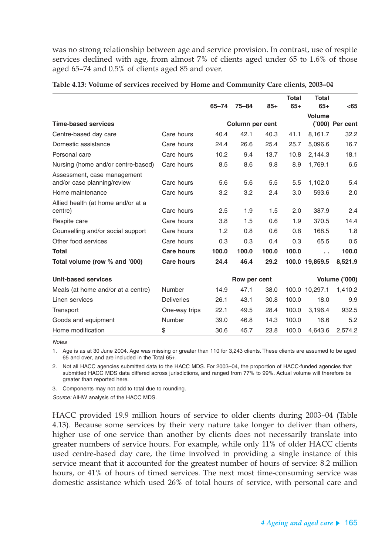was no strong relationship between age and service provision. In contrast, use of respite services declined with age, from almost 7% of clients aged under 65 to 1.6% of those aged 65–74 and 0.5% of clients aged 85 and over.

|                                    |                   |           |                 |       | <b>Total</b> | <b>Total</b>   |                      |
|------------------------------------|-------------------|-----------|-----------------|-------|--------------|----------------|----------------------|
|                                    |                   | $65 - 74$ | $75 - 84$       | $85+$ | $65+$        | $65+$          | $65$                 |
|                                    |                   |           |                 |       |              | <b>Volume</b>  |                      |
| <b>Time-based services</b>         |                   |           | Column per cent |       |              |                | ('000) Per cent      |
| Centre-based day care              | Care hours        | 40.4      | 42.1            | 40.3  | 41.1         | 8,161.7        | 32.2                 |
| Domestic assistance                | Care hours        | 24.4      | 26.6            | 25.4  | 25.7         | 5,096.6        | 16.7                 |
| Personal care                      | Care hours        | 10.2      | 9.4             | 13.7  | 10.8         | 2.144.3        | 18.1                 |
| Nursing (home and/or centre-based) | Care hours        | 8.5       | 8.6             | 9.8   | 8.9          | 1.769.1        | 6.5                  |
| Assessment, case management        |                   |           |                 |       |              |                |                      |
| and/or case planning/review        | Care hours        | 5.6       | 5.6             | 5.5   | 5.5          | 1,102.0        | 5.4                  |
| Home maintenance                   | Care hours        | 3.2       | 3.2             | 2.4   | 3.0          | 593.6          | 2.0                  |
| Allied health (at home and/or at a |                   |           |                 |       |              |                |                      |
| centre)                            | Care hours        | 2.5       | 1.9             | 1.5   | 2.0          | 387.9          | 2.4                  |
| Respite care                       | Care hours        | 3.8       | 1.5             | 0.6   | 1.9          | 370.5          | 14.4                 |
| Counselling and/or social support  | Care hours        | 1.2       | 0.8             | 0.6   | 0.8          | 168.5          | 1.8                  |
| Other food services                | Care hours        | 0.3       | 0.3             | 0.4   | 0.3          | 65.5           | 0.5                  |
| <b>Total</b>                       | <b>Care hours</b> | 100.0     | 100.0           | 100.0 | 100.0        | . .            | 100.0                |
| Total volume (row % and '000)      | <b>Care hours</b> | 24.4      | 46.4            | 29.2  |              | 100.0 19,859.5 | 8,521.9              |
| <b>Unit-based services</b>         |                   |           | Row per cent    |       |              |                | <b>Volume ('000)</b> |
| Meals (at home and/or at a centre) | <b>Number</b>     | 14.9      | 47.1            | 38.0  |              | 100.0 10,297.1 | 1,410.2              |
| Linen services                     | <b>Deliveries</b> | 26.1      | 43.1            | 30.8  | 100.0        | 18.0           | 9.9                  |
| Transport                          | One-way trips     | 22.1      | 49.5            | 28.4  | 100.0        | 3,196.4        | 932.5                |
| Goods and equipment                | <b>Number</b>     | 39.0      | 46.8            | 14.3  | 100.0        | 16.6           | 5.2                  |
| Home modification                  | \$                | 30.6      | 45.7            | 23.8  | 100.0        | 4.643.6        | 2,574.2              |

**Table 4.13: Volume of services received by Home and Community Care clients, 2003–04**

**Notes** 

1. Age is as at 30 June 2004. Age was missing or greater than 110 for 3,243 clients. These clients are assumed to be aged 65 and over, and are included in the Total 65+.

2. Not all HACC agencies submitted data to the HACC MDS. For 2003–04, the proportion of HACC-funded agencies that submitted HACC MDS data differed across jurisdictions, and ranged from 77% to 99%. Actual volume will therefore be greater than reported here.

3. Components may not add to total due to rounding.

Source: AIHW analysis of the HACC MDS.

HACC provided 19.9 million hours of service to older clients during 2003–04 (Table 4.13). Because some services by their very nature take longer to deliver than others, higher use of one service than another by clients does not necessarily translate into greater numbers of service hours. For example, while only 11% of older HACC clients used centre-based day care, the time involved in providing a single instance of this service meant that it accounted for the greatest number of hours of service: 8.2 million hours, or 41% of hours of timed services. The next most time-consuming service was domestic assistance which used 26% of total hours of service, with personal care and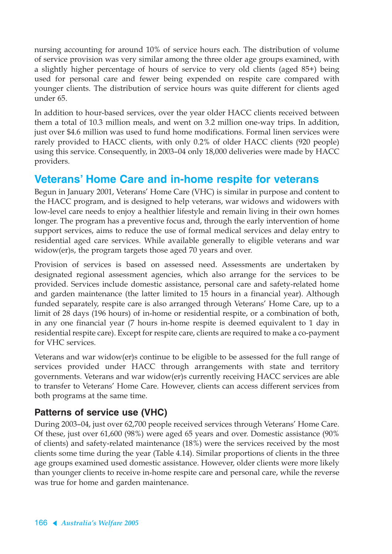nursing accounting for around 10% of service hours each. The distribution of volume of service provision was very similar among the three older age groups examined, with a slightly higher percentage of hours of service to very old clients (aged 85+) being used for personal care and fewer being expended on respite care compared with younger clients. The distribution of service hours was quite different for clients aged under 65.

In addition to hour-based services, over the year older HACC clients received between them a total of 10.3 million meals, and went on 3.2 million one-way trips. In addition, just over \$4.6 million was used to fund home modifications. Formal linen services were rarely provided to HACC clients, with only 0.2% of older HACC clients (920 people) using this service. Consequently, in 2003–04 only 18,000 deliveries were made by HACC providers.

# **Veterans' Home Care and in-home respite for veterans**

Begun in January 2001, Veterans' Home Care (VHC) is similar in purpose and content to the HACC program, and is designed to help veterans, war widows and widowers with low-level care needs to enjoy a healthier lifestyle and remain living in their own homes longer. The program has a preventive focus and, through the early intervention of home support services, aims to reduce the use of formal medical services and delay entry to residential aged care services. While available generally to eligible veterans and war widow(er)s, the program targets those aged 70 years and over.

Provision of services is based on assessed need. Assessments are undertaken by designated regional assessment agencies, which also arrange for the services to be provided. Services include domestic assistance, personal care and safety-related home and garden maintenance (the latter limited to 15 hours in a financial year). Although funded separately, respite care is also arranged through Veterans' Home Care, up to a limit of 28 days (196 hours) of in-home or residential respite, or a combination of both, in any one financial year (7 hours in-home respite is deemed equivalent to 1 day in residential respite care). Except for respite care, clients are required to make a co-payment for VHC services.

Veterans and war widow(er)s continue to be eligible to be assessed for the full range of services provided under HACC through arrangements with state and territory governments. Veterans and war widow(er)s currently receiving HACC services are able to transfer to Veterans' Home Care. However, clients can access different services from both programs at the same time.

### **Patterns of service use (VHC)**

During 2003–04, just over 62,700 people received services through Veterans' Home Care. Of these, just over 61,600 (98%) were aged 65 years and over. Domestic assistance (90% of clients) and safety-related maintenance (18%) were the services received by the most clients some time during the year (Table 4.14). Similar proportions of clients in the three age groups examined used domestic assistance. However, older clients were more likely than younger clients to receive in-home respite care and personal care, while the reverse was true for home and garden maintenance.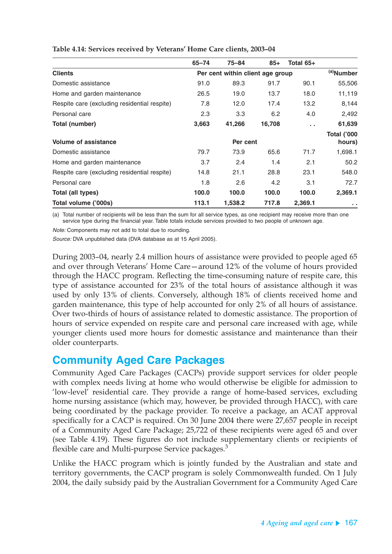|                                              | $65 - 74$ | $75 - 84$                        | $85+$  | Total 65+     |                              |
|----------------------------------------------|-----------|----------------------------------|--------|---------------|------------------------------|
| <b>Clients</b>                               |           | Per cent within client age group |        |               | <sup>(a)</sup> Number        |
| Domestic assistance                          | 91.0      | 89.3                             | 91.7   | 90.1          | 55,506                       |
| Home and garden maintenance                  | 26.5      | 19.0                             | 13.7   | 18.0          | 11,119                       |
| Respite care (excluding residential respite) | 7.8       | 12.0                             | 17.4   | 13.2          | 8,144                        |
| Personal care                                | 2.3       | 3.3                              | 6.2    | 4.0           | 2,492                        |
| Total (number)                               | 3,663     | 41,266                           | 16,708 | $\sim$ $\sim$ | 61,639                       |
| <b>Volume of assistance</b>                  |           | Per cent                         |        |               | <b>Total ('000</b><br>hours) |
| Domestic assistance                          | 79.7      | 73.9                             | 65.6   | 71.7          | 1,698.1                      |
| Home and garden maintenance                  | 3.7       | 2.4                              | 1.4    | 2.1           | 50.2                         |
| Respite care (excluding residential respite) | 14.8      | 21.1                             | 28.8   | 23.1          | 548.0                        |
| Personal care                                | 1.8       | 2.6                              | 4.2    | 3.1           | 72.7                         |
| Total (all types)                            | 100.0     | 100.0                            | 100.0  | 100.0         | 2,369.1                      |
| Total volume ('000s)                         | 113.1     | 1,538.2                          | 717.8  | 2,369.1       | $\sim$                       |

**Table 4.14: Services received by Veterans' Home Care clients, 2003–04**

(a) Total number of recipients will be less than the sum for all service types, as one recipient may receive more than one service type during the financial year. Table totals include services provided to two people of unknown age.

Note: Components may not add to total due to rounding.

Source: DVA unpublished data (DVA database as at 15 April 2005).

During 2003–04, nearly 2.4 million hours of assistance were provided to people aged 65 and over through Veterans' Home Care—around 12% of the volume of hours provided through the HACC program. Reflecting the time-consuming nature of respite care, this type of assistance accounted for 23% of the total hours of assistance although it was used by only 13% of clients. Conversely, although 18% of clients received home and garden maintenance, this type of help accounted for only 2% of all hours of assistance. Over two-thirds of hours of assistance related to domestic assistance. The proportion of hours of service expended on respite care and personal care increased with age, while younger clients used more hours for domestic assistance and maintenance than their older counterparts.

### **Community Aged Care Packages**

Community Aged Care Packages (CACPs) provide support services for older people with complex needs living at home who would otherwise be eligible for admission to 'low-level' residential care. They provide a range of home-based services, excluding home nursing assistance (which may, however, be provided through HACC), with care being coordinated by the package provider. To receive a package, an ACAT approval specifically for a CACP is required. On 30 June 2004 there were 27,657 people in receipt of a Community Aged Care Package; 25,722 of these recipients were aged 65 and over (see Table 4.19). These figures do not include supplementary clients or recipients of flexible care and Multi-purpose Service packages.<sup>3</sup>

Unlike the HACC program which is jointly funded by the Australian and state and territory governments, the CACP program is solely Commonwealth funded. On 1 July 2004, the daily subsidy paid by the Australian Government for a Community Aged Care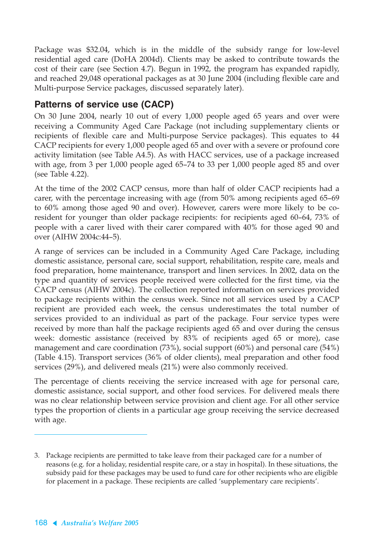Package was \$32.04, which is in the middle of the subsidy range for low-level residential aged care (DoHA 2004d). Clients may be asked to contribute towards the cost of their care (see Section 4.7). Begun in 1992, the program has expanded rapidly, and reached 29,048 operational packages as at 30 June 2004 (including flexible care and Multi-purpose Service packages, discussed separately later).

### **Patterns of service use (CACP)**

On 30 June 2004, nearly 10 out of every 1,000 people aged 65 years and over were receiving a Community Aged Care Package (not including supplementary clients or recipients of flexible care and Multi-purpose Service packages). This equates to 44 CACP recipients for every 1,000 people aged 65 and over with a severe or profound core activity limitation (see Table A4.5). As with HACC services, use of a package increased with age, from 3 per 1,000 people aged 65–74 to 33 per 1,000 people aged 85 and over (see Table 4.22).

At the time of the 2002 CACP census, more than half of older CACP recipients had a carer, with the percentage increasing with age (from 50% among recipients aged 65–69 to 60% among those aged 90 and over). However, carers were more likely to be coresident for younger than older package recipients: for recipients aged 60–64, 73% of people with a carer lived with their carer compared with 40% for those aged 90 and over (AIHW 2004c:44–5).

A range of services can be included in a Community Aged Care Package, including domestic assistance, personal care, social support, rehabilitation, respite care, meals and food preparation, home maintenance, transport and linen services. In 2002, data on the type and quantity of services people received were collected for the first time, via the CACP census (AIHW 2004c). The collection reported information on services provided to package recipients within the census week. Since not all services used by a CACP recipient are provided each week, the census underestimates the total number of services provided to an individual as part of the package. Four service types were received by more than half the package recipients aged 65 and over during the census week: domestic assistance (received by 83% of recipients aged 65 or more), case management and care coordination (73%), social support (60%) and personal care (54%) (Table 4.15). Transport services (36% of older clients), meal preparation and other food services (29%), and delivered meals (21%) were also commonly received.

The percentage of clients receiving the service increased with age for personal care, domestic assistance, social support, and other food services. For delivered meals there was no clear relationship between service provision and client age. For all other service types the proportion of clients in a particular age group receiving the service decreased with age.

<sup>3.</sup> Package recipients are permitted to take leave from their packaged care for a number of reasons (e.g. for a holiday, residential respite care, or a stay in hospital). In these situations, the subsidy paid for these packages may be used to fund care for other recipients who are eligible for placement in a package. These recipients are called 'supplementary care recipients'.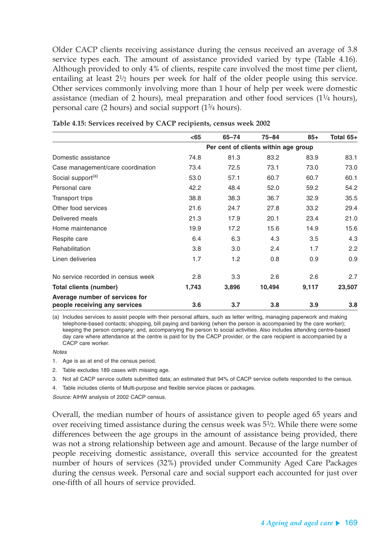Older CACP clients receiving assistance during the census received an average of 3.8 service types each. The amount of assistance provided varied by type (Table 4.16). Although provided to only 4% of clients, respite care involved the most time per client, entailing at least  $2^{1/2}$  hours per week for half of the older people using this service. Other services commonly involving more than 1 hour of help per week were domestic assistance (median of 2 hours), meal preparation and other food services  $(1^{1/4}$  hours), personal care (2 hours) and social support  $(1^{3}/4 \text{ hours})$ .

|                                    | $65$  | $65 - 74$ | $75 - 84$                            | $85+$ | Total 65+ |
|------------------------------------|-------|-----------|--------------------------------------|-------|-----------|
|                                    |       |           | Per cent of clients within age group |       |           |
| Domestic assistance                | 74.8  | 81.3      | 83.2                                 | 83.9  | 83.1      |
| Case management/care coordination  | 73.4  | 72.5      | 73.1                                 | 73.0  | 73.0      |
| Social support <sup>(a)</sup>      | 53.0  | 57.1      | 60.7                                 | 60.7  | 60.1      |
| Personal care                      | 42.2  | 48.4      | 52.0                                 | 59.2  | 54.2      |
| Transport trips                    | 38.8  | 38.3      | 36.7                                 | 32.9  | 35.5      |
| Other food services                | 21.6  | 24.7      | 27.8                                 | 33.2  | 29.4      |
| Delivered meals                    | 21.3  | 17.9      | 20.1                                 | 23.4  | 21.0      |
| Home maintenance                   | 19.9  | 17.2      | 15.6                                 | 14.9  | 15.6      |
| Respite care                       | 6.4   | 6.3       | 4.3                                  | 3.5   | 4.3       |
| Rehabilitation                     | 3.8   | 3.0       | 2.4                                  | 1.7   | 2.2       |
| Linen deliveries                   | 1.7   | 1.2       | 0.8                                  | 0.9   | 0.9       |
| No service recorded in census week | 2.8   | 3.3       | 2.6                                  | 2.6   | 2.7       |
| Total clients (number)             | 1,743 | 3,896     | 10,494                               | 9,117 | 23,507    |
| Average number of services for     |       |           |                                      |       |           |
| people receiving any services      | 3.6   | 3.7       | 3.8                                  | 3.9   | 3.8       |

**Table 4.15: Services received by CACP recipients, census week 2002**

(a) Includes services to assist people with their personal affairs, such as letter writing, managing paperwork and making telephone-based contacts; shopping, bill paying and banking (when the person is accompanied by the care worker); keeping the person company; and, accompanying the person to social activities. Also includes attending centre-based day care where attendance at the centre is paid for by the CACP provider, or the care recipient is accompanied by a CACP care worker.

**Notes** 

2. Table excludes 189 cases with missing age.

3. Not all CACP service outlets submitted data; an estimated that 94% of CACP service outlets responded to the census.

4. Table includes clients of Multi-purpose and flexible service places or packages.

Source: AIHW analysis of 2002 CACP census.

Overall, the median number of hours of assistance given to people aged 65 years and over receiving timed assistance during the census week was  $5<sup>1</sup>/2$ . While there were some differences between the age groups in the amount of assistance being provided, there was not a strong relationship between age and amount. Because of the large number of people receiving domestic assistance, overall this service accounted for the greatest number of hours of services (32%) provided under Community Aged Care Packages during the census week. Personal care and social support each accounted for just over one-fifth of all hours of service provided.

<sup>1.</sup> Age is as at end of the census period.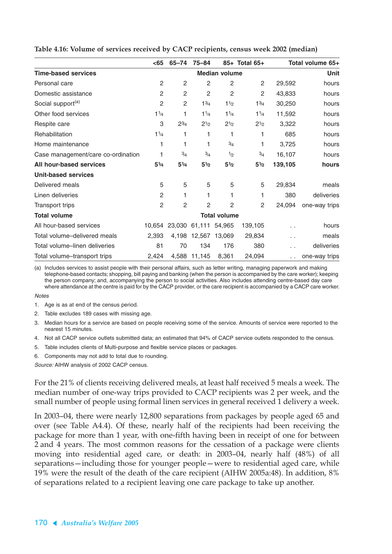|                                    | $65$                          | 65-74          | $75 - 84$            |                      | 85+ Total 65+     |                      | Total volume 65+ |  |
|------------------------------------|-------------------------------|----------------|----------------------|----------------------|-------------------|----------------------|------------------|--|
| <b>Time-based services</b>         |                               |                |                      | <b>Median volume</b> |                   | Unit                 |                  |  |
| Personal care                      | 2                             | 2              | $\overline{c}$       | 2                    | $\overline{2}$    | 29,592               | hours            |  |
| Domestic assistance                | $\overline{c}$                | $\overline{c}$ | $\overline{c}$       | $\overline{2}$       | $\overline{2}$    | 43,833               | hours            |  |
| Social support <sup>(a)</sup>      | $\overline{2}$                | 2              | $1^{3/4}$            | 11/2                 | 13/4              | 30,250               | hours            |  |
| Other food services                | 11/4                          | 1              | 11/4                 | 11/4                 | $1\frac{1}{4}$    | 11,592               | hours            |  |
| Respite care                       | 3                             | $2^{3/4}$      | $2^{1/2}$            | $2^{1/2}$            | $2^{1/2}$         | 3,322                | hours            |  |
| Rehabilitation                     | 1 <sup>1</sup> / <sub>4</sub> | 1              | 1                    | 1                    | 1                 | 685                  | hours            |  |
| Home maintenance                   | 1                             | 1              | 1                    | 3/4                  | 1                 | 3,725                | hours            |  |
| Case management/care co-ordination | 1                             | 3/4            | 3/4                  | 1/2                  | 3/4               | 16,107               | hours            |  |
| All hour-based services            | $5^{1/4}$                     | $5^{1/4}$      | $5^{1/2}$            | 5 <sup>1</sup> /2    | 5 <sup>1</sup> /2 | 139,105              | hours            |  |
| <b>Unit-based services</b>         |                               |                |                      |                      |                   |                      |                  |  |
| Delivered meals                    | 5                             | 5              | 5                    | 5                    | 5                 | 29,834               | meals            |  |
| Linen deliveries                   | 2                             | 1              | 1                    | 1                    | 1                 | 380                  | deliveries       |  |
| Transport trips                    | 2                             | 2              | $\overline{2}$       | $\overline{2}$       | 2                 | 24,094               | one-way trips    |  |
| <b>Total volume</b>                |                               |                |                      | <b>Total volume</b>  |                   |                      |                  |  |
| All hour-based services            |                               |                | 10,654 23,030 61,111 | 54,965               | 139,105           | . .                  | hours            |  |
| Total volume-delivered meals       | 2,393                         |                | 4,198 12,567 13,069  |                      | 29,834            | $\ddot{\phantom{1}}$ | meals            |  |
| Total volume-linen deliveries      | 81                            | 70             | 134                  | 176                  | 380               | . .                  | deliveries       |  |
| Total volume-transport trips       | 2,424                         |                | 4,588 11,145         | 8,361                | 24,094            |                      | one-way trips    |  |

**Table 4.16: Volume of services received by CACP recipients, census week 2002 (median)**

(a) Includes services to assist people with their personal affairs, such as letter writing, managing paperwork and making telephone-based contacts; shopping, bill paying and banking (when the person is accompanied by the care worker); keeping the person company; and, accompanying the person to social activities. Also includes attending centre-based day care where attendance at the centre is paid for by the CACP provider, or the care recipient is accompanied by a CACP care worker.

#### Notes

1. Age is as at end of the census period.

2. Table excludes 189 cases with missing age.

3. Median hours for a service are based on people receiving some of the service. Amounts of service were reported to the nearest 15 minutes.

4. Not all CACP service outlets submitted data; an estimated that 94% of CACP service outlets responded to the census.

5. Table includes clients of Multi-purpose and flexible service places or packages.

6. Components may not add to total due to rounding.

Source: AIHW analysis of 2002 CACP census.

For the 21% of clients receiving delivered meals, at least half received 5 meals a week. The median number of one-way trips provided to CACP recipients was 2 per week, and the small number of people using formal linen services in general received 1 delivery a week.

In 2003–04, there were nearly 12,800 separations from packages by people aged 65 and over (see Table A4.4). Of these, nearly half of the recipients had been receiving the package for more than 1 year, with one-fifth having been in receipt of one for between 2 and 4 years. The most common reasons for the cessation of a package were clients moving into residential aged care, or death: in 2003–04, nearly half (48%) of all separations—including those for younger people—were to residential aged care, while 19% were the result of the death of the care recipient (AIHW 2005a:48). In addition, 8% of separations related to a recipient leaving one care package to take up another.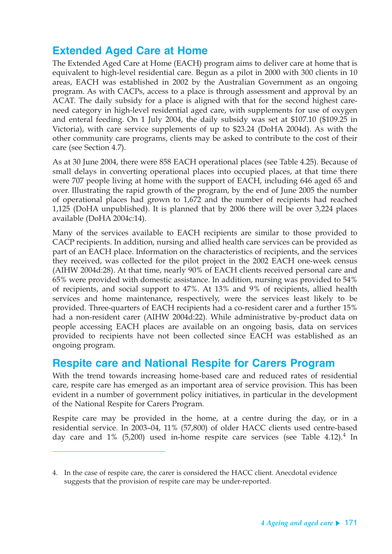# **Extended Aged Care at Home**

The Extended Aged Care at Home (EACH) program aims to deliver care at home that is equivalent to high-level residential care. Begun as a pilot in 2000 with 300 clients in 10 areas, EACH was established in 2002 by the Australian Government as an ongoing program. As with CACPs, access to a place is through assessment and approval by an ACAT. The daily subsidy for a place is aligned with that for the second highest careneed category in high-level residential aged care, with supplements for use of oxygen and enteral feeding. On 1 July 2004, the daily subsidy was set at \$107.10 (\$109.25 in Victoria), with care service supplements of up to \$23.24 (DoHA 2004d). As with the other community care programs, clients may be asked to contribute to the cost of their care (see Section 4.7).

As at 30 June 2004, there were 858 EACH operational places (see Table 4.25). Because of small delays in converting operational places into occupied places, at that time there were 707 people living at home with the support of EACH, including 646 aged 65 and over. Illustrating the rapid growth of the program, by the end of June 2005 the number of operational places had grown to 1,672 and the number of recipients had reached 1,125 (DoHA unpublished). It is planned that by 2006 there will be over 3,224 places available (DoHA 2004c:14).

Many of the services available to EACH recipients are similar to those provided to CACP recipients. In addition, nursing and allied health care services can be provided as part of an EACH place. Information on the characteristics of recipients, and the services they received, was collected for the pilot project in the 2002 EACH one-week census (AIHW 2004d:28). At that time, nearly 90% of EACH clients received personal care and 65% were provided with domestic assistance. In addition, nursing was provided to 54% of recipients, and social support to 47%. At 13% and 9% of recipients, allied health services and home maintenance, respectively, were the services least likely to be provided. Three-quarters of EACH recipients had a co-resident carer and a further 15% had a non-resident carer (AIHW 2004d:22). While administrative by-product data on people accessing EACH places are available on an ongoing basis, data on services provided to recipients have not been collected since EACH was established as an ongoing program.

### **Respite care and National Respite for Carers Program**

With the trend towards increasing home-based care and reduced rates of residential care, respite care has emerged as an important area of service provision. This has been evident in a number of government policy initiatives, in particular in the development of the National Respite for Carers Program.

Respite care may be provided in the home, at a centre during the day, or in a residential service. In 2003–04, 11% (57,800) of older HACC clients used centre-based day care and  $1\%$  (5,200) used in-home respite care services (see Table 4.12).<sup>4</sup> In

<sup>4.</sup> In the case of respite care, the carer is considered the HACC client. Anecdotal evidence suggests that the provision of respite care may be under-reported.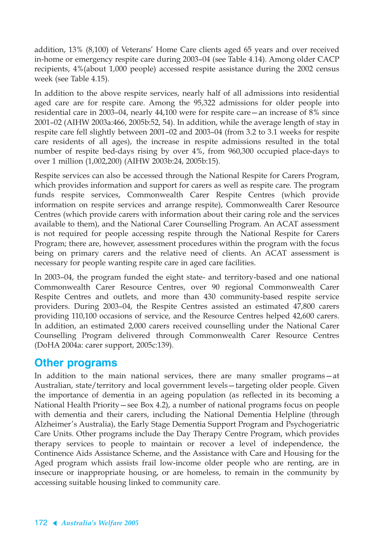addition, 13% (8,100) of Veterans' Home Care clients aged 65 years and over received in-home or emergency respite care during 2003–04 (see Table 4.14). Among older CACP recipients, 4%(about 1,000 people) accessed respite assistance during the 2002 census week (see Table 4.15).

In addition to the above respite services, nearly half of all admissions into residential aged care are for respite care. Among the 95,322 admissions for older people into residential care in 2003–04, nearly 44,100 were for respite care—an increase of 8% since 2001–02 (AIHW 2003a:466, 2005b:52, 54). In addition, while the average length of stay in respite care fell slightly between 2001–02 and 2003–04 (from 3.2 to 3.1 weeks for respite care residents of all ages), the increase in respite admissions resulted in the total number of respite bed-days rising by over 4%, from 960,300 occupied place-days to over 1 million (1,002,200) (AIHW 2003b:24, 2005b:15).

Respite services can also be accessed through the National Respite for Carers Program, which provides information and support for carers as well as respite care. The program funds respite services, Commonwealth Carer Respite Centres (which provide information on respite services and arrange respite), Commonwealth Carer Resource Centres (which provide carers with information about their caring role and the services available to them), and the National Carer Counselling Program. An ACAT assessment is not required for people accessing respite through the National Respite for Carers Program; there are, however, assessment procedures within the program with the focus being on primary carers and the relative need of clients. An ACAT assessment is necessary for people wanting respite care in aged care facilities.

In 2003–04, the program funded the eight state- and territory-based and one national Commonwealth Carer Resource Centres, over 90 regional Commonwealth Carer Respite Centres and outlets, and more than 430 community-based respite service providers. During 2003–04, the Respite Centres assisted an estimated 47,800 carers providing 110,100 occasions of service, and the Resource Centres helped 42,600 carers. In addition, an estimated 2,000 carers received counselling under the National Carer Counselling Program delivered through Commonwealth Carer Resource Centres (DoHA 2004a: carer support, 2005c:139).

### **Other programs**

In addition to the main national services, there are many smaller programs—at Australian, state/territory and local government levels—targeting older people. Given the importance of dementia in an ageing population (as reflected in its becoming a National Health Priority—see Box 4.2), a number of national programs focus on people with dementia and their carers, including the National Dementia Helpline (through Alzheimer's Australia), the Early Stage Dementia Support Program and Psychogeriatric Care Units. Other programs include the Day Therapy Centre Program, which provides therapy services to people to maintain or recover a level of independence, the Continence Aids Assistance Scheme, and the Assistance with Care and Housing for the Aged program which assists frail low-income older people who are renting, are in insecure or inappropriate housing, or are homeless, to remain in the community by accessing suitable housing linked to community care.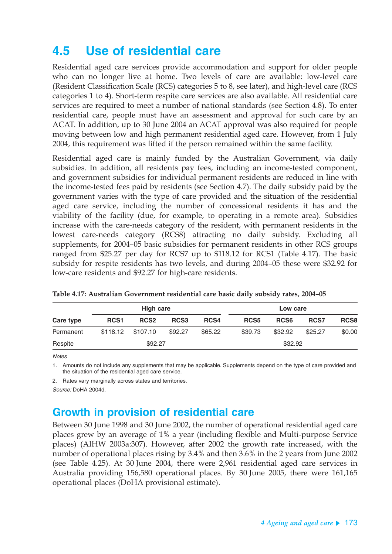# **4.5 Use of residential care**

Residential aged care services provide accommodation and support for older people who can no longer live at home. Two levels of care are available: low-level care (Resident Classification Scale (RCS) categories 5 to 8, see later), and high-level care (RCS categories 1 to 4). Short-term respite care services are also available. All residential care services are required to meet a number of national standards (see Section 4.8). To enter residential care, people must have an assessment and approval for such care by an ACAT. In addition, up to 30 June 2004 an ACAT approval was also required for people moving between low and high permanent residential aged care. However, from 1 July 2004, this requirement was lifted if the person remained within the same facility.

Residential aged care is mainly funded by the Australian Government, via daily subsidies. In addition, all residents pay fees, including an income-tested component, and government subsidies for individual permanent residents are reduced in line with the income-tested fees paid by residents (see Section 4.7). The daily subsidy paid by the government varies with the type of care provided and the situation of the residential aged care service, including the number of concessional residents it has and the viability of the facility (due, for example, to operating in a remote area). Subsidies increase with the care-needs category of the resident, with permanent residents in the lowest care-needs category (RCS8) attracting no daily subsidy. Excluding all supplements, for 2004–05 basic subsidies for permanent residents in other RCS groups ranged from \$25.27 per day for RCS7 up to \$118.12 for RCS1 (Table 4.17). The basic subsidy for respite residents has two levels, and during 2004–05 these were \$32.92 for low-care residents and \$92.27 for high-care residents.

|           |                  | High care        |                  |         | Low care         |                  |         |        |
|-----------|------------------|------------------|------------------|---------|------------------|------------------|---------|--------|
| Care type | RCS <sub>1</sub> | RCS <sub>2</sub> | RCS <sub>3</sub> | RCS4    | RCS <sub>5</sub> | RCS <sub>6</sub> | RCS7    | RCS8   |
| Permanent | \$118.12         | \$107.10         | \$92.27          | \$65.22 | \$39.73          | \$32.92          | \$25.27 | \$0.00 |
| Respite   | \$92.27          |                  |                  |         | \$32.92          |                  |         |        |

| Table 4.17: Australian Government residential care basic daily subsidy rates, 2004-05 |  |  |  |
|---------------------------------------------------------------------------------------|--|--|--|
|---------------------------------------------------------------------------------------|--|--|--|

**Notes** 

1. Amounts do not include any supplements that may be applicable. Supplements depend on the type of care provided and the situation of the residential aged care service.

2. Rates vary marginally across states and territories.

Source: DoHA 2004d.

# **Growth in provision of residential care**

Between 30 June 1998 and 30 June 2002, the number of operational residential aged care places grew by an average of 1% a year (including flexible and Multi-purpose Service places) (AIHW 2003a:307). However, after 2002 the growth rate increased, with the number of operational places rising by 3.4% and then 3.6% in the 2 years from June 2002 (see Table 4.25). At 30 June 2004, there were 2,961 residential aged care services in Australia providing 156,580 operational places. By 30 June 2005, there were 161,165 operational places (DoHA provisional estimate).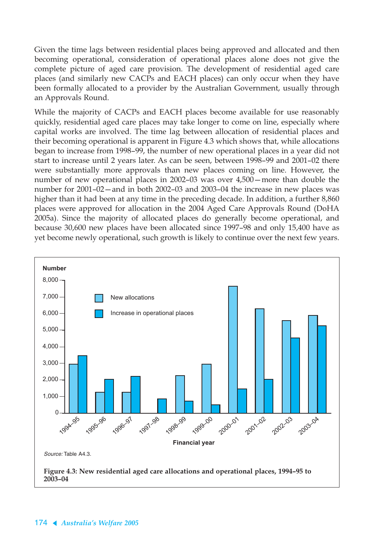Given the time lags between residential places being approved and allocated and then becoming operational, consideration of operational places alone does not give the complete picture of aged care provision. The development of residential aged care places (and similarly new CACPs and EACH places) can only occur when they have been formally allocated to a provider by the Australian Government, usually through an Approvals Round.

While the majority of CACPs and EACH places become available for use reasonably quickly, residential aged care places may take longer to come on line, especially where capital works are involved. The time lag between allocation of residential places and their becoming operational is apparent in Figure 4.3 which shows that, while allocations began to increase from 1998–99, the number of new operational places in a year did not start to increase until 2 years later. As can be seen, between 1998–99 and 2001–02 there were substantially more approvals than new places coming on line. However, the number of new operational places in 2002–03 was over 4,500—more than double the number for 2001–02—and in both 2002–03 and 2003–04 the increase in new places was higher than it had been at any time in the preceding decade. In addition, a further 8,860 places were approved for allocation in the 2004 Aged Care Approvals Round (DoHA 2005a). Since the majority of allocated places do generally become operational, and because 30,600 new places have been allocated since 1997–98 and only 15,400 have as yet become newly operational, such growth is likely to continue over the next few years.

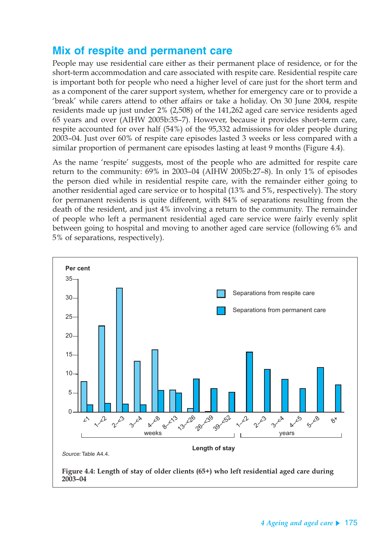# **Mix of respite and permanent care**

People may use residential care either as their permanent place of residence, or for the short-term accommodation and care associated with respite care. Residential respite care is important both for people who need a higher level of care just for the short term and as a component of the carer support system, whether for emergency care or to provide a 'break' while carers attend to other affairs or take a holiday. On 30 June 2004, respite residents made up just under 2% (2,508) of the 141,262 aged care service residents aged 65 years and over (AIHW 2005b:35–7). However, because it provides short-term care, respite accounted for over half (54%) of the 95,332 admissions for older people during 2003–04. Just over 60% of respite care episodes lasted 3 weeks or less compared with a similar proportion of permanent care episodes lasting at least 9 months (Figure 4.4).

As the name 'respite' suggests, most of the people who are admitted for respite care return to the community: 69% in 2003–04 (AIHW 2005b:27–8). In only 1% of episodes the person died while in residential respite care, with the remainder either going to another residential aged care service or to hospital (13% and 5%, respectively). The story for permanent residents is quite different, with 84% of separations resulting from the death of the resident, and just 4% involving a return to the community. The remainder of people who left a permanent residential aged care service were fairly evenly split between going to hospital and moving to another aged care service (following 6% and 5% of separations, respectively).

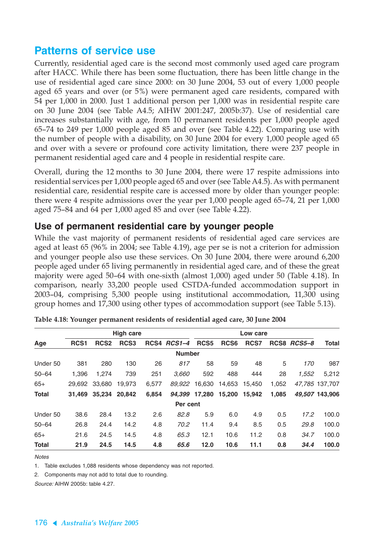### **Patterns of service use**

Currently, residential aged care is the second most commonly used aged care program after HACC. While there has been some fluctuation, there has been little change in the use of residential aged care since 2000: on 30 June 2004, 53 out of every 1,000 people aged 65 years and over (or 5%) were permanent aged care residents, compared with 54 per 1,000 in 2000. Just 1 additional person per 1,000 was in residential respite care on 30 June 2004 (see Table A4.5; AIHW 2001:247, 2005b:37). Use of residential care increases substantially with age, from 10 permanent residents per 1,000 people aged 65–74 to 249 per 1,000 people aged 85 and over (see Table 4.22). Comparing use with the number of people with a disability, on 30 June 2004 for every 1,000 people aged 65 and over with a severe or profound core activity limitation, there were 237 people in permanent residential aged care and 4 people in residential respite care.

Overall, during the 12 months to 30 June 2004, there were 17 respite admissions into residential services per 1,000 people aged 65 and over (see Table A4.5). As with permanent residential care, residential respite care is accessed more by older than younger people: there were 4 respite admissions over the year per 1,000 people aged 65–74, 21 per 1,000 aged 75–84 and 64 per 1,000 aged 85 and over (see Table 4.22).

### **Use of permanent residential care by younger people**

While the vast majority of permanent residents of residential aged care services are aged at least 65 (96% in 2004; see Table 4.19), age per se is not a criterion for admission and younger people also use these services. On 30 June 2004, there were around 6,200 people aged under 65 living permanently in residential aged care, and of these the great majority were aged 50–64 with one-sixth (almost 1,000) aged under 50 (Table 4.18). In comparison, nearly 33,200 people used CSTDA-funded accommodation support in 2003–04, comprising 5,300 people using institutional accommodation, 11,300 using group homes and 17,300 using other types of accommodation support (see Table 5.13).

|              |                  |                  | <b>High care</b> |       |               | Low care         |                  |        |       |             |                |
|--------------|------------------|------------------|------------------|-------|---------------|------------------|------------------|--------|-------|-------------|----------------|
| Age          | RCS <sub>1</sub> | RCS <sub>2</sub> | RCS <sub>3</sub> |       | RCS4 RCS1-4   | RCS <sub>5</sub> | RCS <sub>6</sub> | RCS7   |       | RCS8 RCS5-8 | <b>Total</b>   |
|              |                  |                  |                  |       | <b>Number</b> |                  |                  |        |       |             |                |
| Under 50     | 381              | 280              | 130              | 26    | 817           | 58               | 59               | 48     | 5     | 170         | 987            |
| $50 - 64$    | 1.396            | 1,274            | 739              | 251   | 3,660         | 592              | 488              | 444    | 28    | 1,552       | 5,212          |
| $65+$        | 29.692           | 33,680           | 19.973           | 6,577 | 89.922        | 16.630           | 14,653           | 15,450 | 1,052 |             | 47.785 137.707 |
| <b>Total</b> | 31.469           | 35,234           | 20,842           | 6,854 | 94.399        | 17.280           | 15,200           | 15,942 | 1.085 |             | 49.507 143.906 |
|              |                  |                  |                  |       | Per cent      |                  |                  |        |       |             |                |
| Under 50     | 38.6             | 28.4             | 13.2             | 2.6   | 82.8          | 5.9              | 6.0              | 4.9    | 0.5   | 17.2        | 100.0          |
| $50 - 64$    | 26.8             | 24.4             | 14.2             | 4.8   | 70.2          | 11.4             | 9.4              | 8.5    | 0.5   | 29.8        | 100.0          |
| $65+$        | 21.6             | 24.5             | 14.5             | 4.8   | 65.3          | 12.1             | 10.6             | 11.2   | 0.8   | 34.7        | 100.0          |
| <b>Total</b> | 21.9             | 24.5             | 14.5             | 4.8   | 65.6          | 12.0             | 10.6             | 11.1   | 0.8   | 34.4        | 100.0          |

**Notes** 

1. Table excludes 1,088 residents whose dependency was not reported.

2. Components may not add to total due to rounding.

Source: AIHW 2005b: table 4.27.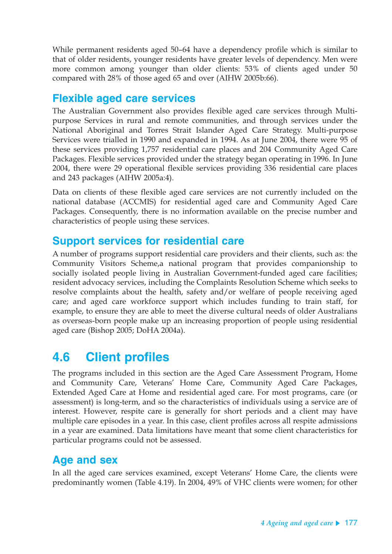While permanent residents aged 50–64 have a dependency profile which is similar to that of older residents, younger residents have greater levels of dependency. Men were more common among younger than older clients: 53% of clients aged under 50 compared with 28% of those aged 65 and over (AIHW 2005b:66).

# **Flexible aged care services**

The Australian Government also provides flexible aged care services through Multipurpose Services in rural and remote communities, and through services under the National Aboriginal and Torres Strait Islander Aged Care Strategy. Multi-purpose Services were trialled in 1990 and expanded in 1994. As at June 2004, there were 95 of these services providing 1,757 residential care places and 204 Community Aged Care Packages. Flexible services provided under the strategy began operating in 1996. In June 2004, there were 29 operational flexible services providing 336 residential care places and 243 packages (AIHW 2005a:4).

Data on clients of these flexible aged care services are not currently included on the national database (ACCMIS) for residential aged care and Community Aged Care Packages. Consequently, there is no information available on the precise number and characteristics of people using these services.

### **Support services for residential care**

A number of programs support residential care providers and their clients, such as: the Community Visitors Scheme,a national program that provides companionship to socially isolated people living in Australian Government-funded aged care facilities; resident advocacy services, including the Complaints Resolution Scheme which seeks to resolve complaints about the health, safety and/or welfare of people receiving aged care; and aged care workforce support which includes funding to train staff, for example, to ensure they are able to meet the diverse cultural needs of older Australians as overseas-born people make up an increasing proportion of people using residential aged care (Bishop 2005; DoHA 2004a).

# **4.6 Client profiles**

The programs included in this section are the Aged Care Assessment Program, Home and Community Care, Veterans' Home Care, Community Aged Care Packages, Extended Aged Care at Home and residential aged care. For most programs, care (or assessment) is long-term, and so the characteristics of individuals using a service are of interest. However, respite care is generally for short periods and a client may have multiple care episodes in a year. In this case, client profiles across all respite admissions in a year are examined. Data limitations have meant that some client characteristics for particular programs could not be assessed.

### **Age and sex**

In all the aged care services examined, except Veterans' Home Care, the clients were predominantly women (Table 4.19). In 2004, 49% of VHC clients were women; for other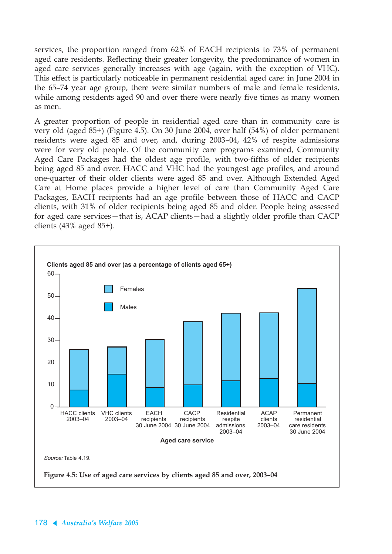services, the proportion ranged from 62% of EACH recipients to 73% of permanent aged care residents. Reflecting their greater longevity, the predominance of women in aged care services generally increases with age (again, with the exception of VHC). This effect is particularly noticeable in permanent residential aged care: in June 2004 in the 65–74 year age group, there were similar numbers of male and female residents, while among residents aged 90 and over there were nearly five times as many women as men.

A greater proportion of people in residential aged care than in community care is very old (aged 85+) (Figure 4.5). On 30 June 2004, over half (54%) of older permanent residents were aged 85 and over, and, during 2003–04, 42% of respite admissions were for very old people. Of the community care programs examined, Community Aged Care Packages had the oldest age profile, with two-fifths of older recipients being aged 85 and over. HACC and VHC had the youngest age profiles, and around one-quarter of their older clients were aged 85 and over. Although Extended Aged Care at Home places provide a higher level of care than Community Aged Care Packages, EACH recipients had an age profile between those of HACC and CACP clients, with 31% of older recipients being aged 85 and older. People being assessed for aged care services—that is, ACAP clients—had a slightly older profile than CACP clients  $(43% \text{ aged } 85+)$ .

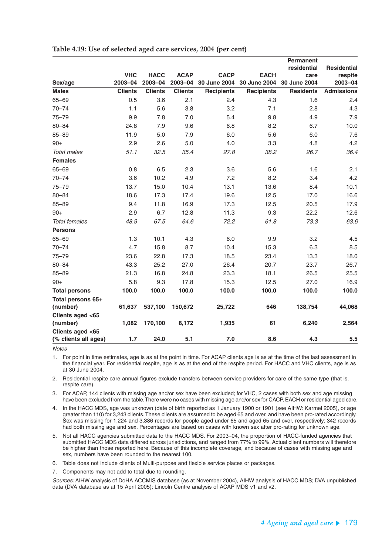|                      |                       |                        |                        |                             |                             | <b>Permanent</b>     |                    |
|----------------------|-----------------------|------------------------|------------------------|-----------------------------|-----------------------------|----------------------|--------------------|
|                      |                       |                        |                        |                             |                             | residential          | <b>Residential</b> |
| Sex/age              | <b>VHC</b><br>2003-04 | <b>HACC</b><br>2003-04 | <b>ACAP</b><br>2003-04 | <b>CACP</b><br>30 June 2004 | <b>EACH</b><br>30 June 2004 | care<br>30 June 2004 | respite<br>2003-04 |
| <b>Males</b>         | <b>Clients</b>        | <b>Clients</b>         | <b>Clients</b>         | <b>Recipients</b>           | <b>Recipients</b>           | <b>Residents</b>     | <b>Admissions</b>  |
| $65 - 69$            | 0.5                   | 3.6                    | 2.1                    | 2.4                         | 4.3                         | 1.6                  | 2.4                |
| $70 - 74$            | 1.1                   | 5.6                    | 3.8                    | 3.2                         | 7.1                         | 2.8                  | 4.3                |
| $75 - 79$            | 9.9                   | 7.8                    | 7.0                    | 5.4                         | 9.8                         | 4.9                  | 7.9                |
| $80 - 84$            |                       |                        | 9.6                    | 6.8                         | 8.2                         | 6.7                  | 10.0               |
|                      | 24.8                  | 7.9                    |                        |                             |                             |                      |                    |
| $85 - 89$            | 11.9                  | 5.0                    | 7.9                    | 6.0                         | 5.6                         | 6.0                  | 7.6                |
| $90+$                | 2.9                   | 2.6                    | 5.0                    | 4.0                         | 3.3                         | 4.8                  | 4.2                |
| <b>Total males</b>   | 51.1                  | 32.5                   | 35.4                   | 27.8                        | 38.2                        | 26.7                 | 36.4               |
| <b>Females</b>       |                       |                        |                        |                             |                             |                      |                    |
| 65-69                | 0.8                   | 6.5                    | 2.3                    | 3.6                         | 5.6                         | 1.6                  | 2.1                |
| $70 - 74$            | 3.6                   | 10.2                   | 4.9                    | 7.2                         | 8.2                         | 3.4                  | 4.2                |
| $75 - 79$            | 13.7                  | 15.0                   | 10.4                   | 13.1                        | 13.6                        | 8.4                  | 10.1               |
| $80 - 84$            | 18.6                  | 17.3                   | 17.4                   | 19.6                        | 12.5                        | 17.0                 | 16.6               |
| $85 - 89$            | 9.4                   | 11.8                   | 16.9                   | 17.3                        | 12.5                        | 20.5                 | 17.9               |
| $90+$                | 2.9                   | 6.7                    | 12.8                   | 11.3                        | 9.3                         | 22.2                 | 12.6               |
| <b>Total females</b> | 48.9                  | 67.5                   | 64.6                   | 72.2                        | 61.8                        | 73.3                 | 63.6               |
| <b>Persons</b>       |                       |                        |                        |                             |                             |                      |                    |
| $65 - 69$            | 1.3                   | 10.1                   | 4.3                    | 6.0                         | 9.9                         | 3.2                  | 4.5                |
| $70 - 74$            | 4.7                   | 15.8                   | 8.7                    | 10.4                        | 15.3                        | 6.3                  | 8.5                |
| $75 - 79$            | 23.6                  | 22.8                   | 17.3                   | 18.5                        | 23.4                        | 13.3                 | 18.0               |
| $80 - 84$            | 43.3                  | 25.2                   | 27.0                   | 26.4                        | 20.7                        | 23.7                 | 26.7               |
| $85 - 89$            | 21.3                  | 16.8                   | 24.8                   | 23.3                        | 18.1                        | 26.5                 | 25.5               |
| $90+$                | 5.8                   | 9.3                    | 17.8                   | 15.3                        | 12.5                        | 27.0                 | 16.9               |
| <b>Total persons</b> | 100.0                 | 100.0                  | 100.0                  | 100.0                       | 100.0                       | 100.0                | 100.0              |
| Total persons 65+    |                       |                        |                        |                             |                             |                      |                    |
| (number)             | 61,637                | 537,100                | 150,672                | 25,722                      | 646                         | 138,754              | 44,068             |
| Clients aged <65     |                       |                        |                        |                             |                             |                      |                    |
| (number)             | 1,082                 | 170,100                | 8,172                  | 1,935                       | 61                          | 6,240                | 2,564              |
| Clients aged <65     |                       |                        |                        |                             |                             |                      |                    |
| (% clients all ages) | 1.7                   | 24.0                   | 5.1                    | 7.0                         | 8.6                         | 4.3                  | 5.5                |

|  |  |  |  | Table 4.19: Use of selected aged care services, 2004 (per cent) |  |  |  |  |
|--|--|--|--|-----------------------------------------------------------------|--|--|--|--|
|--|--|--|--|-----------------------------------------------------------------|--|--|--|--|

**Notes** 

1. For point in time estimates, age is as at the point in time. For ACAP clients age is as at the time of the last assessment in the financial year. For residential respite, age is as at the end of the respite period. For HACC and VHC clients, age is as at 30 June 2004.

2. Residential respite care annual figures exclude transfers between service providers for care of the same type (that is, respite care).

3. For ACAP, 144 clients with missing age and/or sex have been excluded; for VHC, 2 cases with both sex and age missing have been excluded from the table. There were no cases with missing age and/or sex for CACP, EACH or residential aged care.

4. In the HACC MDS, age was unknown (date of birth reported as 1 January 1900 or 1901 (see AIHW: Karmel 2005), or age greater than 110) for 3,243 clients. These clients are assumed to be aged 65 and over, and have been pro-rated accordingly. Sex was missing for 1,224 and 3,386 records for people aged under 65 and aged 65 and over, respectively; 342 records had both missing age and sex. Percentages are based on cases with known sex after pro-rating for unknown age.

5. Not all HACC agencies submitted data to the HACC MDS. For 2003–04, the proportion of HACC-funded agencies that submitted HACC MDS data differed across jurisdictions, and ranged from 77% to 99%. Actual client numbers will therefore be higher than those reported here. Because of this incomplete coverage, and because of cases with missing age and sex, numbers have been rounded to the nearest 100.

6. Table does not include clients of Multi-purpose and flexible service places or packages.

7. Components may not add to total due to rounding.

Sources: AIHW analysis of DoHA ACCMIS database (as at November 2004), AIHW analysis of HACC MDS; DVA unpublished data (DVA database as at 15 April 2005); Lincoln Centre analysis of ACAP MDS v1 and v2.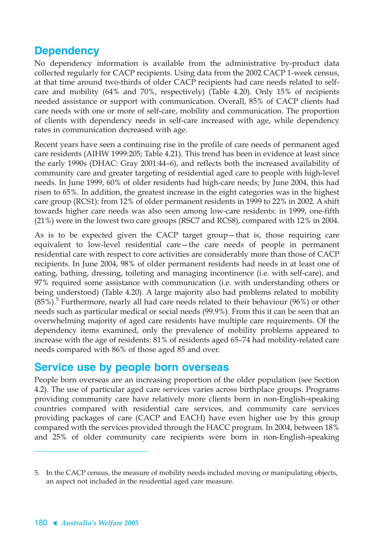# **Dependency**

No dependency information is available from the administrative by-product data collected regularly for CACP recipients. Using data from the 2002 CACP 1-week census, at that time around two-thirds of older CACP recipients had care needs related to selfcare and mobility (64% and 70%, respectively) (Table 4.20). Only 15% of recipients needed assistance or support with communication. Overall, 85% of CACP clients had care needs with one or more of self-care, mobility and communication. The proportion of clients with dependency needs in self-care increased with age, while dependency rates in communication decreased with age.

Recent years have seen a continuing rise in the profile of care needs of permanent aged care residents (AIHW 1999:205; Table 4.21). This trend has been in evidence at least since the early 1990s (DHAC: Gray 2001:44–6), and reflects both the increased availability of community care and greater targeting of residential aged care to people with high-level needs. In June 1999, 60% of older residents had high-care needs; by June 2004, this had risen to 65%. In addition, the greatest increase in the eight categories was in the highest care group (RCS1): from 12% of older permanent residents in 1999 to 22% in 2002. A shift towards higher care needs was also seen among low-care residents: in 1999, one-fifth (21%) were in the lowest two care groups (RSC7 and RCS8), compared with 12% in 2004.

As is to be expected given the CACP target group—that is, those requiring care equivalent to low-level residential care—the care needs of people in permanent residential care with respect to core activities are considerably more than those of CACP recipients. In June 2004, 98% of older permanent residents had needs in at least one of eating, bathing, dressing, toileting and managing incontinence (i.e. with self-care), and 97% required some assistance with communication (i.e. with understanding others or being understood) (Table 4.20). A large majority also had problems related to mobility  $(85\%)$ <sup>5</sup> Furthermore, nearly all had care needs related to their behaviour  $(96\%)$  or other needs such as particular medical or social needs (99.9%). From this it can be seen that an overwhelming majority of aged care residents have multiple care requirements. Of the dependency items examined, only the prevalence of mobility problems appeared to increase with the age of residents: 81% of residents aged 65–74 had mobility-related care needs compared with 86% of those aged 85 and over.

### **Service use by people born overseas**

People born overseas are an increasing proportion of the older population (see Section 4.2). The use of particular aged care services varies across birthplace groups. Programs providing community care have relatively more clients born in non-English-speaking countries compared with residential care services, and community care services providing packages of care (CACP and EACH) have even higher use by this group compared with the services provided through the HACC program. In 2004, between 18% and 25% of older community care recipients were born in non-English-speaking

<sup>5.</sup> In the CACP census, the measure of mobility needs included moving or manipulating objects, an aspect not included in the residential aged care measure.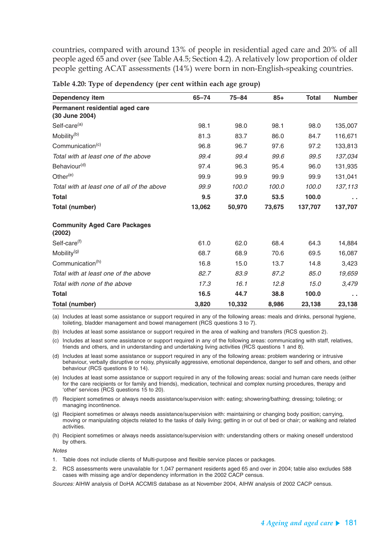countries, compared with around 13% of people in residential aged care and 20% of all people aged 65 and over (see Table A4.5; Section 4.2). A relatively low proportion of older people getting ACAT assessments (14%) were born in non-English-speaking countries.

| <b>Dependency item</b>                            | $65 - 74$ | $75 - 84$ | $85+$  | <b>Total</b> | <b>Number</b> |
|---------------------------------------------------|-----------|-----------|--------|--------------|---------------|
| Permanent residential aged care<br>(30 June 2004) |           |           |        |              |               |
| Self-care <sup>(a)</sup>                          | 98.1      | 98.0      | 98.1   | 98.0         | 135,007       |
| Mobility <sup>(b)</sup>                           | 81.3      | 83.7      | 86.0   | 84.7         | 116,671       |
| Communication <sup>(c)</sup>                      | 96.8      | 96.7      | 97.6   | 97.2         | 133,813       |
| Total with at least one of the above              | 99.4      | 99.4      | 99.6   | 99.5         | 137,034       |
| Behaviour <sup>(d)</sup>                          | 97.4      | 96.3      | 95.4   | 96.0         | 131,935       |
| Other $(e)$                                       | 99.9      | 99.9      | 99.9   | 99.9         | 131,041       |
| Total with at least one of all of the above       | 99.9      | 100.0     | 100.0  | 100.0        | 137,113       |
| <b>Total</b>                                      | 9.5       | 37.0      | 53.5   | 100.0        | $\sim$        |
| <b>Total (number)</b>                             | 13,062    | 50,970    | 73,675 | 137,707      | 137,707       |
| <b>Community Aged Care Packages</b><br>(2002)     |           |           |        |              |               |
| Self-care <sup>(f)</sup>                          | 61.0      | 62.0      | 68.4   | 64.3         | 14,884        |
| Mobility <sup>(g)</sup>                           | 68.7      | 68.9      | 70.6   | 69.5         | 16,087        |
| Communication <sup>(h)</sup>                      | 16.8      | 15.0      | 13.7   | 14.8         | 3,423         |
| Total with at least one of the above              | 82.7      | 83.9      | 87.2   | 85.0         | 19,659        |
| Total with none of the above                      | 17.3      | 16.1      | 12.8   | 15.0         | 3,479         |
| <b>Total</b>                                      | 16.5      | 44.7      | 38.8   | 100.0        | $\sim$ $\sim$ |
| Total (number)                                    | 3,820     | 10,332    | 8,986  | 23,138       | 23,138        |

**Table 4.20: Type of dependency (per cent within each age group)**

(a) Includes at least some assistance or support required in any of the following areas: meals and drinks, personal hygiene, toileting, bladder management and bowel management (RCS questions 3 to 7).

(b) Includes at least some assistance or support required in the area of walking and transfers (RCS question 2).

(c) Includes at least some assistance or support required in any of the following areas: communicating with staff, relatives, friends and others, and in understanding and undertaking living activities (RCS questions 1 and 8).

(d) Includes at least some assistance or support required in any of the following areas: problem wandering or intrusive behaviour, verbally disruptive or noisy, physically aggressive, emotional dependence, danger to self and others, and other behaviour (RCS questions 9 to 14).

- (e) Includes at least some assistance or support required in any of the following areas: social and human care needs (either for the care recipients or for family and friends), medication, technical and complex nursing procedures, therapy and 'other' services (RCS questions 15 to 20).
- (f) Recipient sometimes or always needs assistance/supervision with: eating; showering/bathing; dressing; toileting; or managing incontinence.
- (g) Recipient sometimes or always needs assistance/supervision with: maintaining or changing body position; carrying, moving or manipulating objects related to the tasks of daily living; getting in or out of bed or chair; or walking and related activities.
- (h) Recipient sometimes or always needs assistance/supervision with: understanding others or making oneself understood by others.

**Notes** 

- 1. Table does not include clients of Multi-purpose and flexible service places or packages.
- 2. RCS assessments were unavailable for 1,047 permanent residents aged 65 and over in 2004; table also excludes 588 cases with missing age and/or dependency information in the 2002 CACP census.

Sources: AIHW analysis of DoHA ACCMIS database as at November 2004, AIHW analysis of 2002 CACP census.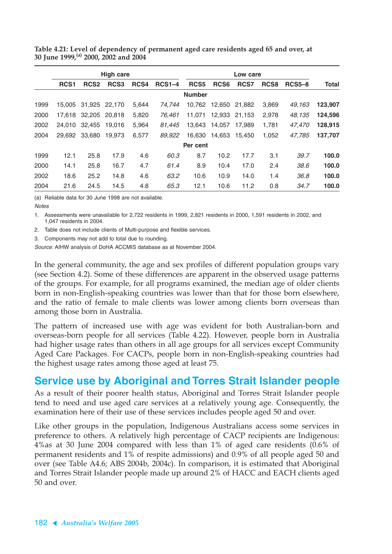|      | <b>High care</b> |                  |                  |       |               | Low care         |                  |        |                  |               |         |
|------|------------------|------------------|------------------|-------|---------------|------------------|------------------|--------|------------------|---------------|---------|
|      | RCS <sub>1</sub> | RCS <sub>2</sub> | RCS <sub>3</sub> | RCS4  | <b>RCS1-4</b> | RCS <sub>5</sub> | RCS <sub>6</sub> | RCS7   | RCS <sub>8</sub> | <b>RCS5-8</b> | Total   |
|      |                  |                  |                  |       |               | <b>Number</b>    |                  |        |                  |               |         |
| 1999 | 15,005           | 31,925           | 22,170           | 5,644 | 74.744        | 10.762           | 12,650           | 21.882 | 3,869            | 49,163        | 123,907 |
| 2000 | 17.618           | 32,205           | 20.818           | 5,820 | 76.461        | 11.071           | 12,933           | 21,153 | 2,978            | 48,135        | 124,596 |
| 2002 | 24.010           | 32,455           | 19.016           | 5,964 | 81.445        | 13.643           | 14.057           | 17.989 | 1.781            | 47.470        | 128,915 |
| 2004 | 29.692           | 33.680           | 19.973           | 6,577 | 89.922        | 16.630           | 14,653           | 15,450 | 1,052            | 47.785        | 137,707 |
|      |                  |                  |                  |       |               | Per cent         |                  |        |                  |               |         |
| 1999 | 12.1             | 25.8             | 17.9             | 4.6   | 60.3          | 8.7              | 10.2             | 17.7   | 3.1              | 39.7          | 100.0   |
| 2000 | 14.1             | 25.8             | 16.7             | 4.7   | 61.4          | 8.9              | 10.4             | 17.0   | 2.4              | 38.6          | 100.0   |
| 2002 | 18.6             | 25.2             | 14.8             | 4.6   | 63.2          | 10.6             | 10.9             | 14.0   | 1.4              | 36.8          | 100.0   |
| 2004 | 21.6             | 24.5             | 14.5             | 4.8   | 65.3          | 12.1             | 10.6             | 11.2   | 0.8              | 34.7          | 100.0   |

**Table 4.21: Level of dependency of permanent aged care residents aged 65 and over, at 30 June 1999,(a) 2000, 2002 and 2004**

(a) Reliable data for 30 June 1998 are not available.

**Notes** 

1. Assessments were unavailable for 2,722 residents in 1999, 2,821 residents in 2000, 1,591 residents in 2002, and 1,047 residents in 2004.

2. Table does not include clients of Multi-purpose and flexible services.

3. Components may not add to total due to rounding.

Source: AIHW analysis of DoHA ACCMIS database as at November 2004.

In the general community, the age and sex profiles of different population groups vary (see Section 4.2). Some of these differences are apparent in the observed usage patterns of the groups. For example, for all programs examined, the median age of older clients born in non-English-speaking countries was lower than that for those born elsewhere, and the ratio of female to male clients was lower among clients born overseas than among those born in Australia.

The pattern of increased use with age was evident for both Australian-born and overseas-born people for all services (Table 4.22). However, people born in Australia had higher usage rates than others in all age groups for all services except Community Aged Care Packages. For CACPs, people born in non-English-speaking countries had the highest usage rates among those aged at least 75.

# **Service use by Aboriginal and Torres Strait Islander people**

As a result of their poorer health status, Aboriginal and Torres Strait Islander people tend to need and use aged care services at a relatively young age. Consequently, the examination here of their use of these services includes people aged 50 and over.

Like other groups in the population, Indigenous Australians access some services in preference to others. A relatively high percentage of CACP recipients are Indigenous: 4%as at 30 June 2004 compared with less than 1% of aged care residents (0.6% of permanent residents and 1% of respite admissions) and 0.9% of all people aged 50 and over (see Table A4.6; ABS 2004b, 2004c). In comparison, it is estimated that Aboriginal and Torres Strait Islander people made up around 2% of HACC and EACH clients aged 50 and over.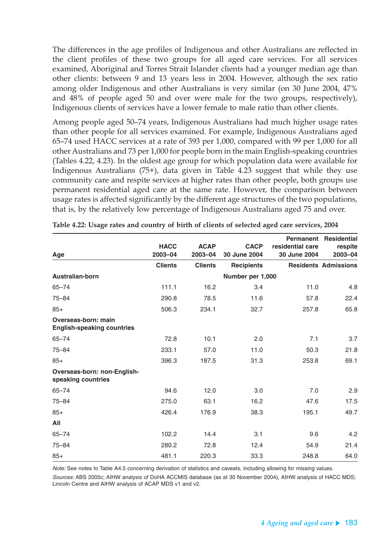The differences in the age profiles of Indigenous and other Australians are reflected in the client profiles of these two groups for all aged care services. For all services examined, Aboriginal and Torres Strait Islander clients had a younger median age than other clients: between 9 and 13 years less in 2004. However, although the sex ratio among older Indigenous and other Australians is very similar (on 30 June 2004, 47% and 48% of people aged 50 and over were male for the two groups, respectively), Indigenous clients of services have a lower female to male ratio than other clients.

Among people aged 50–74 years, Indigenous Australians had much higher usage rates than other people for all services examined. For example, Indigenous Australians aged 65–74 used HACC services at a rate of 393 per 1,000, compared with 99 per 1,000 for all other Australians and 73 per 1,000 for people born in the main English-speaking countries (Tables 4.22, 4.23). In the oldest age group for which population data were available for Indigenous Australians (75+), data given in Table 4.23 suggest that while they use community care and respite services at higher rates than other people, both groups use permanent residential aged care at the same rate. However, the comparison between usage rates is affected significantly by the different age structures of the two populations, that is, by the relatively low percentage of Indigenous Australians aged 75 and over.

|                                                          |                        |                            |                             |                                  | <b>Permanent Residential</b> |
|----------------------------------------------------------|------------------------|----------------------------|-----------------------------|----------------------------------|------------------------------|
| Age                                                      | <b>HACC</b><br>2003-04 | <b>ACAP</b><br>$2003 - 04$ | <b>CACP</b><br>30 June 2004 | residential care<br>30 June 2004 | respite<br>2003-04           |
|                                                          | <b>Clients</b>         | <b>Clients</b>             | <b>Recipients</b>           |                                  | <b>Residents Admissions</b>  |
| Australian-born                                          |                        |                            | Number per 1,000            |                                  |                              |
| $65 - 74$                                                | 111.1                  | 16.2                       | 3.4                         | 11.0                             | 4.8                          |
| $75 - 84$                                                | 290.8                  | 78.5                       | 11.6                        | 57.8                             | 22.4                         |
| $85+$                                                    | 506.3                  | 234.1                      | 32.7                        | 257.8                            | 65.8                         |
| Overseas-born: main<br><b>English-speaking countries</b> |                        |                            |                             |                                  |                              |
| $65 - 74$                                                | 72.8                   | 10.1                       | 2.0                         | 7.1                              | 3.7                          |
| $75 - 84$                                                | 233.1                  | 57.0                       | 11.0                        | 50.3                             | 21.8                         |
| $85+$                                                    | 396.3                  | 187.5                      | 31.3                        | 253.8                            | 69.1                         |
| Overseas-born: non-English-<br>speaking countries        |                        |                            |                             |                                  |                              |
| $65 - 74$                                                | 94.6                   | 12.0                       | 3.0                         | 7.0                              | 2.9                          |
| $75 - 84$                                                | 275.0                  | 63.1                       | 16.2                        | 47.6                             | 17.5                         |
| $85+$                                                    | 426.4                  | 176.9                      | 38.3                        | 195.1                            | 49.7                         |
| All                                                      |                        |                            |                             |                                  |                              |
| $65 - 74$                                                | 102.2                  | 14.4                       | 3.1                         | 9.6                              | 4.2                          |
| $75 - 84$                                                | 280.2                  | 72.8                       | 12.4                        | 54.9                             | 21.4                         |
| $85+$                                                    | 481.1                  | 220.3                      | 33.3                        | 248.8                            | 64.0                         |

| Table 4.22: Usage rates and country of birth of clients of selected aged care services, 2004 |  |  |
|----------------------------------------------------------------------------------------------|--|--|
|                                                                                              |  |  |

Note: See notes to Table A4.5 concerning derivation of statistics and caveats, including allowing for missing values.

Sources: ABS 2005c; AIHW analysis of DoHA ACCMIS database (as at 30 November 2004), AIHW analysis of HACC MDS; Lincoln Centre and AIHW analysis of ACAP MDS v1 and v2.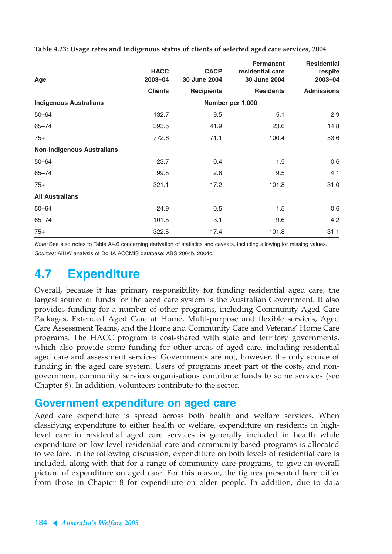| Age                               | <b>HACC</b><br>$2003 - 04$ | <b>CACP</b><br>30 June 2004 | <b>Permanent</b><br>residential care<br>30 June 2004 | <b>Residential</b><br>respite<br>2003-04 |
|-----------------------------------|----------------------------|-----------------------------|------------------------------------------------------|------------------------------------------|
|                                   | <b>Clients</b>             | <b>Recipients</b>           | <b>Residents</b>                                     | <b>Admissions</b>                        |
| <b>Indigenous Australians</b>     |                            |                             | Number per 1,000                                     |                                          |
| $50 - 64$                         | 132.7                      | 9.5                         | 5.1                                                  | 2.9                                      |
| $65 - 74$                         | 393.5                      | 41.9                        | 23.6                                                 | 14.8                                     |
| $75+$                             | 772.6                      | 71.1                        | 100.4                                                | 53.6                                     |
| <b>Non-Indigenous Australians</b> |                            |                             |                                                      |                                          |
| $50 - 64$                         | 23.7                       | 0.4                         | 1.5                                                  | 0.6                                      |
| $65 - 74$                         | 99.5                       | 2.8                         | 9.5                                                  | 4.1                                      |
| $75+$                             | 321.1                      | 17.2                        | 101.8                                                | 31.0                                     |
| <b>All Australians</b>            |                            |                             |                                                      |                                          |
| $50 - 64$                         | 24.9                       | 0.5                         | 1.5                                                  | 0.6                                      |
| $65 - 74$                         | 101.5                      | 3.1                         | 9.6                                                  | 4.2                                      |
| $75+$                             | 322.5                      | 17.4                        | 101.8                                                | 31.1                                     |

**Table 4.23: Usage rates and Indigenous status of clients of selected aged care services, 2004**

Note: See also notes to Table A4.6 concerning derivation of statistics and caveats, including allowing for missing values. Sources: AIHW analysis of DoHA ACCMIS database; ABS 2004b, 2004c.

# **4.7 Expenditure**

Overall, because it has primary responsibility for funding residential aged care, the largest source of funds for the aged care system is the Australian Government. It also provides funding for a number of other programs, including Community Aged Care Packages, Extended Aged Care at Home, Multi-purpose and flexible services, Aged Care Assessment Teams, and the Home and Community Care and Veterans' Home Care programs. The HACC program is cost-shared with state and territory governments, which also provide some funding for other areas of aged care, including residential aged care and assessment services. Governments are not, however, the only source of funding in the aged care system. Users of programs meet part of the costs, and nongovernment community services organisations contribute funds to some services (see Chapter 8). In addition, volunteers contribute to the sector.

### **Government expenditure on aged care**

Aged care expenditure is spread across both health and welfare services. When classifying expenditure to either health or welfare, expenditure on residents in highlevel care in residential aged care services is generally included in health while expenditure on low-level residential care and community-based programs is allocated to welfare. In the following discussion, expenditure on both levels of residential care is included, along with that for a range of community care programs, to give an overall picture of expenditure on aged care. For this reason, the figures presented here differ from those in Chapter 8 for expenditure on older people. In addition, due to data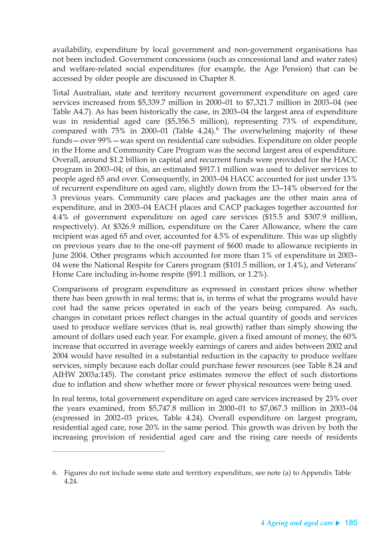availability, expenditure by local government and non-government organisations has not been included. Government concessions (such as concessional land and water rates) and welfare-related social expenditures (for example, the Age Pension) that can be accessed by older people are discussed in Chapter 8.

Total Australian, state and territory recurrent government expenditure on aged care services increased from \$5,339.7 million in 2000–01 to \$7,321.7 million in 2003–04 (see Table A4.7). As has been historically the case, in 2003–04 the largest area of expenditure was in residential aged care (\$5,356.5 million), representing 73% of expenditure, compared with  $75\%$  in 2000–01 (Table 4.24). $^6$  The overwhelming majority of these funds—over 99%—was spent on residential care subsidies. Expenditure on older people in the Home and Community Care Program was the second largest area of expenditure. Overall, around \$1.2 billion in capital and recurrent funds were provided for the HACC program in 2003–04; of this, an estimated \$917.1 million was used to deliver services to people aged 65 and over. Consequently, in 2003–04 HACC accounted for just under 13% of recurrent expenditure on aged care, slightly down from the 13–14% observed for the 3 previous years. Community care places and packages are the other main area of expenditure, and in 2003–04 EACH places and CACP packages together accounted for 4.4% of government expenditure on aged care services (\$15.5 and \$307.9 million, respectively). At \$326.9 million, expenditure on the Carer Allowance, where the care recipient was aged 65 and over, accounted for 4.5% of expenditure. This was up slightly on previous years due to the one-off payment of \$600 made to allowance recipients in June 2004. Other programs which accounted for more than 1% of expenditure in 2003– 04 were the National Respite for Carers program (\$101.5 million, or 1.4%), and Veterans' Home Care including in-home respite (\$91.1 million, or 1.2%).

Comparisons of program expenditure as expressed in constant prices show whether there has been growth in real terms; that is, in terms of what the programs would have cost had the same prices operated in each of the years being compared. As such, changes in constant prices reflect changes in the actual quantity of goods and services used to produce welfare services (that is, real growth) rather than simply showing the amount of dollars used each year. For example, given a fixed amount of money, the 60% increase that occurred in average weekly earnings of carers and aides between 2002 and 2004 would have resulted in a substantial reduction in the capacity to produce welfare services, simply because each dollar could purchase fewer resources (see Table 8.24 and AIHW 2003a:145). The constant price estimates remove the effect of such distortions due to inflation and show whether more or fewer physical resources were being used.

In real terms, total government expenditure on aged care services increased by 23% over the years examined, from \$5,747.8 million in 2000–01 to \$7,067.3 million in 2003–04 (expressed in 2002–03 prices, Table 4.24). Overall expenditure on largest program, residential aged care, rose 20% in the same period. This growth was driven by both the increasing provision of residential aged care and the rising care needs of residents

<sup>6.</sup> Figures do not include some state and territory expenditure, see note (a) to Appendix Table 4.24.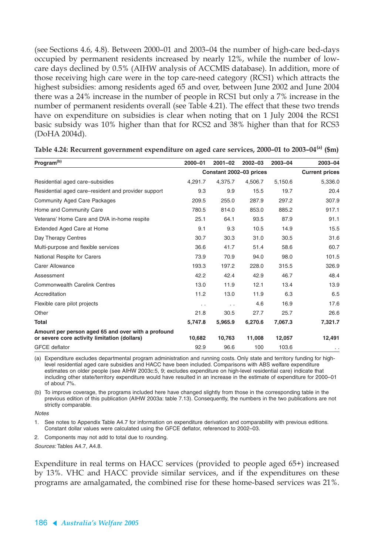(see Sections 4.6, 4.8). Between 2000–01 and 2003–04 the number of high-care bed-days occupied by permanent residents increased by nearly 12%, while the number of lowcare days declined by 0.5% (AIHW analysis of ACCMIS database). In addition, more of those receiving high care were in the top care-need category (RCS1) which attracts the highest subsidies: among residents aged 65 and over, between June 2002 and June 2004 there was a 24% increase in the number of people in RCS1 but only a 7% increase in the number of permanent residents overall (see Table 4.21). The effect that these two trends have on expenditure on subsidies is clear when noting that on 1 July 2004 the RCS1 basic subsidy was 10% higher than that for RCS2 and 38% higher than that for RCS3 (DoHA 2004d).

| Program <sup>(b)</sup>                                                                             | $2000 - 01$   | $2001 - 02$             | $2002 - 03$ | 2003-04 | 2003-04   |  |
|----------------------------------------------------------------------------------------------------|---------------|-------------------------|-------------|---------|-----------|--|
|                                                                                                    |               | Constant 2002-03 prices |             |         |           |  |
| Residential aged care-subsidies                                                                    | 4,291.7       | 4,375.7                 | 4,506.7     | 5,150.6 | 5,336.0   |  |
| Residential aged care–resident and provider support                                                | 9.3           | 9.9                     | 15.5        | 19.7    | 20.4      |  |
| <b>Community Aged Care Packages</b>                                                                | 209.5         | 255.0                   | 287.9       | 297.2   | 307.9     |  |
| Home and Community Care                                                                            | 780.5         | 814.0                   | 853.0       | 885.2   | 917.1     |  |
| Veterans' Home Care and DVA in-home respite                                                        | 25.1          | 64.1                    | 93.5        | 87.9    | 91.1      |  |
| Extended Aged Care at Home                                                                         | 9.1           | 9.3                     | 10.5        | 14.9    | 15.5      |  |
| Day Therapy Centres                                                                                | 30.7          | 30.3                    | 31.0        | 30.5    | 31.6      |  |
| Multi-purpose and flexible services                                                                | 36.6          | 41.7                    | 51.4        | 58.6    | 60.7      |  |
| National Respite for Carers                                                                        | 73.9          | 70.9                    | 94.0        | 98.0    | 101.5     |  |
| Carer Allowance                                                                                    | 193.3         | 197.2                   | 228.0       | 315.5   | 326.9     |  |
| Assessment                                                                                         | 42.2          | 42.4                    | 42.9        | 46.7    | 48.4      |  |
| <b>Commonwealth Carelink Centres</b>                                                               | 13.0          | 11.9                    | 12.1        | 13.4    | 13.9      |  |
| Accreditation                                                                                      | 11.2          | 13.0                    | 11.9        | 6.3     | 6.5       |  |
| Flexible care pilot projects                                                                       | $\sim$ $\sim$ | $\ddot{\phantom{0}}$    | 4.6         | 16.9    | 17.6      |  |
| Other                                                                                              | 21.8          | 30.5                    | 27.7        | 25.7    | 26.6      |  |
| Total                                                                                              | 5,747.8       | 5,965.9                 | 6,270.6     | 7,067.3 | 7,321.7   |  |
| Amount per person aged 65 and over with a profound<br>or severe core activity limitation (dollars) | 10,682        | 10,763                  | 11,008      | 12,057  | 12,491    |  |
| <b>GFCE</b> deflator                                                                               | 92.9          | 96.6                    | 100         | 103.6   | $\cdot$ . |  |

**Table 4.24: Recurrent government expenditure on aged care services, 2000–01 to 2003–04(a) (\$m)**

(a) Expenditure excludes departmental program administration and running costs. Only state and territory funding for highlevel residential aged care subsidies and HACC have been included. Comparisons with ABS welfare expenditure estimates on older people (see AIHW 2003c:5, 9; excludes expenditure on high-level residential care) indicate that including other state/territory expenditure would have resulted in an increase in the estimate of expenditure for 2000–01 of about 7%.

(b) To improve coverage, the programs included here have changed slightly from those in the corresponding table in the previous edition of this publication (AIHW 2003a: table 7.13). Consequently, the numbers in the two publications are not strictly comparable.

**Notes** 

1. See notes to Appendix Table A4.7 for information on expenditure derivation and comparability with previous editions. Constant dollar values were calculated using the GFCE deflator, referenced to 2002–03.

2. Components may not add to total due to rounding.

Sources: Tables A4.7, A4.8.

Expenditure in real terms on HACC services (provided to people aged 65+) increased by 13%. VHC and HACC provide similar services, and if the expenditures on these programs are amalgamated, the combined rise for these home-based services was 21%.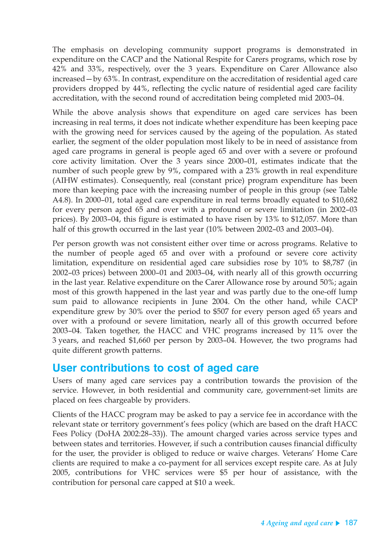The emphasis on developing community support programs is demonstrated in expenditure on the CACP and the National Respite for Carers programs, which rose by 42% and 33%, respectively, over the 3 years. Expenditure on Carer Allowance also increased—by 63%. In contrast, expenditure on the accreditation of residential aged care providers dropped by 44%, reflecting the cyclic nature of residential aged care facility accreditation, with the second round of accreditation being completed mid 2003–04.

While the above analysis shows that expenditure on aged care services has been increasing in real terms, it does not indicate whether expenditure has been keeping pace with the growing need for services caused by the ageing of the population. As stated earlier, the segment of the older population most likely to be in need of assistance from aged care programs in general is people aged 65 and over with a severe or profound core activity limitation. Over the 3 years since 2000–01, estimates indicate that the number of such people grew by 9%, compared with a 23% growth in real expenditure (AIHW estimates). Consequently, real (constant price) program expenditure has been more than keeping pace with the increasing number of people in this group (see Table A4.8). In 2000–01, total aged care expenditure in real terms broadly equated to \$10,682 for every person aged 65 and over with a profound or severe limitation (in 2002–03 prices). By 2003–04, this figure is estimated to have risen by 13% to \$12,057. More than half of this growth occurred in the last year (10% between 2002–03 and 2003–04).

Per person growth was not consistent either over time or across programs. Relative to the number of people aged 65 and over with a profound or severe core activity limitation, expenditure on residential aged care subsidies rose by 10% to \$8,787 (in 2002–03 prices) between 2000–01 and 2003–04, with nearly all of this growth occurring in the last year. Relative expenditure on the Carer Allowance rose by around 50%; again most of this growth happened in the last year and was partly due to the one-off lump sum paid to allowance recipients in June 2004. On the other hand, while CACP expenditure grew by 30% over the period to \$507 for every person aged 65 years and over with a profound or severe limitation, nearly all of this growth occurred before 2003–04. Taken together, the HACC and VHC programs increased by 11% over the 3 years, and reached \$1,660 per person by 2003–04. However, the two programs had quite different growth patterns.

### **User contributions to cost of aged care**

Users of many aged care services pay a contribution towards the provision of the service. However, in both residential and community care, government-set limits are placed on fees chargeable by providers.

Clients of the HACC program may be asked to pay a service fee in accordance with the relevant state or territory government's fees policy (which are based on the draft HACC Fees Policy (DoHA 2002:28–33)). The amount charged varies across service types and between states and territories. However, if such a contribution causes financial difficulty for the user, the provider is obliged to reduce or waive charges. Veterans' Home Care clients are required to make a co-payment for all services except respite care. As at July 2005, contributions for VHC services were \$5 per hour of assistance, with the contribution for personal care capped at \$10 a week.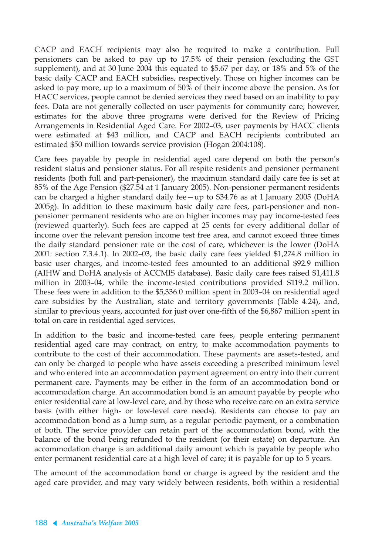CACP and EACH recipients may also be required to make a contribution. Full pensioners can be asked to pay up to 17.5% of their pension (excluding the GST supplement), and at 30 June 2004 this equated to \$5.67 per day, or 18% and 5% of the basic daily CACP and EACH subsidies, respectively. Those on higher incomes can be asked to pay more, up to a maximum of 50% of their income above the pension. As for HACC services, people cannot be denied services they need based on an inability to pay fees. Data are not generally collected on user payments for community care; however, estimates for the above three programs were derived for the Review of Pricing Arrangements in Residential Aged Care. For 2002–03, user payments by HACC clients were estimated at \$43 million, and CACP and EACH recipients contributed an estimated \$50 million towards service provision (Hogan 2004:108).

Care fees payable by people in residential aged care depend on both the person's resident status and pensioner status. For all respite residents and pensioner permanent residents (both full and part-pensioner), the maximum standard daily care fee is set at 85% of the Age Pension (\$27.54 at 1 January 2005). Non-pensioner permanent residents can be charged a higher standard daily fee—up to \$34.76 as at 1 January 2005 (DoHA 2005g). In addition to these maximum basic daily care fees, part-pensioner and nonpensioner permanent residents who are on higher incomes may pay income-tested fees (reviewed quarterly). Such fees are capped at 25 cents for every additional dollar of income over the relevant pension income test free area, and cannot exceed three times the daily standard pensioner rate or the cost of care, whichever is the lower (DoHA 2001: section 7.3.4.1). In 2002–03, the basic daily care fees yielded \$1,274.8 million in basic user charges, and income-tested fees amounted to an additional \$92.9 million (AIHW and DoHA analysis of ACCMIS database). Basic daily care fees raised \$1,411.8 million in 2003–04, while the income-tested contributions provided \$119.2 million. These fees were in addition to the \$5,336.0 million spent in 2003–04 on residential aged care subsidies by the Australian, state and territory governments (Table 4.24), and, similar to previous years, accounted for just over one-fifth of the \$6,867 million spent in total on care in residential aged services.

In addition to the basic and income-tested care fees, people entering permanent residential aged care may contract, on entry, to make accommodation payments to contribute to the cost of their accommodation. These payments are assets-tested, and can only be charged to people who have assets exceeding a prescribed minimum level and who entered into an accommodation payment agreement on entry into their current permanent care. Payments may be either in the form of an accommodation bond or accommodation charge. An accommodation bond is an amount payable by people who enter residential care at low-level care, and by those who receive care on an extra service basis (with either high- or low-level care needs). Residents can choose to pay an accommodation bond as a lump sum, as a regular periodic payment, or a combination of both. The service provider can retain part of the accommodation bond, with the balance of the bond being refunded to the resident (or their estate) on departure. An accommodation charge is an additional daily amount which is payable by people who enter permanent residential care at a high level of care; it is payable for up to 5 years.

The amount of the accommodation bond or charge is agreed by the resident and the aged care provider, and may vary widely between residents, both within a residential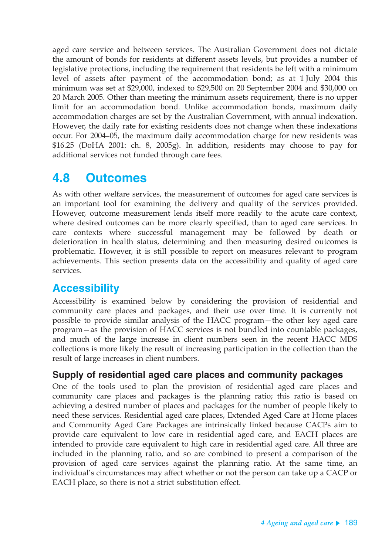aged care service and between services. The Australian Government does not dictate the amount of bonds for residents at different assets levels, but provides a number of legislative protections, including the requirement that residents be left with a minimum level of assets after payment of the accommodation bond; as at 1 July 2004 this minimum was set at \$29,000, indexed to \$29,500 on 20 September 2004 and \$30,000 on 20 March 2005. Other than meeting the minimum assets requirement, there is no upper limit for an accommodation bond. Unlike accommodation bonds, maximum daily accommodation charges are set by the Australian Government, with annual indexation. However, the daily rate for existing residents does not change when these indexations occur. For 2004–05, the maximum daily accommodation charge for new residents was \$16.25 (DoHA 2001: ch. 8, 2005g). In addition, residents may choose to pay for additional services not funded through care fees.

# **4.8 Outcomes**

As with other welfare services, the measurement of outcomes for aged care services is an important tool for examining the delivery and quality of the services provided. However, outcome measurement lends itself more readily to the acute care context, where desired outcomes can be more clearly specified, than to aged care services. In care contexts where successful management may be followed by death or deterioration in health status, determining and then measuring desired outcomes is problematic. However, it is still possible to report on measures relevant to program achievements. This section presents data on the accessibility and quality of aged care services.

# **Accessibility**

Accessibility is examined below by considering the provision of residential and community care places and packages, and their use over time. It is currently not possible to provide similar analysis of the HACC program—the other key aged care program—as the provision of HACC services is not bundled into countable packages, and much of the large increase in client numbers seen in the recent HACC MDS collections is more likely the result of increasing participation in the collection than the result of large increases in client numbers.

### **Supply of residential aged care places and community packages**

One of the tools used to plan the provision of residential aged care places and community care places and packages is the planning ratio; this ratio is based on achieving a desired number of places and packages for the number of people likely to need these services. Residential aged care places, Extended Aged Care at Home places and Community Aged Care Packages are intrinsically linked because CACPs aim to provide care equivalent to low care in residential aged care, and EACH places are intended to provide care equivalent to high care in residential aged care. All three are included in the planning ratio, and so are combined to present a comparison of the provision of aged care services against the planning ratio. At the same time, an individual's circumstances may affect whether or not the person can take up a CACP or EACH place, so there is not a strict substitution effect.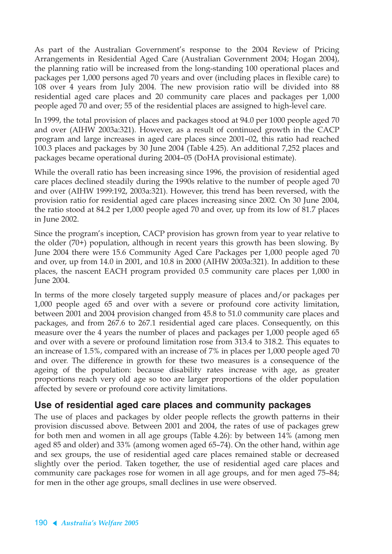As part of the Australian Government's response to the 2004 Review of Pricing Arrangements in Residential Aged Care (Australian Government 2004; Hogan 2004), the planning ratio will be increased from the long-standing 100 operational places and packages per 1,000 persons aged 70 years and over (including places in flexible care) to 108 over 4 years from July 2004. The new provision ratio will be divided into 88 residential aged care places and 20 community care places and packages per 1,000 people aged 70 and over; 55 of the residential places are assigned to high-level care.

In 1999, the total provision of places and packages stood at 94.0 per 1000 people aged 70 and over (AIHW 2003a:321). However, as a result of continued growth in the CACP program and large increases in aged care places since 2001–02, this ratio had reached 100.3 places and packages by 30 June 2004 (Table 4.25). An additional 7,252 places and packages became operational during 2004–05 (DoHA provisional estimate).

While the overall ratio has been increasing since 1996, the provision of residential aged care places declined steadily during the 1990s relative to the number of people aged 70 and over (AIHW 1999:192, 2003a:321). However, this trend has been reversed, with the provision ratio for residential aged care places increasing since 2002. On 30 June 2004, the ratio stood at 84.2 per 1,000 people aged 70 and over, up from its low of 81.7 places in June 2002.

Since the program's inception, CACP provision has grown from year to year relative to the older (70+) population, although in recent years this growth has been slowing. By June 2004 there were 15.6 Community Aged Care Packages per 1,000 people aged 70 and over, up from 14.0 in 2001, and 10.8 in 2000 (AIHW 2003a:321). In addition to these places, the nascent EACH program provided 0.5 community care places per 1,000 in June 2004.

In terms of the more closely targeted supply measure of places and/or packages per 1,000 people aged 65 and over with a severe or profound core activity limitation, between 2001 and 2004 provision changed from 45.8 to 51.0 community care places and packages, and from 267.6 to 267.1 residential aged care places. Consequently, on this measure over the 4 years the number of places and packages per 1,000 people aged 65 and over with a severe or profound limitation rose from 313.4 to 318.2. This equates to an increase of 1.5%, compared with an increase of 7% in places per 1,000 people aged 70 and over. The difference in growth for these two measures is a consequence of the ageing of the population: because disability rates increase with age, as greater proportions reach very old age so too are larger proportions of the older population affected by severe or profound core activity limitations.

### **Use of residential aged care places and community packages**

The use of places and packages by older people reflects the growth patterns in their provision discussed above. Between 2001 and 2004, the rates of use of packages grew for both men and women in all age groups (Table 4.26): by between 14% (among men aged 85 and older) and 33% (among women aged 65–74). On the other hand, within age and sex groups, the use of residential aged care places remained stable or decreased slightly over the period. Taken together, the use of residential aged care places and community care packages rose for women in all age groups, and for men aged 75–84; for men in the other age groups, small declines in use were observed.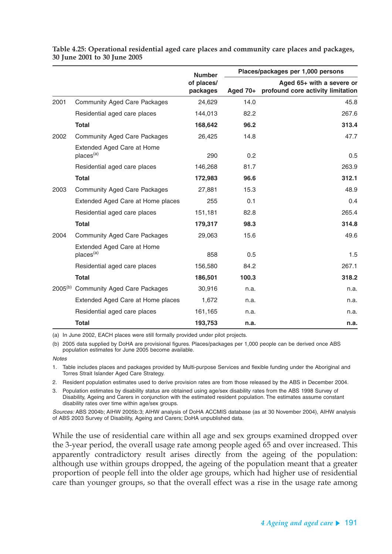|      |                                                     | <b>Number</b>          | Places/packages per 1,000 persons |                                                                |  |
|------|-----------------------------------------------------|------------------------|-----------------------------------|----------------------------------------------------------------|--|
|      |                                                     | of places/<br>packages | Aged $70+$                        | Aged 65+ with a severe or<br>profound core activity limitation |  |
| 2001 | <b>Community Aged Care Packages</b>                 | 24,629                 | 14.0                              | 45.8                                                           |  |
|      | Residential aged care places                        | 144,013                | 82.2                              | 267.6                                                          |  |
|      | <b>Total</b>                                        | 168,642                | 96.2                              | 313.4                                                          |  |
| 2002 | <b>Community Aged Care Packages</b>                 | 26,425                 | 14.8                              | 47.7                                                           |  |
|      | Extended Aged Care at Home<br>places <sup>(a)</sup> | 290                    | 0.2                               | 0.5                                                            |  |
|      | Residential aged care places                        | 146,268                | 81.7                              | 263.9                                                          |  |
|      | <b>Total</b>                                        | 172,983                | 96.6                              | 312.1                                                          |  |
| 2003 | <b>Community Aged Care Packages</b>                 | 27,881                 | 15.3                              | 48.9                                                           |  |
|      | Extended Aged Care at Home places                   | 255                    | 0.1                               | 0.4                                                            |  |
|      | Residential aged care places                        | 151,181                | 82.8                              | 265.4                                                          |  |
|      | <b>Total</b>                                        | 179,317                | 98.3                              | 314.8                                                          |  |
| 2004 | <b>Community Aged Care Packages</b>                 | 29,063                 | 15.6                              | 49.6                                                           |  |
|      | Extended Aged Care at Home<br>places <sup>(a)</sup> | 858                    | 0.5                               | 1.5                                                            |  |
|      | Residential aged care places                        | 156,580                | 84.2                              | 267.1                                                          |  |
|      | <b>Total</b>                                        | 186,501                | 100.3                             | 318.2                                                          |  |
|      | 2005 <sup>(b)</sup> Community Aged Care Packages    | 30,916                 | n.a.                              | n.a.                                                           |  |
|      | Extended Aged Care at Home places                   | 1,672                  | n.a.                              | n.a.                                                           |  |
|      | Residential aged care places                        | 161,165                | n.a.                              | n.a.                                                           |  |
|      | <b>Total</b>                                        | 193,753                | n.a.                              | n.a.                                                           |  |

#### **Table 4.25: Operational residential aged care places and community care places and packages, 30 June 2001 to 30 June 2005**

(a) In June 2002, EACH places were still formally provided under pilot projects.

(b) 2005 data supplied by DoHA are provisional figures. Places/packages per 1,000 people can be derived once ABS population estimates for June 2005 become available.

**Notes** 

1. Table includes places and packages provided by Multi-purpose Services and flexible funding under the Aboriginal and Torres Strait Islander Aged Care Strategy.

2. Resident population estimates used to derive provision rates are from those released by the ABS in December 2004.

3. Population estimates by disability status are obtained using age/sex disability rates from the ABS 1998 Survey of Disability, Ageing and Carers in conjunction with the estimated resident population. The estimates assume constant disability rates over time within age/sex groups.

Sources: ABS 2004b; AIHW 2005b:3; AIHW analysis of DoHA ACCMIS database (as at 30 November 2004), AIHW analysis of ABS 2003 Survey of Disability, Ageing and Carers; DoHA unpublished data.

While the use of residential care within all age and sex groups examined dropped over the 3-year period, the overall usage rate among people aged 65 and over increased. This apparently contradictory result arises directly from the ageing of the population: although use within groups dropped, the ageing of the population meant that a greater proportion of people fell into the older age groups, which had higher use of residential care than younger groups, so that the overall effect was a rise in the usage rate among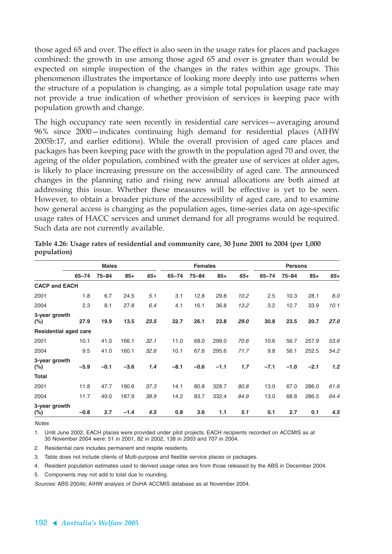those aged 65 and over. The effect is also seen in the usage rates for places and packages combined: the growth in use among those aged 65 and over is greater than would be expected on simple inspection of the changes in the rates within age groups. This phenomenon illustrates the importance of looking more deeply into use patterns when the structure of a population is changing, as a simple total population usage rate may not provide a true indication of whether provision of services is keeping pace with population growth and change.

The high occupancy rate seen recently in residential care services—averaging around 96% since 2000—indicates continuing high demand for residential places (AIHW 2005b:17, and earlier editions). While the overall provision of aged care places and packages has been keeping pace with the growth in the population aged 70 and over, the ageing of the older population, combined with the greater use of services at older ages, is likely to place increasing pressure on the accessibility of aged care. The announced changes in the planning ratio and rising new annual allocations are both aimed at addressing this issue. Whether these measures will be effective is yet to be seen. However, to obtain a broader picture of the accessibility of aged care, and to examine how general access is changing as the population ages, time-series data on age-specific usage rates of HACC services and unmet demand for all programs would be required. Such data are not currently available.

|                              |           | <b>Females</b> |        |       |           | <b>Persons</b> |        |       |           |           |        |       |
|------------------------------|-----------|----------------|--------|-------|-----------|----------------|--------|-------|-----------|-----------|--------|-------|
|                              | $65 - 74$ | $75 - 84$      | $85+$  | $65+$ | $65 - 74$ | $75 - 84$      | $85+$  | $65+$ | $65 - 74$ | $75 - 84$ | $85+$  | $65+$ |
| <b>CACP and EACH</b>         |           |                |        |       |           |                |        |       |           |           |        |       |
| 2001                         | 1.8       | 6.7            | 24.5   | 5.1   | 3.1       | 12.8           | 29.8   | 10.2  | 2.5       | 10.3      | 28.1   | 8.0   |
| 2004                         | 2.3       | 8.1            | 27.8   | 6.4   | 4.1       | 16.1           | 36.8   | 13.2  | 3.2       | 12.7      | 33.9   | 10.1  |
| 3-year growth<br>$(\%)$      | 27.9      | 19.9           | 13.5   | 23.5  | 32.7      | 26.1           | 23.8   | 29.0  | 30.8      | 23.5      | 20.7   | 27.0  |
| <b>Residential aged care</b> |           |                |        |       |           |                |        |       |           |           |        |       |
| 2001                         | 10.1      | 41.0           | 166.1  | 32.1  | 11.0      | 68.0           | 299.0  | 70.6  | 10.6      | 56.7      | 257.9  | 53.6  |
| 2004                         | 9.5       | 41.0           | 160.1  | 32.6  | 10.1      | 67.6           | 295.6  | 71.7  | 9.8       | 56.1      | 252.5  | 54.2  |
| 3-year growth<br>$(\%)$      | $-5.9$    | $-0.1$         | $-3.6$ | 1.4   | $-8.1$    | $-0.6$         | $-1.1$ | 1.7   | $-7.1$    | $-1.0$    | $-2.1$ | 1.2   |
| <b>Total</b>                 |           |                |        |       |           |                |        |       |           |           |        |       |
| 2001                         | 11.8      | 47.7           | 190.6  | 37.3  | 14.1      | 80.8           | 328.7  | 80.8  | 13.0      | 67.0      | 286.0  | 61.6  |
| 2004                         | 11.7      | 49.0           | 187.9  | 38.9  | 14.2      | 83.7           | 332.4  | 84.9  | 13.0      | 68.8      | 286.5  | 64.4  |
| 3-year growth<br>$(\%)$      | $-0.8$    | 2.7            | $-1.4$ | 4.5   | 0.8       | 3.6            | 1.1    | 5.1   | 0.1       | 2.7       | 0.1    | 4.5   |

**Table 4.26: Usage rates of residential and community care, 30 June 2001 to 2004 (per 1,000 population)**

**Notes** 

1. Until June 2002, EACH places were provided under pilot projects. EACH recipients recorded on ACCMIS as at 30 November 2004 were: 51 in 2001, 82 in 2002, 138 in 2003 and 707 in 2004.

2. Residential care includes permanent and respite residents.

3. Table does not include clients of Multi-purpose and flexible service places or packages.

4. Resident population estimates used to derived usage rates are from those released by the ABS in December 2004.

5. Components may not add to total due to rounding.

Sources: ABS 2004b; AIHW analysis of DoHA ACCMIS database as at November 2004.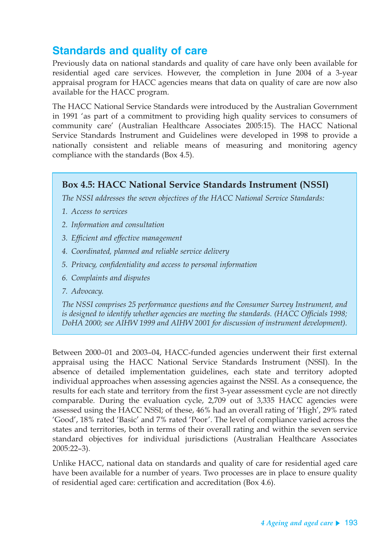# **Standards and quality of care**

Previously data on national standards and quality of care have only been available for residential aged care services. However, the completion in June 2004 of a 3-year appraisal program for HACC agencies means that data on quality of care are now also available for the HACC program.

The HACC National Service Standards were introduced by the Australian Government in 1991 'as part of a commitment to providing high quality services to consumers of community care' (Australian Healthcare Associates 2005:15). The HACC National Service Standards Instrument and Guidelines were developed in 1998 to provide a nationally consistent and reliable means of measuring and monitoring agency compliance with the standards (Box 4.5).

### **Box 4.5: HACC National Service Standards Instrument (NSSI)**

*The NSSI addresses the seven objectives of the HACC National Service Standards:*

- *1. Access to services*
- *2. Information and consultation*
- *3. Efficient and effective management*
- *4. Coordinated, planned and reliable service delivery*
- *5. Privacy, confidentiality and access to personal information*
- *6. Complaints and disputes*
- *7. Advocacy.*

*The NSSI comprises 25 performance questions and the Consumer Survey Instrument, and is designed to identify whether agencies are meeting the standards. (HACC Officials 1998; DoHA 2000; see AIHW 1999 and AIHW 2001 for discussion of instrument development).*

Between 2000–01 and 2003–04, HACC-funded agencies underwent their first external appraisal using the HACC National Service Standards Instrument (NSSI). In the absence of detailed implementation guidelines, each state and territory adopted individual approaches when assessing agencies against the NSSI. As a consequence, the results for each state and territory from the first 3-year assessment cycle are not directly comparable. During the evaluation cycle, 2,709 out of 3,335 HACC agencies were assessed using the HACC NSSI; of these, 46% had an overall rating of 'High', 29% rated 'Good', 18% rated 'Basic' and 7% rated 'Poor'. The level of compliance varied across the states and territories, both in terms of their overall rating and within the seven service standard objectives for individual jurisdictions (Australian Healthcare Associates 2005:22–3).

Unlike HACC, national data on standards and quality of care for residential aged care have been available for a number of years. Two processes are in place to ensure quality of residential aged care: certification and accreditation (Box 4.6).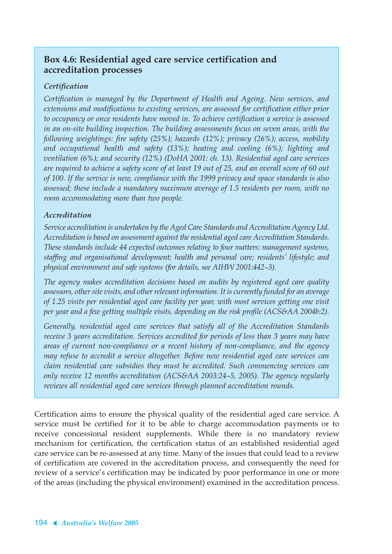### **Box 4.6: Residential aged care service certification and accreditation processes**

### *Certification*

*Certification is managed by the Department of Health and Ageing. New services, and extensions and modifications to existing services, are assessed for certification either prior to occupancy or once residents have moved in. To achieve certification a service is assessed in an on-site building inspection. The building assessments focus on seven areas, with the following weightings: fire safety (25%); hazards (12%); privacy (26%); access, mobility and occupational health and safety (13%); heating and cooling (6%); lighting and ventilation (6%); and security (12%) (DoHA 2001: ch. 13). Residential aged care services are required to achieve a safety score of at least 19 out of 25, and an overall score of 60 out of 100. If the service is new, compliance with the 1999 privacy and space standards is also assessed; these include a mandatory maximum average of 1.5 residents per room, with no room accommodating more than two people.*

### *Accreditation*

*Service accreditation is undertaken by the Aged Care Standards and Accreditation Agency Ltd. Accreditation is based on assessment against the residential aged care Accreditation Standards. These standards include 44 expected outcomes relating to four matters: management systems, staffing and organisational development; health and personal care; residents' lifestyle; and physical environment and safe systems (for details, see AIHW 2001:442–3).*

*The agency makes accreditation decisions based on audits by registered aged care quality assessors, other site visits, and other relevant information. It is currently funded for an average of 1.25 visits per residential aged care facility per year, with most services getting one visit per year and a few getting multiple visits, depending on the risk profile (ACS&AA 2004b:2).*

*Generally, residential aged care services that satisfy all of the Accreditation Standards receive 3 years accreditation. Services accredited for periods of less than 3 years may have areas of current non-compliance or a recent history of non-compliance, and the agency may refuse to accredit a service altogether. Before new residential aged care services can claim residential care subsidies they must be accredited. Such commencing services can only receive 12 months accreditation (ACS&AA 2003:24–5, 2005). The agency regularly reviews all residential aged care services through planned accreditation rounds.*

Certification aims to ensure the physical quality of the residential aged care service. A service must be certified for it to be able to charge accommodation payments or to receive concessional resident supplements. While there is no mandatory review mechanism for certification, the certification status of an established residential aged care service can be re-assessed at any time. Many of the issues that could lead to a review of certification are covered in the accreditation process, and consequently the need for review of a service's certification may be indicated by poor performance in one or more of the areas (including the physical environment) examined in the accreditation process.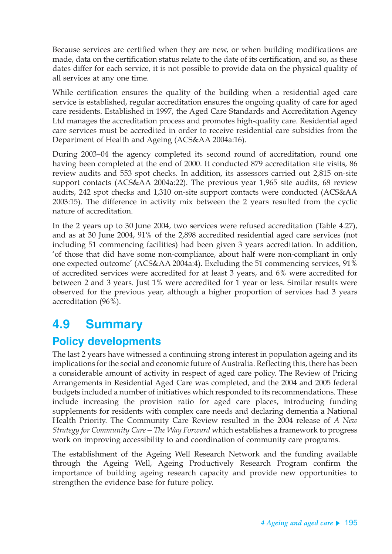Because services are certified when they are new, or when building modifications are made, data on the certification status relate to the date of its certification, and so, as these dates differ for each service, it is not possible to provide data on the physical quality of all services at any one time.

While certification ensures the quality of the building when a residential aged care service is established, regular accreditation ensures the ongoing quality of care for aged care residents. Established in 1997, the Aged Care Standards and Accreditation Agency Ltd manages the accreditation process and promotes high-quality care. Residential aged care services must be accredited in order to receive residential care subsidies from the Department of Health and Ageing (ACS&AA 2004a:16).

During 2003–04 the agency completed its second round of accreditation, round one having been completed at the end of 2000. It conducted 879 accreditation site visits, 86 review audits and 553 spot checks. In addition, its assessors carried out 2,815 on-site support contacts (ACS&AA 2004a:22). The previous year 1,965 site audits, 68 review audits, 242 spot checks and 1,310 on-site support contacts were conducted (ACS&AA 2003:15). The difference in activity mix between the 2 years resulted from the cyclic nature of accreditation.

In the 2 years up to 30 June 2004, two services were refused accreditation (Table 4.27), and as at 30 June 2004, 91% of the 2,898 accredited residential aged care services (not including 51 commencing facilities) had been given 3 years accreditation. In addition, 'of those that did have some non-compliance, about half were non-compliant in only one expected outcome' (ACS&AA 2004a:4). Excluding the 51 commencing services, 91% of accredited services were accredited for at least 3 years, and 6% were accredited for between 2 and 3 years. Just 1% were accredited for 1 year or less. Similar results were observed for the previous year, although a higher proportion of services had 3 years accreditation (96%).

# **4.9 Summary**

# **Policy developments**

The last 2 years have witnessed a continuing strong interest in population ageing and its implications for the social and economic future of Australia. Reflecting this, there has been a considerable amount of activity in respect of aged care policy. The Review of Pricing Arrangements in Residential Aged Care was completed, and the 2004 and 2005 federal budgets included a number of initiatives which responded to its recommendations. These include increasing the provision ratio for aged care places, introducing funding supplements for residents with complex care needs and declaring dementia a National Health Priority. The Community Care Review resulted in the 2004 release of *A New Strategy for Community Care—The Way Forward* which establishes a framework to progress work on improving accessibility to and coordination of community care programs.

The establishment of the Ageing Well Research Network and the funding available through the Ageing Well, Ageing Productively Research Program confirm the importance of building ageing research capacity and provide new opportunities to strengthen the evidence base for future policy.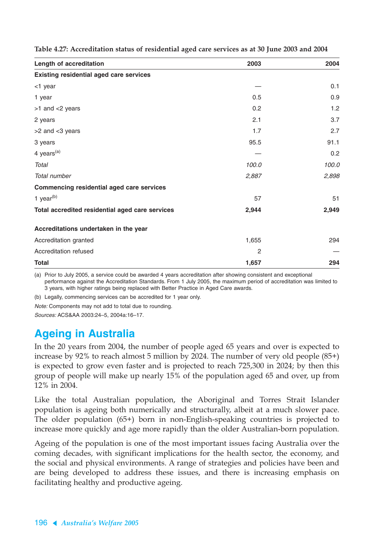| Length of accreditation                          | 2003  | 2004  |
|--------------------------------------------------|-------|-------|
| <b>Existing residential aged care services</b>   |       |       |
| <1 year                                          |       | 0.1   |
| 1 year                                           | 0.5   | 0.9   |
| >1 and <2 years                                  | 0.2   | 1.2   |
| 2 years                                          | 2.1   | 3.7   |
| >2 and <3 years                                  | 1.7   | 2.7   |
| 3 years                                          | 95.5  | 91.1  |
| 4 years <sup>(a)</sup>                           |       | 0.2   |
| Total                                            | 100.0 | 100.0 |
| Total number                                     | 2,887 | 2,898 |
| <b>Commencing residential aged care services</b> |       |       |
| 1 year $(b)$                                     | 57    | 51    |
| Total accredited residential aged care services  | 2,944 | 2,949 |
| Accreditations undertaken in the year            |       |       |
| Accreditation granted                            | 1,655 | 294   |
| Accreditation refused                            | 2     |       |
| <b>Total</b>                                     | 1,657 | 294   |

**Table 4.27: Accreditation status of residential aged care services as at 30 June 2003 and 2004**

(a) Prior to July 2005, a service could be awarded 4 years accreditation after showing consistent and exceptional performance against the Accreditation Standards. From 1 July 2005, the maximum period of accreditation was limited to 3 years, with higher ratings being replaced with Better Practice in Aged Care awards.

(b) Legally, commencing services can be accredited for 1 year only.

Note: Components may not add to total due to rounding.

Sources: ACS&AA 2003:24–5, 2004a:16–17.

### **Ageing in Australia**

In the 20 years from 2004, the number of people aged 65 years and over is expected to increase by 92% to reach almost 5 million by 2024. The number of very old people (85+) is expected to grow even faster and is projected to reach 725,300 in 2024; by then this group of people will make up nearly 15% of the population aged 65 and over, up from 12% in 2004.

Like the total Australian population, the Aboriginal and Torres Strait Islander population is ageing both numerically and structurally, albeit at a much slower pace. The older population (65+) born in non-English-speaking countries is projected to increase more quickly and age more rapidly than the older Australian-born population.

Ageing of the population is one of the most important issues facing Australia over the coming decades, with significant implications for the health sector, the economy, and the social and physical environments. A range of strategies and policies have been and are being developed to address these issues, and there is increasing emphasis on facilitating healthy and productive ageing.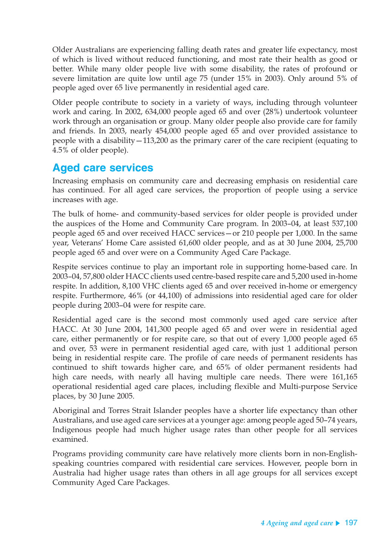Older Australians are experiencing falling death rates and greater life expectancy, most of which is lived without reduced functioning, and most rate their health as good or better. While many older people live with some disability, the rates of profound or severe limitation are quite low until age 75 (under 15% in 2003). Only around 5% of people aged over 65 live permanently in residential aged care.

Older people contribute to society in a variety of ways, including through volunteer work and caring. In 2002, 634,000 people aged 65 and over (28%) undertook volunteer work through an organisation or group. Many older people also provide care for family and friends. In 2003, nearly 454,000 people aged 65 and over provided assistance to people with a disability—113,200 as the primary carer of the care recipient (equating to 4.5% of older people).

# **Aged care services**

Increasing emphasis on community care and decreasing emphasis on residential care has continued. For all aged care services, the proportion of people using a service increases with age.

The bulk of home- and community-based services for older people is provided under the auspices of the Home and Community Care program. In 2003–04, at least 537,100 people aged 65 and over received HACC services—or 210 people per 1,000. In the same year, Veterans' Home Care assisted 61,600 older people, and as at 30 June 2004, 25,700 people aged 65 and over were on a Community Aged Care Package.

Respite services continue to play an important role in supporting home-based care. In 2003–04, 57,800 older HACC clients used centre-based respite care and 5,200 used in-home respite. In addition, 8,100 VHC clients aged 65 and over received in-home or emergency respite. Furthermore, 46% (or 44,100) of admissions into residential aged care for older people during 2003–04 were for respite care.

Residential aged care is the second most commonly used aged care service after HACC. At 30 June 2004, 141,300 people aged 65 and over were in residential aged care, either permanently or for respite care, so that out of every 1,000 people aged 65 and over, 53 were in permanent residential aged care, with just 1 additional person being in residential respite care. The profile of care needs of permanent residents has continued to shift towards higher care, and 65% of older permanent residents had high care needs, with nearly all having multiple care needs. There were 161,165 operational residential aged care places, including flexible and Multi-purpose Service places, by 30 June 2005.

Aboriginal and Torres Strait Islander peoples have a shorter life expectancy than other Australians, and use aged care services at a younger age: among people aged 50–74 years, Indigenous people had much higher usage rates than other people for all services examined.

Programs providing community care have relatively more clients born in non-Englishspeaking countries compared with residential care services. However, people born in Australia had higher usage rates than others in all age groups for all services except Community Aged Care Packages.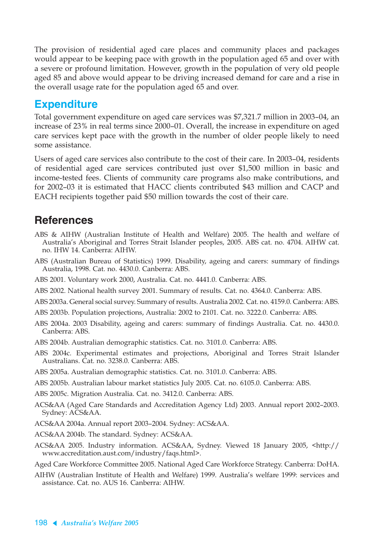The provision of residential aged care places and community places and packages would appear to be keeping pace with growth in the population aged 65 and over with a severe or profound limitation. However, growth in the population of very old people aged 85 and above would appear to be driving increased demand for care and a rise in the overall usage rate for the population aged 65 and over.

# **Expenditure**

Total government expenditure on aged care services was \$7,321.7 million in 2003–04, an increase of 23% in real terms since 2000–01. Overall, the increase in expenditure on aged care services kept pace with the growth in the number of older people likely to need some assistance.

Users of aged care services also contribute to the cost of their care. In 2003–04, residents of residential aged care services contributed just over \$1,500 million in basic and income-tested fees. Clients of community care programs also make contributions, and for 2002–03 it is estimated that HACC clients contributed \$43 million and CACP and EACH recipients together paid \$50 million towards the cost of their care.

# **References**

- ABS & AIHW (Australian Institute of Health and Welfare) 2005. The health and welfare of Australia's Aboriginal and Torres Strait Islander peoples, 2005. ABS cat. no. 4704. AIHW cat. no. IHW 14. Canberra: AIHW.
- ABS (Australian Bureau of Statistics) 1999. Disability, ageing and carers: summary of findings Australia, 1998. Cat. no. 4430.0. Canberra: ABS.
- ABS 2001. Voluntary work 2000, Australia. Cat. no. 4441.0. Canberra: ABS.
- ABS 2002. National health survey 2001. Summary of results. Cat. no. 4364.0. Canberra: ABS.
- ABS 2003a. General social survey. Summary of results. Australia 2002. Cat. no. 4159.0. Canberra: ABS.
- ABS 2003b. Population projections, Australia: 2002 to 2101. Cat. no. 3222.0. Canberra: ABS.
- ABS 2004a. 2003 Disability, ageing and carers: summary of findings Australia. Cat. no. 4430.0. Canberra: ABS.
- ABS 2004b. Australian demographic statistics. Cat. no. 3101.0. Canberra: ABS.
- ABS 2004c. Experimental estimates and projections, Aboriginal and Torres Strait Islander Australians. Cat. no. 3238.0. Canberra: ABS.
- ABS 2005a. Australian demographic statistics. Cat. no. 3101.0. Canberra: ABS.
- ABS 2005b. Australian labour market statistics July 2005. Cat. no. 6105.0. Canberra: ABS.
- ABS 2005c. Migration Australia. Cat. no. 3412.0. Canberra: ABS.
- ACS&AA (Aged Care Standards and Accreditation Agency Ltd) 2003. Annual report 2002–2003. Sydney: ACS&AA.
- ACS&AA 2004a. Annual report 2003–2004. Sydney: ACS&AA.
- ACS&AA 2004b. The standard. Sydney: ACS&AA.
- ACS&AA 2005. Industry information. ACS&AA, Sydney. Viewed 18 January 2005, <http:// www.accreditation.aust.com/industry/faqs.html>.
- Aged Care Workforce Committee 2005. National Aged Care Workforce Strategy. Canberra: DoHA.
- AIHW (Australian Institute of Health and Welfare) 1999. Australia's welfare 1999: services and assistance. Cat. no. AUS 16. Canberra: AIHW.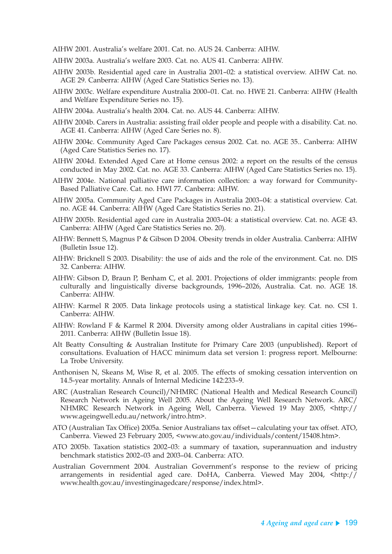AIHW 2001. Australia's welfare 2001. Cat. no. AUS 24. Canberra: AIHW.

- AIHW 2003a. Australia's welfare 2003. Cat. no. AUS 41. Canberra: AIHW.
- AIHW 2003b. Residential aged care in Australia 2001–02: a statistical overview. AIHW Cat. no. AGE 29. Canberra: AIHW (Aged Care Statistics Series no. 13).
- AIHW 2003c. Welfare expenditure Australia 2000–01. Cat. no. HWE 21. Canberra: AIHW (Health and Welfare Expenditure Series no. 15).
- AIHW 2004a. Australia's health 2004. Cat. no. AUS 44. Canberra: AIHW.
- AIHW 2004b. Carers in Australia: assisting frail older people and people with a disability. Cat. no. AGE 41. Canberra: AIHW (Aged Care Series no. 8).
- AIHW 2004c. Community Aged Care Packages census 2002. Cat. no. AGE 35.. Canberra: AIHW (Aged Care Statistics Series no. 17).
- AIHW 2004d. Extended Aged Care at Home census 2002: a report on the results of the census conducted in May 2002. Cat. no. AGE 33. Canberra: AIHW (Aged Care Statistics Series no. 15).
- AIHW 2004e. National palliative care information collection: a way forward for Community-Based Palliative Care. Cat. no. HWI 77. Canberra: AIHW.
- AIHW 2005a. Community Aged Care Packages in Australia 2003–04: a statistical overview. Cat. no. AGE 44. Canberra: AIHW (Aged Care Statistics Series no. 21).
- AIHW 2005b. Residential aged care in Australia 2003–04: a statistical overview. Cat. no. AGE 43. Canberra: AIHW (Aged Care Statistics Series no. 20).
- AIHW: Bennett S, Magnus P & Gibson D 2004. Obesity trends in older Australia. Canberra: AIHW (Bulletin Issue 12).
- AIHW: Bricknell S 2003. Disability: the use of aids and the role of the environment. Cat. no. DIS 32. Canberra: AIHW.
- AIHW: Gibson D, Braun P, Benham C, et al. 2001. Projections of older immigrants: people from culturally and linguistically diverse backgrounds, 1996–2026, Australia. Cat. no. AGE 18. Canberra: AIHW.
- AIHW: Karmel R 2005. Data linkage protocols using a statistical linkage key. Cat. no. CSI 1. Canberra: AIHW.
- AIHW: Rowland F & Karmel R 2004. Diversity among older Australians in capital cities 1996– 2011. Canberra: AIHW (Bulletin Issue 18).
- Alt Beatty Consulting & Australian Institute for Primary Care 2003 (unpublished). Report of consultations. Evaluation of HACC minimum data set version 1: progress report. Melbourne: La Trobe University.
- Anthonisen N, Skeans M, Wise R, et al. 2005. The effects of smoking cessation intervention on 14.5-year mortality. Annals of Internal Medicine 142:233–9.
- ARC (Australian Research Council)/NHMRC (National Health and Medical Research Council) Research Network in Ageing Well 2005. About the Ageing Well Research Network. ARC/ NHMRC Research Network in Ageing Well, Canberra. Viewed 19 May 2005, <http:// www.ageingwell.edu.au/network/intro.htm>.
- ATO (Australian Tax Office) 2005a. Senior Australians tax offset—calculating your tax offset. ATO, Canberra. Viewed 23 February 2005, <www.ato.gov.au/individuals/content/15408.htm>.
- ATO 2005b. Taxation statistics 2002–03: a summary of taxation, superannuation and industry benchmark statistics 2002–03 and 2003–04. Canberra: ATO.
- Australian Government 2004. Australian Government's response to the review of pricing arrangements in residential aged care. DoHA, Canberra. Viewed May 2004, <http:// www.health.gov.au/investinginagedcare/response/index.html>.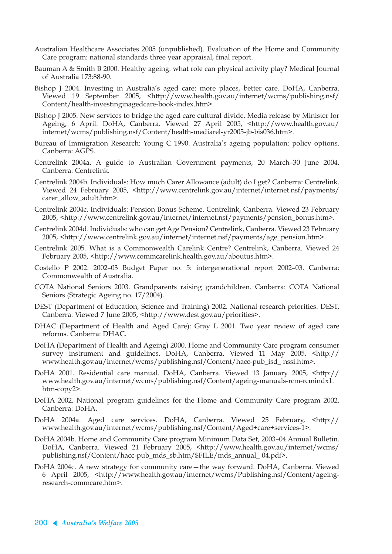- Australian Healthcare Associates 2005 (unpublished). Evaluation of the Home and Community Care program: national standards three year appraisal, final report.
- Bauman A & Smith B 2000. Healthy ageing: what role can physical activity play? Medical Journal of Australia 173:88-90.
- Bishop J 2004. Investing in Australia's aged care: more places, better care. DoHA, Canberra. Viewed 19 September 2005, <http://www.health.gov.au/internet/wcms/publishing.nsf/ Content/health-investinginagedcare-book-index.htm>.
- Bishop J 2005. New services to bridge the aged care cultural divide. Media release by Minister for Ageing, 6 April. DoHA, Canberra. Viewed 27 April 2005, <http://www.health.gov.au/ internet/wcms/publishing.nsf/Content/health-mediarel-yr2005-jb-bis036.htm>.
- Bureau of Immigration Research: Young C 1990. Australia's ageing population: policy options. Canberra: AGPS.
- Centrelink 2004a. A guide to Australian Government payments, 20 March–30 June 2004. Canberra: Centrelink.
- Centrelink 2004b. Individuals: How much Carer Allowance (adult) do I get? Canberra: Centrelink. Viewed 24 February 2005, <http://www.centrelink.gov.au/internet/internet.nsf/payments/ carer\_allow\_adult.htm>.
- Centrelink 2004c. Individuals: Pension Bonus Scheme. Centrelink, Canberra. Viewed 23 February 2005, <http://www.centrelink.gov.au/internet/internet.nsf/payments/pension\_bonus.htm>.
- Centrelink 2004d. Individuals: who can get Age Pension? Centrelink, Canberra. Viewed 23 February 2005, <http://www.centrelink.gov.au/internet/internet.nsf/payments/age\_pension.htm>.
- Centrelink 2005. What is a Commonwealth Carelink Centre? Centrelink, Canberra. Viewed 24 February 2005, <http://www.commcarelink.health.gov.au/aboutus.htm>.
- Costello P 2002. 2002–03 Budget Paper no. 5: intergenerational report 2002–03. Canberra: Commonwealth of Australia.
- COTA National Seniors 2003. Grandparents raising grandchildren. Canberra: COTA National Seniors (Strategic Ageing no. 17/2004).
- DEST (Department of Education, Science and Training) 2002. National research priorities. DEST, Canberra. Viewed 7 June 2005, <http://www.dest.gov.au/priorities>.
- DHAC (Department of Health and Aged Care): Gray L 2001. Two year review of aged care reforms. Canberra: DHAC.
- DoHA (Department of Health and Ageing) 2000. Home and Community Care program consumer survey instrument and guidelines. DoHA, Canberra. Viewed 11 May 2005, <http:// www.health.gov.au/internet/wcms/publishing.nsf/Content/hacc-pub\_isd\_ nssi.htm>.
- DoHA 2001. Residential care manual. DoHA, Canberra. Viewed 13 January 2005, <http:// www.health.gov.au/internet/wcms/publishing.nsf/Content/ageing-manuals-rcm-rcmindx1. htm-copy2>.
- DoHA 2002. National program guidelines for the Home and Community Care program 2002. Canberra: DoHA.
- DoHA 2004a. Aged care services. DoHA, Canberra. Viewed 25 February, <http:// www.health.gov.au/internet/wcms/publishing.nsf/Content/Aged+care+services-1>.
- DoHA 2004b. Home and Community Care program Minimum Data Set, 2003–04 Annual Bulletin. DoHA, Canberra. Viewed 21 February 2005, <http://www.health.gov.au/internet/wcms/ publishing.nsf/Content/hacc-pub\_mds\_sb.htm/\$FILE/mds\_annual\_ 04.pdf>.
- DoHA 2004c. A new strategy for community care—the way forward. DoHA, Canberra. Viewed 6 April 2005, <http://www.health.gov.au/internet/wcms/Publishing.nsf/Content/ageingresearch-commcare.htm>.